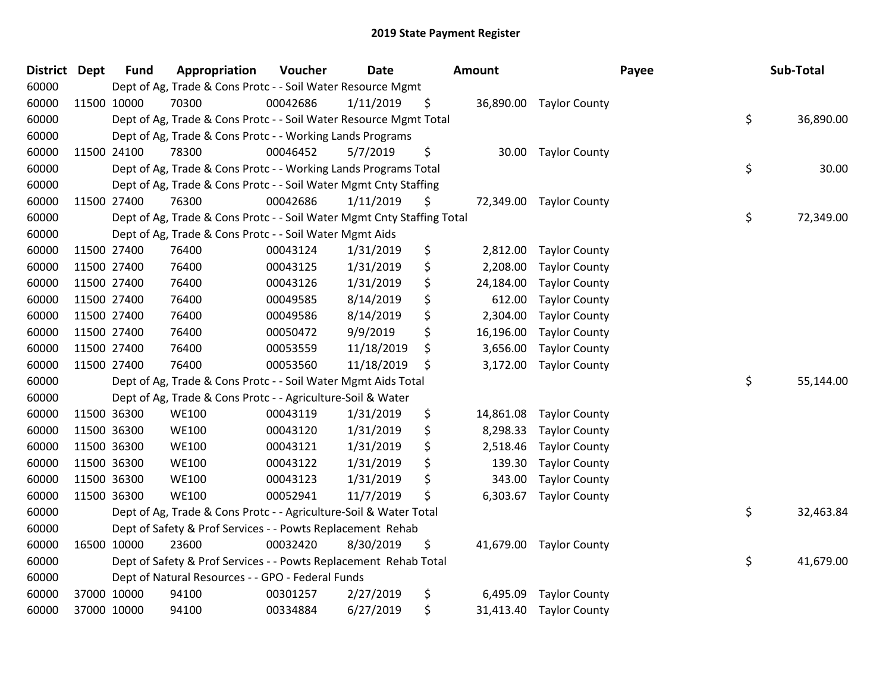| District Dept |             | <b>Fund</b> | Appropriation                                                          | Voucher  | <b>Date</b> | <b>Amount</b>   |                         | Payee | Sub-Total       |
|---------------|-------------|-------------|------------------------------------------------------------------------|----------|-------------|-----------------|-------------------------|-------|-----------------|
| 60000         |             |             | Dept of Ag, Trade & Cons Protc - - Soil Water Resource Mgmt            |          |             |                 |                         |       |                 |
| 60000         | 11500 10000 |             | 70300                                                                  | 00042686 | 1/11/2019   | \$              | 36,890.00 Taylor County |       |                 |
| 60000         |             |             | Dept of Ag, Trade & Cons Protc - - Soil Water Resource Mgmt Total      |          |             |                 |                         |       | \$<br>36,890.00 |
| 60000         |             |             | Dept of Ag, Trade & Cons Protc - - Working Lands Programs              |          |             |                 |                         |       |                 |
| 60000         | 11500 24100 |             | 78300                                                                  | 00046452 | 5/7/2019    | \$<br>30.00     | <b>Taylor County</b>    |       |                 |
| 60000         |             |             | Dept of Ag, Trade & Cons Protc - - Working Lands Programs Total        |          |             |                 |                         |       | \$<br>30.00     |
| 60000         |             |             | Dept of Ag, Trade & Cons Protc - - Soil Water Mgmt Cnty Staffing       |          |             |                 |                         |       |                 |
| 60000         | 11500 27400 |             | 76300                                                                  | 00042686 | 1/11/2019   | \$<br>72,349.00 | <b>Taylor County</b>    |       |                 |
| 60000         |             |             | Dept of Ag, Trade & Cons Protc - - Soil Water Mgmt Cnty Staffing Total |          |             |                 |                         |       | \$<br>72,349.00 |
| 60000         |             |             | Dept of Ag, Trade & Cons Protc - - Soil Water Mgmt Aids                |          |             |                 |                         |       |                 |
| 60000         | 11500 27400 |             | 76400                                                                  | 00043124 | 1/31/2019   | \$<br>2,812.00  | <b>Taylor County</b>    |       |                 |
| 60000         | 11500 27400 |             | 76400                                                                  | 00043125 | 1/31/2019   | \$<br>2,208.00  | <b>Taylor County</b>    |       |                 |
| 60000         | 11500 27400 |             | 76400                                                                  | 00043126 | 1/31/2019   | \$<br>24,184.00 | <b>Taylor County</b>    |       |                 |
| 60000         | 11500 27400 |             | 76400                                                                  | 00049585 | 8/14/2019   | \$<br>612.00    | <b>Taylor County</b>    |       |                 |
| 60000         | 11500 27400 |             | 76400                                                                  | 00049586 | 8/14/2019   | \$<br>2,304.00  | <b>Taylor County</b>    |       |                 |
| 60000         | 11500 27400 |             | 76400                                                                  | 00050472 | 9/9/2019    | \$<br>16,196.00 | <b>Taylor County</b>    |       |                 |
| 60000         | 11500 27400 |             | 76400                                                                  | 00053559 | 11/18/2019  | \$<br>3,656.00  | <b>Taylor County</b>    |       |                 |
| 60000         | 11500 27400 |             | 76400                                                                  | 00053560 | 11/18/2019  | \$<br>3,172.00  | <b>Taylor County</b>    |       |                 |
| 60000         |             |             | Dept of Ag, Trade & Cons Protc - - Soil Water Mgmt Aids Total          |          |             |                 |                         |       | \$<br>55,144.00 |
| 60000         |             |             | Dept of Ag, Trade & Cons Protc - - Agriculture-Soil & Water            |          |             |                 |                         |       |                 |
| 60000         | 11500 36300 |             | <b>WE100</b>                                                           | 00043119 | 1/31/2019   | \$<br>14,861.08 | <b>Taylor County</b>    |       |                 |
| 60000         | 11500 36300 |             | <b>WE100</b>                                                           | 00043120 | 1/31/2019   | \$<br>8,298.33  | <b>Taylor County</b>    |       |                 |
| 60000         | 11500 36300 |             | <b>WE100</b>                                                           | 00043121 | 1/31/2019   | \$<br>2,518.46  | <b>Taylor County</b>    |       |                 |
| 60000         | 11500 36300 |             | <b>WE100</b>                                                           | 00043122 | 1/31/2019   | \$<br>139.30    | <b>Taylor County</b>    |       |                 |
| 60000         | 11500 36300 |             | <b>WE100</b>                                                           | 00043123 | 1/31/2019   | \$<br>343.00    | <b>Taylor County</b>    |       |                 |
| 60000         | 11500 36300 |             | <b>WE100</b>                                                           | 00052941 | 11/7/2019   | \$<br>6,303.67  | <b>Taylor County</b>    |       |                 |
| 60000         |             |             | Dept of Ag, Trade & Cons Protc - - Agriculture-Soil & Water Total      |          |             |                 |                         |       | \$<br>32,463.84 |
| 60000         |             |             | Dept of Safety & Prof Services - - Powts Replacement Rehab             |          |             |                 |                         |       |                 |
| 60000         | 16500 10000 |             | 23600                                                                  | 00032420 | 8/30/2019   | \$<br>41,679.00 | <b>Taylor County</b>    |       |                 |
| 60000         |             |             | Dept of Safety & Prof Services - - Powts Replacement Rehab Total       |          |             |                 |                         |       | \$<br>41,679.00 |
| 60000         |             |             | Dept of Natural Resources - - GPO - Federal Funds                      |          |             |                 |                         |       |                 |
| 60000         |             | 37000 10000 | 94100                                                                  | 00301257 | 2/27/2019   | \$<br>6,495.09  | <b>Taylor County</b>    |       |                 |
| 60000         |             | 37000 10000 | 94100                                                                  | 00334884 | 6/27/2019   | \$<br>31,413.40 | <b>Taylor County</b>    |       |                 |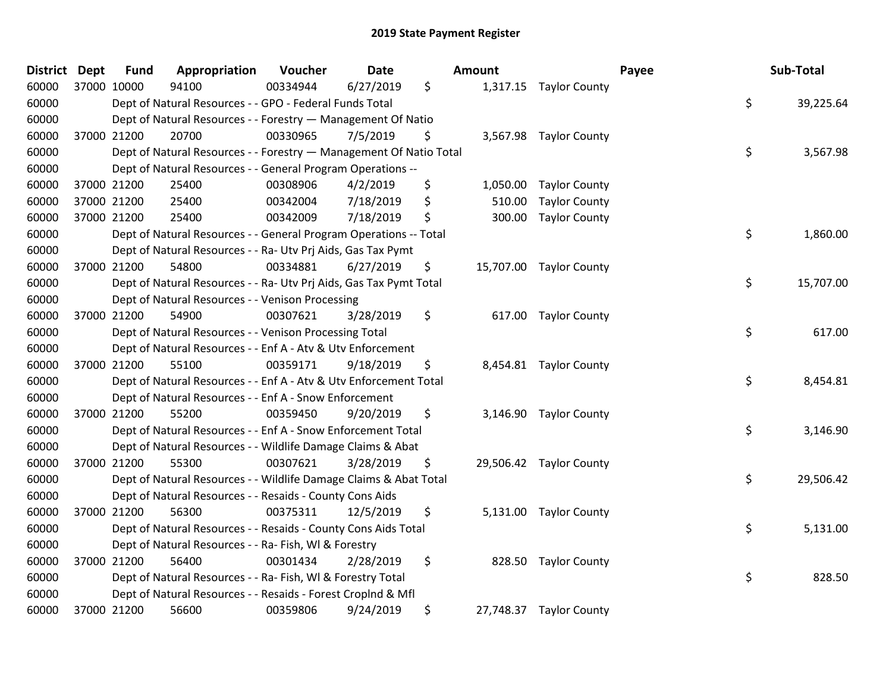| District | <b>Dept</b> | <b>Fund</b> | Appropriation                                                      | Voucher  | <b>Date</b> | Amount         |                         | Payee | Sub-Total |
|----------|-------------|-------------|--------------------------------------------------------------------|----------|-------------|----------------|-------------------------|-------|-----------|
| 60000    | 37000 10000 |             | 94100                                                              | 00334944 | 6/27/2019   | \$             | 1,317.15 Taylor County  |       |           |
| 60000    |             |             | Dept of Natural Resources - - GPO - Federal Funds Total            |          |             |                |                         | \$    | 39,225.64 |
| 60000    |             |             | Dept of Natural Resources - - Forestry - Management Of Natio       |          |             |                |                         |       |           |
| 60000    |             | 37000 21200 | 20700                                                              | 00330965 | 7/5/2019    | \$             | 3,567.98 Taylor County  |       |           |
| 60000    |             |             | Dept of Natural Resources - - Forestry - Management Of Natio Total |          |             |                |                         | \$    | 3,567.98  |
| 60000    |             |             | Dept of Natural Resources - - General Program Operations --        |          |             |                |                         |       |           |
| 60000    |             | 37000 21200 | 25400                                                              | 00308906 | 4/2/2019    | \$<br>1,050.00 | <b>Taylor County</b>    |       |           |
| 60000    | 37000 21200 |             | 25400                                                              | 00342004 | 7/18/2019   | \$<br>510.00   | <b>Taylor County</b>    |       |           |
| 60000    | 37000 21200 |             | 25400                                                              | 00342009 | 7/18/2019   | \$<br>300.00   | <b>Taylor County</b>    |       |           |
| 60000    |             |             | Dept of Natural Resources - - General Program Operations -- Total  |          |             |                |                         | \$    | 1,860.00  |
| 60000    |             |             | Dept of Natural Resources - - Ra- Utv Prj Aids, Gas Tax Pymt       |          |             |                |                         |       |           |
| 60000    | 37000 21200 |             | 54800                                                              | 00334881 | 6/27/2019   | \$             | 15,707.00 Taylor County |       |           |
| 60000    |             |             | Dept of Natural Resources - - Ra- Utv Prj Aids, Gas Tax Pymt Total |          |             |                |                         | \$    | 15,707.00 |
| 60000    |             |             | Dept of Natural Resources - - Venison Processing                   |          |             |                |                         |       |           |
| 60000    |             | 37000 21200 | 54900                                                              | 00307621 | 3/28/2019   | \$<br>617.00   | <b>Taylor County</b>    |       |           |
| 60000    |             |             | Dept of Natural Resources - - Venison Processing Total             |          |             |                |                         | \$    | 617.00    |
| 60000    |             |             | Dept of Natural Resources - - Enf A - Atv & Utv Enforcement        |          |             |                |                         |       |           |
| 60000    |             | 37000 21200 | 55100                                                              | 00359171 | 9/18/2019   | \$             | 8,454.81 Taylor County  |       |           |
| 60000    |             |             | Dept of Natural Resources - - Enf A - Atv & Utv Enforcement Total  |          |             |                |                         | \$    | 8,454.81  |
| 60000    |             |             | Dept of Natural Resources - - Enf A - Snow Enforcement             |          |             |                |                         |       |           |
| 60000    |             | 37000 21200 | 55200                                                              | 00359450 | 9/20/2019   | \$             | 3,146.90 Taylor County  |       |           |
| 60000    |             |             | Dept of Natural Resources - - Enf A - Snow Enforcement Total       |          |             |                |                         | \$    | 3,146.90  |
| 60000    |             |             | Dept of Natural Resources - - Wildlife Damage Claims & Abat        |          |             |                |                         |       |           |
| 60000    |             | 37000 21200 | 55300                                                              | 00307621 | 3/28/2019   | \$             | 29,506.42 Taylor County |       |           |
| 60000    |             |             | Dept of Natural Resources - - Wildlife Damage Claims & Abat Total  |          |             |                |                         | \$    | 29,506.42 |
| 60000    |             |             | Dept of Natural Resources - - Resaids - County Cons Aids           |          |             |                |                         |       |           |
| 60000    | 37000 21200 |             | 56300                                                              | 00375311 | 12/5/2019   | \$             | 5,131.00 Taylor County  |       |           |
| 60000    |             |             | Dept of Natural Resources - - Resaids - County Cons Aids Total     |          |             |                |                         | \$    | 5,131.00  |
| 60000    |             |             | Dept of Natural Resources - - Ra- Fish, WI & Forestry              |          |             |                |                         |       |           |
| 60000    | 37000 21200 |             | 56400                                                              | 00301434 | 2/28/2019   | \$<br>828.50   | <b>Taylor County</b>    |       |           |
| 60000    |             |             | Dept of Natural Resources - - Ra- Fish, WI & Forestry Total        |          |             |                |                         | \$    | 828.50    |
| 60000    |             |             | Dept of Natural Resources - - Resaids - Forest Croplnd & Mfl       |          |             |                |                         |       |           |
| 60000    |             | 37000 21200 | 56600                                                              | 00359806 | 9/24/2019   | \$             | 27,748.37 Taylor County |       |           |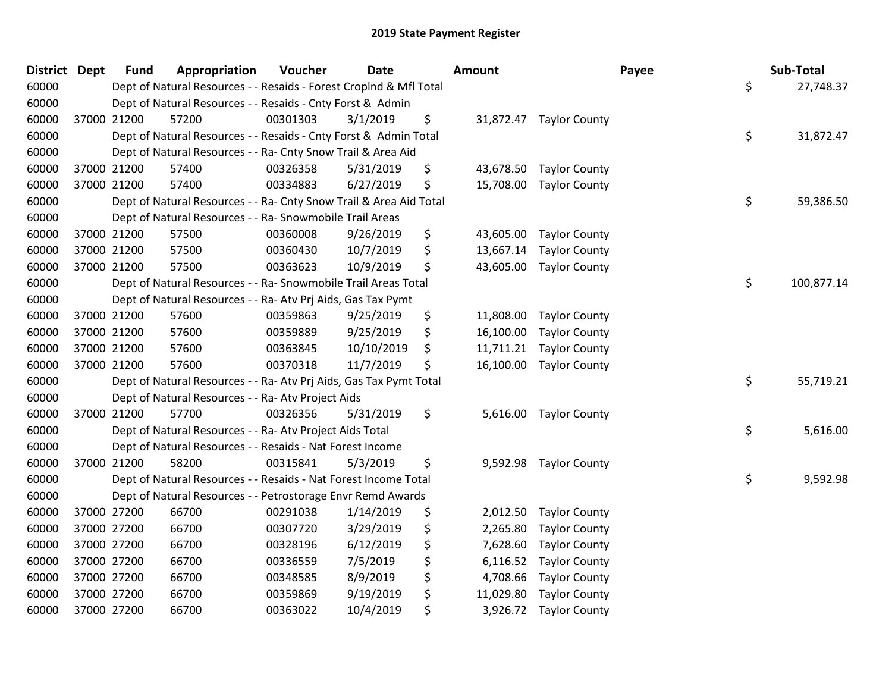| District Dept |             | <b>Fund</b> | Appropriation                                                      | Voucher  | <b>Date</b> | Amount          |                         | Payee | Sub-Total  |
|---------------|-------------|-------------|--------------------------------------------------------------------|----------|-------------|-----------------|-------------------------|-------|------------|
| 60000         |             |             | Dept of Natural Resources - - Resaids - Forest CropInd & Mfl Total |          |             |                 |                         | \$    | 27,748.37  |
| 60000         |             |             | Dept of Natural Resources - - Resaids - Cnty Forst & Admin         |          |             |                 |                         |       |            |
| 60000         | 37000 21200 |             | 57200                                                              | 00301303 | 3/1/2019    | \$              | 31,872.47 Taylor County |       |            |
| 60000         |             |             | Dept of Natural Resources - - Resaids - Cnty Forst & Admin Total   |          |             |                 |                         | \$    | 31,872.47  |
| 60000         |             |             | Dept of Natural Resources - - Ra- Cnty Snow Trail & Area Aid       |          |             |                 |                         |       |            |
| 60000         | 37000 21200 |             | 57400                                                              | 00326358 | 5/31/2019   | \$<br>43,678.50 | <b>Taylor County</b>    |       |            |
| 60000         | 37000 21200 |             | 57400                                                              | 00334883 | 6/27/2019   | \$<br>15,708.00 | <b>Taylor County</b>    |       |            |
| 60000         |             |             | Dept of Natural Resources - - Ra- Cnty Snow Trail & Area Aid Total |          |             |                 |                         | \$    | 59,386.50  |
| 60000         |             |             | Dept of Natural Resources - - Ra- Snowmobile Trail Areas           |          |             |                 |                         |       |            |
| 60000         | 37000 21200 |             | 57500                                                              | 00360008 | 9/26/2019   | \$<br>43,605.00 | <b>Taylor County</b>    |       |            |
| 60000         | 37000 21200 |             | 57500                                                              | 00360430 | 10/7/2019   | \$<br>13,667.14 | <b>Taylor County</b>    |       |            |
| 60000         | 37000 21200 |             | 57500                                                              | 00363623 | 10/9/2019   | \$<br>43,605.00 | <b>Taylor County</b>    |       |            |
| 60000         |             |             | Dept of Natural Resources - - Ra- Snowmobile Trail Areas Total     |          |             |                 |                         | \$    | 100,877.14 |
| 60000         |             |             | Dept of Natural Resources - - Ra- Atv Prj Aids, Gas Tax Pymt       |          |             |                 |                         |       |            |
| 60000         | 37000 21200 |             | 57600                                                              | 00359863 | 9/25/2019   | \$<br>11,808.00 | <b>Taylor County</b>    |       |            |
| 60000         | 37000 21200 |             | 57600                                                              | 00359889 | 9/25/2019   | \$<br>16,100.00 | <b>Taylor County</b>    |       |            |
| 60000         | 37000 21200 |             | 57600                                                              | 00363845 | 10/10/2019  | \$<br>11,711.21 | <b>Taylor County</b>    |       |            |
| 60000         | 37000 21200 |             | 57600                                                              | 00370318 | 11/7/2019   | \$<br>16,100.00 | <b>Taylor County</b>    |       |            |
| 60000         |             |             | Dept of Natural Resources - - Ra- Atv Prj Aids, Gas Tax Pymt Total |          |             |                 |                         | \$    | 55,719.21  |
| 60000         |             |             | Dept of Natural Resources - - Ra- Atv Project Aids                 |          |             |                 |                         |       |            |
| 60000         | 37000 21200 |             | 57700                                                              | 00326356 | 5/31/2019   | \$              | 5,616.00 Taylor County  |       |            |
| 60000         |             |             | Dept of Natural Resources - - Ra- Atv Project Aids Total           |          |             |                 |                         | \$    | 5,616.00   |
| 60000         |             |             | Dept of Natural Resources - - Resaids - Nat Forest Income          |          |             |                 |                         |       |            |
| 60000         | 37000 21200 |             | 58200                                                              | 00315841 | 5/3/2019    | \$<br>9,592.98  | <b>Taylor County</b>    |       |            |
| 60000         |             |             | Dept of Natural Resources - - Resaids - Nat Forest Income Total    |          |             |                 |                         | \$    | 9,592.98   |
| 60000         |             |             | Dept of Natural Resources - - Petrostorage Envr Remd Awards        |          |             |                 |                         |       |            |
| 60000         | 37000 27200 |             | 66700                                                              | 00291038 | 1/14/2019   | \$<br>2,012.50  | <b>Taylor County</b>    |       |            |
| 60000         | 37000 27200 |             | 66700                                                              | 00307720 | 3/29/2019   | \$<br>2,265.80  | <b>Taylor County</b>    |       |            |
| 60000         | 37000 27200 |             | 66700                                                              | 00328196 | 6/12/2019   | \$<br>7,628.60  | <b>Taylor County</b>    |       |            |
| 60000         | 37000 27200 |             | 66700                                                              | 00336559 | 7/5/2019    | \$<br>6,116.52  | <b>Taylor County</b>    |       |            |
| 60000         | 37000 27200 |             | 66700                                                              | 00348585 | 8/9/2019    | \$<br>4,708.66  | <b>Taylor County</b>    |       |            |
| 60000         | 37000 27200 |             | 66700                                                              | 00359869 | 9/19/2019   | \$<br>11,029.80 | <b>Taylor County</b>    |       |            |
| 60000         | 37000 27200 |             | 66700                                                              | 00363022 | 10/4/2019   | \$<br>3,926.72  | <b>Taylor County</b>    |       |            |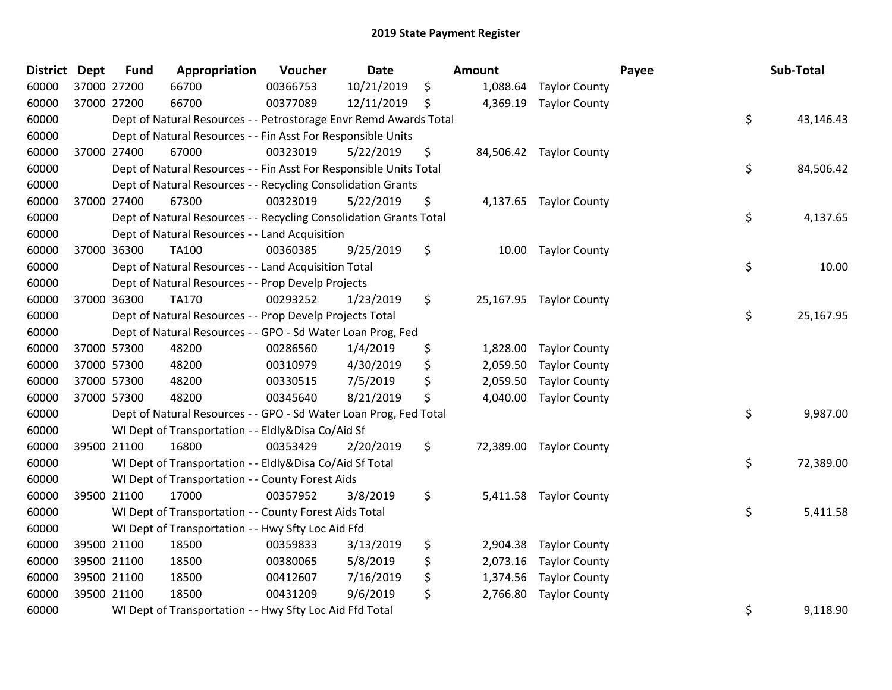| District Dept |             | <b>Fund</b> | Appropriation                                                      | Voucher  | <b>Date</b> |     | Amount   |                         | Payee | Sub-Total |
|---------------|-------------|-------------|--------------------------------------------------------------------|----------|-------------|-----|----------|-------------------------|-------|-----------|
| 60000         | 37000 27200 |             | 66700                                                              | 00366753 | 10/21/2019  | \$  | 1,088.64 | <b>Taylor County</b>    |       |           |
| 60000         | 37000 27200 |             | 66700                                                              | 00377089 | 12/11/2019  | \$, |          | 4,369.19 Taylor County  |       |           |
| 60000         |             |             | Dept of Natural Resources - - Petrostorage Envr Remd Awards Total  |          |             |     |          |                         | \$    | 43,146.43 |
| 60000         |             |             | Dept of Natural Resources - - Fin Asst For Responsible Units       |          |             |     |          |                         |       |           |
| 60000         | 37000 27400 |             | 67000                                                              | 00323019 | 5/22/2019   | \$  |          | 84,506.42 Taylor County |       |           |
| 60000         |             |             | Dept of Natural Resources - - Fin Asst For Responsible Units Total |          |             |     |          |                         | \$    | 84,506.42 |
| 60000         |             |             | Dept of Natural Resources - - Recycling Consolidation Grants       |          |             |     |          |                         |       |           |
| 60000         |             | 37000 27400 | 67300                                                              | 00323019 | 5/22/2019   | \$  |          | 4,137.65 Taylor County  |       |           |
| 60000         |             |             | Dept of Natural Resources - - Recycling Consolidation Grants Total |          |             |     |          |                         | \$    | 4,137.65  |
| 60000         |             |             | Dept of Natural Resources - - Land Acquisition                     |          |             |     |          |                         |       |           |
| 60000         | 37000 36300 |             | <b>TA100</b>                                                       | 00360385 | 9/25/2019   | \$  |          | 10.00 Taylor County     |       |           |
| 60000         |             |             | Dept of Natural Resources - - Land Acquisition Total               |          |             |     |          |                         | \$    | 10.00     |
| 60000         |             |             | Dept of Natural Resources - - Prop Develp Projects                 |          |             |     |          |                         |       |           |
| 60000         | 37000 36300 |             | TA170                                                              | 00293252 | 1/23/2019   | \$  |          | 25,167.95 Taylor County |       |           |
| 60000         |             |             | Dept of Natural Resources - - Prop Develp Projects Total           |          |             |     |          |                         | \$    | 25,167.95 |
| 60000         |             |             | Dept of Natural Resources - - GPO - Sd Water Loan Prog, Fed        |          |             |     |          |                         |       |           |
| 60000         | 37000 57300 |             | 48200                                                              | 00286560 | 1/4/2019    | \$  | 1,828.00 | <b>Taylor County</b>    |       |           |
| 60000         | 37000 57300 |             | 48200                                                              | 00310979 | 4/30/2019   | \$  | 2,059.50 | <b>Taylor County</b>    |       |           |
| 60000         | 37000 57300 |             | 48200                                                              | 00330515 | 7/5/2019    | \$  | 2,059.50 | <b>Taylor County</b>    |       |           |
| 60000         | 37000 57300 |             | 48200                                                              | 00345640 | 8/21/2019   | \$  | 4,040.00 | <b>Taylor County</b>    |       |           |
| 60000         |             |             | Dept of Natural Resources - - GPO - Sd Water Loan Prog, Fed Total  |          |             |     |          |                         | \$    | 9,987.00  |
| 60000         |             |             | WI Dept of Transportation - - Eldly&Disa Co/Aid Sf                 |          |             |     |          |                         |       |           |
| 60000         | 39500 21100 |             | 16800                                                              | 00353429 | 2/20/2019   | \$  |          | 72,389.00 Taylor County |       |           |
| 60000         |             |             | WI Dept of Transportation - - Eldly&Disa Co/Aid Sf Total           |          |             |     |          |                         | \$    | 72,389.00 |
| 60000         |             |             | WI Dept of Transportation - - County Forest Aids                   |          |             |     |          |                         |       |           |
| 60000         | 39500 21100 |             | 17000                                                              | 00357952 | 3/8/2019    | \$  | 5,411.58 | <b>Taylor County</b>    |       |           |
| 60000         |             |             | WI Dept of Transportation - - County Forest Aids Total             |          |             |     |          |                         | \$    | 5,411.58  |
| 60000         |             |             | WI Dept of Transportation - - Hwy Sfty Loc Aid Ffd                 |          |             |     |          |                         |       |           |
| 60000         | 39500 21100 |             | 18500                                                              | 00359833 | 3/13/2019   | \$  | 2,904.38 | <b>Taylor County</b>    |       |           |
| 60000         | 39500 21100 |             | 18500                                                              | 00380065 | 5/8/2019    | \$  | 2,073.16 | <b>Taylor County</b>    |       |           |
| 60000         | 39500 21100 |             | 18500                                                              | 00412607 | 7/16/2019   | \$  | 1,374.56 | <b>Taylor County</b>    |       |           |
| 60000         | 39500 21100 |             | 18500                                                              | 00431209 | 9/6/2019    | \$  | 2,766.80 | <b>Taylor County</b>    |       |           |
| 60000         |             |             | WI Dept of Transportation - - Hwy Sfty Loc Aid Ffd Total           |          |             |     |          |                         | \$    | 9,118.90  |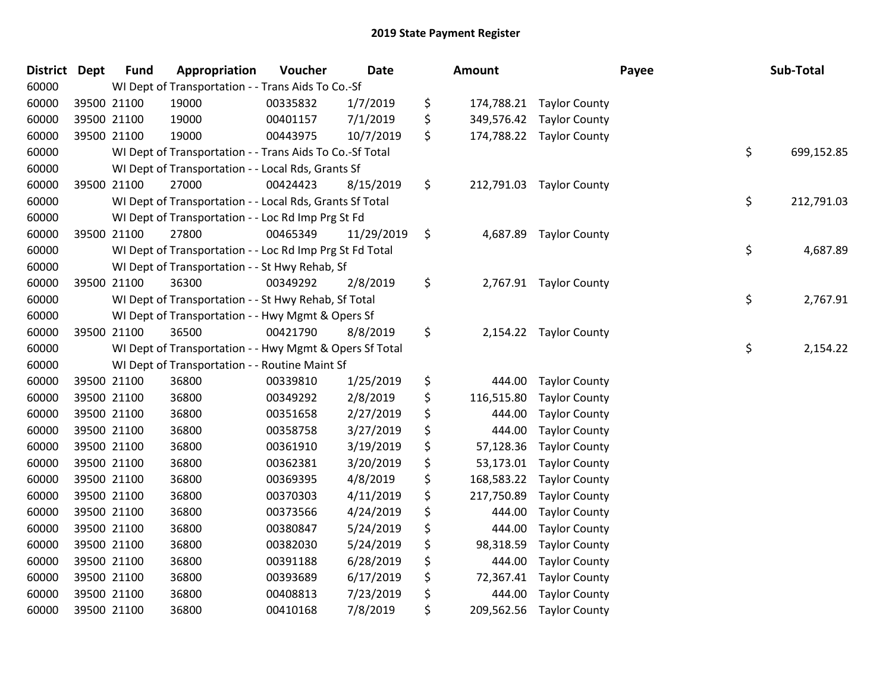| <b>District</b> | <b>Dept</b> | <b>Fund</b> | Appropriation                                            | Voucher  | Date       | <b>Amount</b>    |                        | Payee | Sub-Total  |
|-----------------|-------------|-------------|----------------------------------------------------------|----------|------------|------------------|------------------------|-------|------------|
| 60000           |             |             | WI Dept of Transportation - - Trans Aids To Co.-Sf       |          |            |                  |                        |       |            |
| 60000           |             | 39500 21100 | 19000                                                    | 00335832 | 1/7/2019   | \$<br>174,788.21 | <b>Taylor County</b>   |       |            |
| 60000           | 39500 21100 |             | 19000                                                    | 00401157 | 7/1/2019   | \$<br>349,576.42 | <b>Taylor County</b>   |       |            |
| 60000           |             | 39500 21100 | 19000                                                    | 00443975 | 10/7/2019  | \$<br>174,788.22 | <b>Taylor County</b>   |       |            |
| 60000           |             |             | WI Dept of Transportation - - Trans Aids To Co.-Sf Total |          |            |                  |                        | \$    | 699,152.85 |
| 60000           |             |             | WI Dept of Transportation - - Local Rds, Grants Sf       |          |            |                  |                        |       |            |
| 60000           |             | 39500 21100 | 27000                                                    | 00424423 | 8/15/2019  | \$<br>212,791.03 | <b>Taylor County</b>   |       |            |
| 60000           |             |             | WI Dept of Transportation - - Local Rds, Grants Sf Total |          |            |                  |                        | \$    | 212,791.03 |
| 60000           |             |             | WI Dept of Transportation - - Loc Rd Imp Prg St Fd       |          |            |                  |                        |       |            |
| 60000           | 39500 21100 |             | 27800                                                    | 00465349 | 11/29/2019 | \$<br>4,687.89   | <b>Taylor County</b>   |       |            |
| 60000           |             |             | WI Dept of Transportation - - Loc Rd Imp Prg St Fd Total |          |            |                  |                        | \$    | 4,687.89   |
| 60000           |             |             | WI Dept of Transportation - - St Hwy Rehab, Sf           |          |            |                  |                        |       |            |
| 60000           |             | 39500 21100 | 36300                                                    | 00349292 | 2/8/2019   | \$               | 2,767.91 Taylor County |       |            |
| 60000           |             |             | WI Dept of Transportation - - St Hwy Rehab, Sf Total     |          |            |                  |                        | \$    | 2,767.91   |
| 60000           |             |             | WI Dept of Transportation - - Hwy Mgmt & Opers Sf        |          |            |                  |                        |       |            |
| 60000           |             | 39500 21100 | 36500                                                    | 00421790 | 8/8/2019   | \$<br>2,154.22   | <b>Taylor County</b>   |       |            |
| 60000           |             |             | WI Dept of Transportation - - Hwy Mgmt & Opers Sf Total  |          |            |                  |                        | \$    | 2,154.22   |
| 60000           |             |             | WI Dept of Transportation - - Routine Maint Sf           |          |            |                  |                        |       |            |
| 60000           | 39500 21100 |             | 36800                                                    | 00339810 | 1/25/2019  | \$<br>444.00     | <b>Taylor County</b>   |       |            |
| 60000           |             | 39500 21100 | 36800                                                    | 00349292 | 2/8/2019   | \$<br>116,515.80 | <b>Taylor County</b>   |       |            |
| 60000           |             | 39500 21100 | 36800                                                    | 00351658 | 2/27/2019  | \$<br>444.00     | <b>Taylor County</b>   |       |            |
| 60000           | 39500 21100 |             | 36800                                                    | 00358758 | 3/27/2019  | \$<br>444.00     | <b>Taylor County</b>   |       |            |
| 60000           | 39500 21100 |             | 36800                                                    | 00361910 | 3/19/2019  | \$<br>57,128.36  | <b>Taylor County</b>   |       |            |
| 60000           |             | 39500 21100 | 36800                                                    | 00362381 | 3/20/2019  | \$<br>53,173.01  | <b>Taylor County</b>   |       |            |
| 60000           |             | 39500 21100 | 36800                                                    | 00369395 | 4/8/2019   | \$<br>168,583.22 | <b>Taylor County</b>   |       |            |
| 60000           |             | 39500 21100 | 36800                                                    | 00370303 | 4/11/2019  | \$<br>217,750.89 | <b>Taylor County</b>   |       |            |
| 60000           | 39500 21100 |             | 36800                                                    | 00373566 | 4/24/2019  | \$<br>444.00     | <b>Taylor County</b>   |       |            |
| 60000           | 39500 21100 |             | 36800                                                    | 00380847 | 5/24/2019  | \$<br>444.00     | <b>Taylor County</b>   |       |            |
| 60000           | 39500 21100 |             | 36800                                                    | 00382030 | 5/24/2019  | \$<br>98,318.59  | <b>Taylor County</b>   |       |            |
| 60000           |             | 39500 21100 | 36800                                                    | 00391188 | 6/28/2019  | \$<br>444.00     | <b>Taylor County</b>   |       |            |
| 60000           |             | 39500 21100 | 36800                                                    | 00393689 | 6/17/2019  | \$<br>72,367.41  | <b>Taylor County</b>   |       |            |
| 60000           | 39500 21100 |             | 36800                                                    | 00408813 | 7/23/2019  | \$<br>444.00     | <b>Taylor County</b>   |       |            |
| 60000           |             | 39500 21100 | 36800                                                    | 00410168 | 7/8/2019   | \$<br>209,562.56 | <b>Taylor County</b>   |       |            |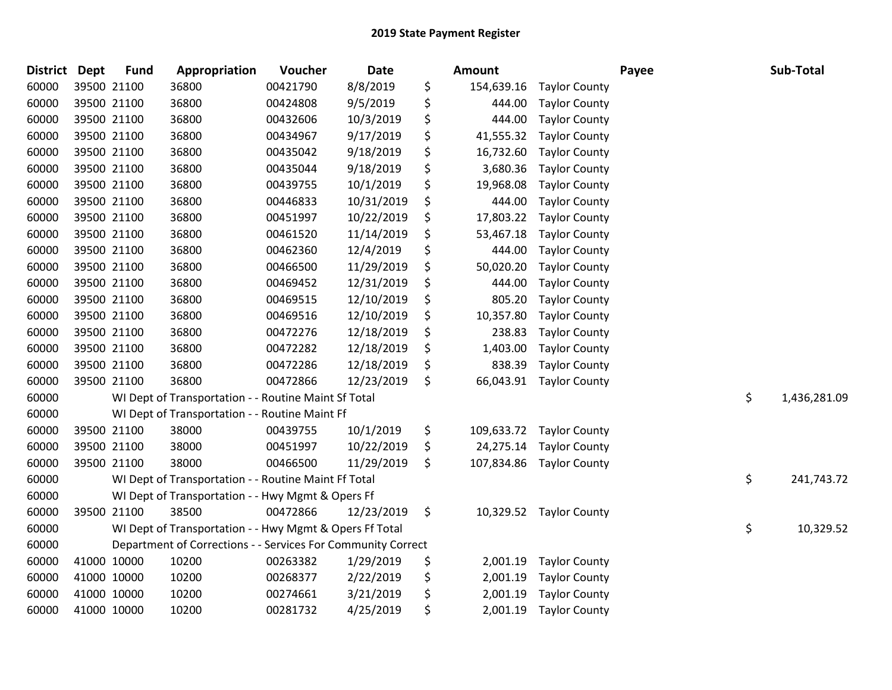| <b>District</b> | <b>Dept</b> | <b>Fund</b> | Appropriation                                                | Voucher  | Date       | Amount           |                      | Payee | Sub-Total          |
|-----------------|-------------|-------------|--------------------------------------------------------------|----------|------------|------------------|----------------------|-------|--------------------|
| 60000           |             | 39500 21100 | 36800                                                        | 00421790 | 8/8/2019   | \$<br>154,639.16 | <b>Taylor County</b> |       |                    |
| 60000           |             | 39500 21100 | 36800                                                        | 00424808 | 9/5/2019   | \$<br>444.00     | <b>Taylor County</b> |       |                    |
| 60000           |             | 39500 21100 | 36800                                                        | 00432606 | 10/3/2019  | \$<br>444.00     | <b>Taylor County</b> |       |                    |
| 60000           |             | 39500 21100 | 36800                                                        | 00434967 | 9/17/2019  | \$<br>41,555.32  | <b>Taylor County</b> |       |                    |
| 60000           |             | 39500 21100 | 36800                                                        | 00435042 | 9/18/2019  | \$<br>16,732.60  | <b>Taylor County</b> |       |                    |
| 60000           |             | 39500 21100 | 36800                                                        | 00435044 | 9/18/2019  | \$<br>3,680.36   | <b>Taylor County</b> |       |                    |
| 60000           |             | 39500 21100 | 36800                                                        | 00439755 | 10/1/2019  | \$<br>19,968.08  | <b>Taylor County</b> |       |                    |
| 60000           |             | 39500 21100 | 36800                                                        | 00446833 | 10/31/2019 | \$<br>444.00     | <b>Taylor County</b> |       |                    |
| 60000           |             | 39500 21100 | 36800                                                        | 00451997 | 10/22/2019 | \$<br>17,803.22  | <b>Taylor County</b> |       |                    |
| 60000           |             | 39500 21100 | 36800                                                        | 00461520 | 11/14/2019 | \$<br>53,467.18  | <b>Taylor County</b> |       |                    |
| 60000           |             | 39500 21100 | 36800                                                        | 00462360 | 12/4/2019  | \$<br>444.00     | <b>Taylor County</b> |       |                    |
| 60000           |             | 39500 21100 | 36800                                                        | 00466500 | 11/29/2019 | \$<br>50,020.20  | <b>Taylor County</b> |       |                    |
| 60000           |             | 39500 21100 | 36800                                                        | 00469452 | 12/31/2019 | \$<br>444.00     | <b>Taylor County</b> |       |                    |
| 60000           |             | 39500 21100 | 36800                                                        | 00469515 | 12/10/2019 | \$<br>805.20     | <b>Taylor County</b> |       |                    |
| 60000           |             | 39500 21100 | 36800                                                        | 00469516 | 12/10/2019 | \$<br>10,357.80  | <b>Taylor County</b> |       |                    |
| 60000           |             | 39500 21100 | 36800                                                        | 00472276 | 12/18/2019 | \$<br>238.83     | <b>Taylor County</b> |       |                    |
| 60000           |             | 39500 21100 | 36800                                                        | 00472282 | 12/18/2019 | \$<br>1,403.00   | <b>Taylor County</b> |       |                    |
| 60000           |             | 39500 21100 | 36800                                                        | 00472286 | 12/18/2019 | \$<br>838.39     | <b>Taylor County</b> |       |                    |
| 60000           |             | 39500 21100 | 36800                                                        | 00472866 | 12/23/2019 | \$<br>66,043.91  | <b>Taylor County</b> |       |                    |
| 60000           |             |             | WI Dept of Transportation - - Routine Maint Sf Total         |          |            |                  |                      |       | \$<br>1,436,281.09 |
| 60000           |             |             | WI Dept of Transportation - - Routine Maint Ff               |          |            |                  |                      |       |                    |
| 60000           |             | 39500 21100 | 38000                                                        | 00439755 | 10/1/2019  | \$<br>109,633.72 | <b>Taylor County</b> |       |                    |
| 60000           |             | 39500 21100 | 38000                                                        | 00451997 | 10/22/2019 | \$<br>24,275.14  | <b>Taylor County</b> |       |                    |
| 60000           |             | 39500 21100 | 38000                                                        | 00466500 | 11/29/2019 | \$<br>107,834.86 | <b>Taylor County</b> |       |                    |
| 60000           |             |             | WI Dept of Transportation - - Routine Maint Ff Total         |          |            |                  |                      |       | \$<br>241,743.72   |
| 60000           |             |             | WI Dept of Transportation - - Hwy Mgmt & Opers Ff            |          |            |                  |                      |       |                    |
| 60000           |             | 39500 21100 | 38500                                                        | 00472866 | 12/23/2019 | \$<br>10,329.52  | <b>Taylor County</b> |       |                    |
| 60000           |             |             | WI Dept of Transportation - - Hwy Mgmt & Opers Ff Total      |          |            |                  |                      |       | \$<br>10,329.52    |
| 60000           |             |             | Department of Corrections - - Services For Community Correct |          |            |                  |                      |       |                    |
| 60000           | 41000 10000 |             | 10200                                                        | 00263382 | 1/29/2019  | \$<br>2,001.19   | <b>Taylor County</b> |       |                    |
| 60000           | 41000 10000 |             | 10200                                                        | 00268377 | 2/22/2019  | \$<br>2,001.19   | <b>Taylor County</b> |       |                    |
| 60000           |             | 41000 10000 | 10200                                                        | 00274661 | 3/21/2019  | \$<br>2,001.19   | <b>Taylor County</b> |       |                    |
| 60000           |             | 41000 10000 | 10200                                                        | 00281732 | 4/25/2019  | \$<br>2,001.19   | <b>Taylor County</b> |       |                    |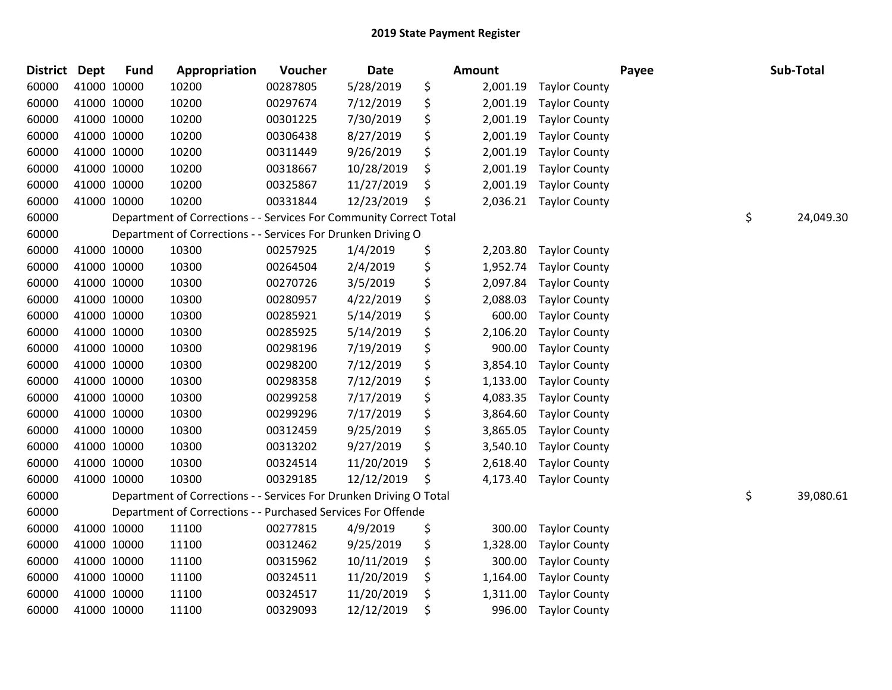| <b>District</b> | <b>Dept</b> | <b>Fund</b> | Appropriation                                                      | Voucher  | <b>Date</b> | Amount         |                      | Payee | Sub-Total       |
|-----------------|-------------|-------------|--------------------------------------------------------------------|----------|-------------|----------------|----------------------|-------|-----------------|
| 60000           | 41000 10000 |             | 10200                                                              | 00287805 | 5/28/2019   | \$<br>2,001.19 | <b>Taylor County</b> |       |                 |
| 60000           | 41000 10000 |             | 10200                                                              | 00297674 | 7/12/2019   | \$<br>2,001.19 | <b>Taylor County</b> |       |                 |
| 60000           | 41000 10000 |             | 10200                                                              | 00301225 | 7/30/2019   | \$<br>2,001.19 | <b>Taylor County</b> |       |                 |
| 60000           | 41000 10000 |             | 10200                                                              | 00306438 | 8/27/2019   | \$<br>2,001.19 | <b>Taylor County</b> |       |                 |
| 60000           | 41000 10000 |             | 10200                                                              | 00311449 | 9/26/2019   | \$<br>2,001.19 | <b>Taylor County</b> |       |                 |
| 60000           | 41000 10000 |             | 10200                                                              | 00318667 | 10/28/2019  | \$<br>2,001.19 | <b>Taylor County</b> |       |                 |
| 60000           | 41000 10000 |             | 10200                                                              | 00325867 | 11/27/2019  | \$<br>2,001.19 | <b>Taylor County</b> |       |                 |
| 60000           | 41000 10000 |             | 10200                                                              | 00331844 | 12/23/2019  | \$<br>2,036.21 | <b>Taylor County</b> |       |                 |
| 60000           |             |             | Department of Corrections - - Services For Community Correct Total |          |             |                |                      |       | \$<br>24,049.30 |
| 60000           |             |             | Department of Corrections - - Services For Drunken Driving O       |          |             |                |                      |       |                 |
| 60000           | 41000 10000 |             | 10300                                                              | 00257925 | 1/4/2019    | \$<br>2,203.80 | <b>Taylor County</b> |       |                 |
| 60000           | 41000 10000 |             | 10300                                                              | 00264504 | 2/4/2019    | \$<br>1,952.74 | <b>Taylor County</b> |       |                 |
| 60000           | 41000 10000 |             | 10300                                                              | 00270726 | 3/5/2019    | \$<br>2,097.84 | <b>Taylor County</b> |       |                 |
| 60000           | 41000 10000 |             | 10300                                                              | 00280957 | 4/22/2019   | \$<br>2,088.03 | <b>Taylor County</b> |       |                 |
| 60000           | 41000 10000 |             | 10300                                                              | 00285921 | 5/14/2019   | \$<br>600.00   | <b>Taylor County</b> |       |                 |
| 60000           | 41000 10000 |             | 10300                                                              | 00285925 | 5/14/2019   | \$<br>2,106.20 | <b>Taylor County</b> |       |                 |
| 60000           | 41000 10000 |             | 10300                                                              | 00298196 | 7/19/2019   | \$<br>900.00   | <b>Taylor County</b> |       |                 |
| 60000           | 41000 10000 |             | 10300                                                              | 00298200 | 7/12/2019   | \$<br>3,854.10 | <b>Taylor County</b> |       |                 |
| 60000           | 41000 10000 |             | 10300                                                              | 00298358 | 7/12/2019   | \$<br>1,133.00 | <b>Taylor County</b> |       |                 |
| 60000           | 41000 10000 |             | 10300                                                              | 00299258 | 7/17/2019   | \$<br>4,083.35 | <b>Taylor County</b> |       |                 |
| 60000           | 41000 10000 |             | 10300                                                              | 00299296 | 7/17/2019   | \$<br>3,864.60 | <b>Taylor County</b> |       |                 |
| 60000           | 41000 10000 |             | 10300                                                              | 00312459 | 9/25/2019   | \$<br>3,865.05 | <b>Taylor County</b> |       |                 |
| 60000           | 41000 10000 |             | 10300                                                              | 00313202 | 9/27/2019   | \$<br>3,540.10 | <b>Taylor County</b> |       |                 |
| 60000           | 41000 10000 |             | 10300                                                              | 00324514 | 11/20/2019  | \$<br>2,618.40 | <b>Taylor County</b> |       |                 |
| 60000           | 41000 10000 |             | 10300                                                              | 00329185 | 12/12/2019  | \$<br>4,173.40 | <b>Taylor County</b> |       |                 |
| 60000           |             |             | Department of Corrections - - Services For Drunken Driving O Total |          |             |                |                      |       | \$<br>39,080.61 |
| 60000           |             |             | Department of Corrections - - Purchased Services For Offende       |          |             |                |                      |       |                 |
| 60000           | 41000 10000 |             | 11100                                                              | 00277815 | 4/9/2019    | \$<br>300.00   | <b>Taylor County</b> |       |                 |
| 60000           | 41000 10000 |             | 11100                                                              | 00312462 | 9/25/2019   | \$<br>1,328.00 | <b>Taylor County</b> |       |                 |
| 60000           | 41000 10000 |             | 11100                                                              | 00315962 | 10/11/2019  | \$<br>300.00   | <b>Taylor County</b> |       |                 |
| 60000           | 41000 10000 |             | 11100                                                              | 00324511 | 11/20/2019  | \$<br>1,164.00 | <b>Taylor County</b> |       |                 |
| 60000           | 41000 10000 |             | 11100                                                              | 00324517 | 11/20/2019  | \$<br>1,311.00 | <b>Taylor County</b> |       |                 |
| 60000           | 41000 10000 |             | 11100                                                              | 00329093 | 12/12/2019  | \$<br>996.00   | <b>Taylor County</b> |       |                 |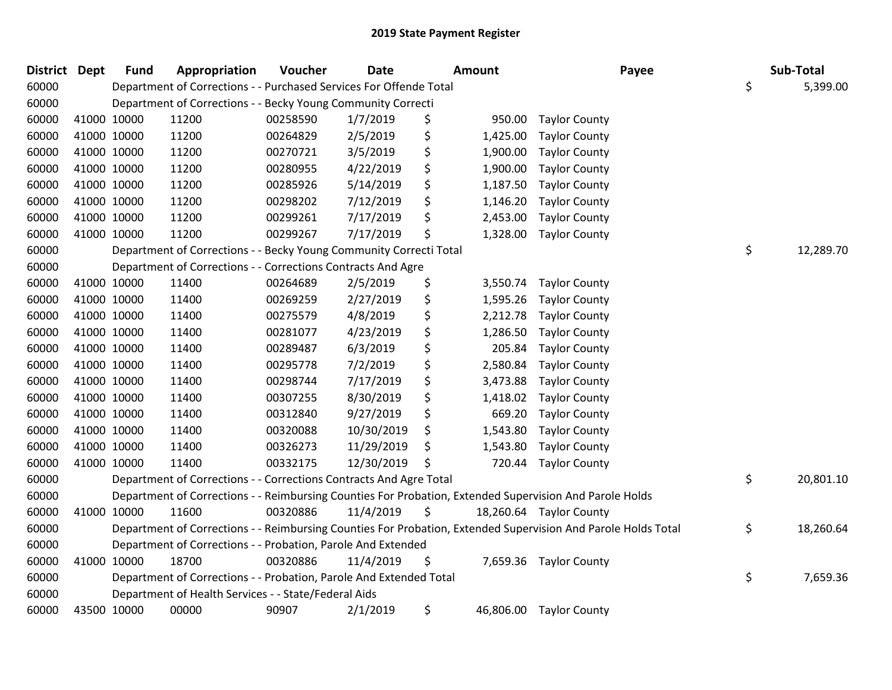| <b>District Dept</b> | <b>Fund</b> | Appropriation                                                      | Voucher  | <b>Date</b> |    | <b>Amount</b> | Payee                                                                                                         | Sub-Total       |
|----------------------|-------------|--------------------------------------------------------------------|----------|-------------|----|---------------|---------------------------------------------------------------------------------------------------------------|-----------------|
| 60000                |             | Department of Corrections - - Purchased Services For Offende Total |          |             |    |               |                                                                                                               | \$<br>5,399.00  |
| 60000                |             | Department of Corrections - - Becky Young Community Correcti       |          |             |    |               |                                                                                                               |                 |
| 60000                | 41000 10000 | 11200                                                              | 00258590 | 1/7/2019    | \$ | 950.00        | <b>Taylor County</b>                                                                                          |                 |
| 60000                | 41000 10000 | 11200                                                              | 00264829 | 2/5/2019    | \$ | 1,425.00      | <b>Taylor County</b>                                                                                          |                 |
| 60000                | 41000 10000 | 11200                                                              | 00270721 | 3/5/2019    | \$ | 1,900.00      | <b>Taylor County</b>                                                                                          |                 |
| 60000                | 41000 10000 | 11200                                                              | 00280955 | 4/22/2019   | \$ | 1,900.00      | <b>Taylor County</b>                                                                                          |                 |
| 60000                | 41000 10000 | 11200                                                              | 00285926 | 5/14/2019   | \$ | 1,187.50      | <b>Taylor County</b>                                                                                          |                 |
| 60000                | 41000 10000 | 11200                                                              | 00298202 | 7/12/2019   | \$ | 1,146.20      | <b>Taylor County</b>                                                                                          |                 |
| 60000                | 41000 10000 | 11200                                                              | 00299261 | 7/17/2019   | \$ | 2,453.00      | <b>Taylor County</b>                                                                                          |                 |
| 60000                | 41000 10000 | 11200                                                              | 00299267 | 7/17/2019   | \$ | 1,328.00      | <b>Taylor County</b>                                                                                          |                 |
| 60000                |             | Department of Corrections - - Becky Young Community Correcti Total |          |             |    |               |                                                                                                               | \$<br>12,289.70 |
| 60000                |             | Department of Corrections - - Corrections Contracts And Agre       |          |             |    |               |                                                                                                               |                 |
| 60000                | 41000 10000 | 11400                                                              | 00264689 | 2/5/2019    | \$ | 3,550.74      | <b>Taylor County</b>                                                                                          |                 |
| 60000                | 41000 10000 | 11400                                                              | 00269259 | 2/27/2019   | \$ | 1,595.26      | <b>Taylor County</b>                                                                                          |                 |
| 60000                | 41000 10000 | 11400                                                              | 00275579 | 4/8/2019    | \$ | 2,212.78      | <b>Taylor County</b>                                                                                          |                 |
| 60000                | 41000 10000 | 11400                                                              | 00281077 | 4/23/2019   | \$ | 1,286.50      | <b>Taylor County</b>                                                                                          |                 |
| 60000                | 41000 10000 | 11400                                                              | 00289487 | 6/3/2019    | \$ | 205.84        | <b>Taylor County</b>                                                                                          |                 |
| 60000                | 41000 10000 | 11400                                                              | 00295778 | 7/2/2019    | \$ | 2,580.84      | <b>Taylor County</b>                                                                                          |                 |
| 60000                | 41000 10000 | 11400                                                              | 00298744 | 7/17/2019   | \$ | 3,473.88      | <b>Taylor County</b>                                                                                          |                 |
| 60000                | 41000 10000 | 11400                                                              | 00307255 | 8/30/2019   | \$ | 1,418.02      | <b>Taylor County</b>                                                                                          |                 |
| 60000                | 41000 10000 | 11400                                                              | 00312840 | 9/27/2019   | \$ | 669.20        | <b>Taylor County</b>                                                                                          |                 |
| 60000                | 41000 10000 | 11400                                                              | 00320088 | 10/30/2019  | \$ | 1,543.80      | <b>Taylor County</b>                                                                                          |                 |
| 60000                | 41000 10000 | 11400                                                              | 00326273 | 11/29/2019  | \$ | 1,543.80      | <b>Taylor County</b>                                                                                          |                 |
| 60000                | 41000 10000 | 11400                                                              | 00332175 | 12/30/2019  | \$ | 720.44        | <b>Taylor County</b>                                                                                          |                 |
| 60000                |             | Department of Corrections - - Corrections Contracts And Agre Total |          |             |    |               |                                                                                                               | \$<br>20,801.10 |
| 60000                |             |                                                                    |          |             |    |               | Department of Corrections - - Reimbursing Counties For Probation, Extended Supervision And Parole Holds       |                 |
| 60000                | 41000 10000 | 11600                                                              | 00320886 | 11/4/2019   | \$ |               | 18,260.64 Taylor County                                                                                       |                 |
| 60000                |             |                                                                    |          |             |    |               | Department of Corrections - - Reimbursing Counties For Probation, Extended Supervision And Parole Holds Total | \$<br>18,260.64 |
| 60000                |             | Department of Corrections - - Probation, Parole And Extended       |          |             |    |               |                                                                                                               |                 |
| 60000                | 41000 10000 | 18700                                                              | 00320886 | 11/4/2019   | Ş  |               | 7,659.36 Taylor County                                                                                        |                 |
| 60000                |             | Department of Corrections - - Probation, Parole And Extended Total |          |             |    |               |                                                                                                               | \$<br>7,659.36  |
| 60000                |             | Department of Health Services - - State/Federal Aids               |          |             |    |               |                                                                                                               |                 |
| 60000                | 43500 10000 | 00000                                                              | 90907    | 2/1/2019    | \$ |               | 46,806.00 Taylor County                                                                                       |                 |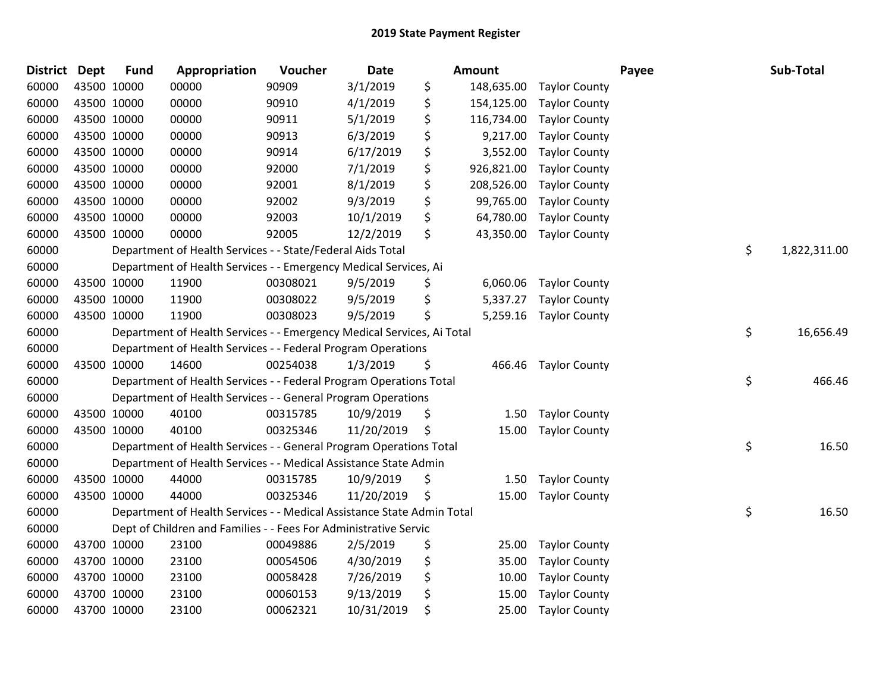| <b>District</b> | <b>Dept</b> | <b>Fund</b> | Appropriation                                                          | Voucher  | <b>Date</b> | Amount           |                      | Payee | Sub-Total    |
|-----------------|-------------|-------------|------------------------------------------------------------------------|----------|-------------|------------------|----------------------|-------|--------------|
| 60000           |             | 43500 10000 | 00000                                                                  | 90909    | 3/1/2019    | \$<br>148,635.00 | <b>Taylor County</b> |       |              |
| 60000           |             | 43500 10000 | 00000                                                                  | 90910    | 4/1/2019    | \$<br>154,125.00 | <b>Taylor County</b> |       |              |
| 60000           |             | 43500 10000 | 00000                                                                  | 90911    | 5/1/2019    | \$<br>116,734.00 | <b>Taylor County</b> |       |              |
| 60000           |             | 43500 10000 | 00000                                                                  | 90913    | 6/3/2019    | \$<br>9,217.00   | <b>Taylor County</b> |       |              |
| 60000           |             | 43500 10000 | 00000                                                                  | 90914    | 6/17/2019   | \$<br>3,552.00   | <b>Taylor County</b> |       |              |
| 60000           |             | 43500 10000 | 00000                                                                  | 92000    | 7/1/2019    | \$<br>926,821.00 | <b>Taylor County</b> |       |              |
| 60000           |             | 43500 10000 | 00000                                                                  | 92001    | 8/1/2019    | \$<br>208,526.00 | <b>Taylor County</b> |       |              |
| 60000           |             | 43500 10000 | 00000                                                                  | 92002    | 9/3/2019    | \$<br>99,765.00  | <b>Taylor County</b> |       |              |
| 60000           |             | 43500 10000 | 00000                                                                  | 92003    | 10/1/2019   | \$<br>64,780.00  | <b>Taylor County</b> |       |              |
| 60000           |             | 43500 10000 | 00000                                                                  | 92005    | 12/2/2019   | \$<br>43,350.00  | <b>Taylor County</b> |       |              |
| 60000           |             |             | Department of Health Services - - State/Federal Aids Total             |          |             |                  |                      | \$    | 1,822,311.00 |
| 60000           |             |             | Department of Health Services - - Emergency Medical Services, Ai       |          |             |                  |                      |       |              |
| 60000           |             | 43500 10000 | 11900                                                                  | 00308021 | 9/5/2019    | \$<br>6,060.06   | <b>Taylor County</b> |       |              |
| 60000           |             | 43500 10000 | 11900                                                                  | 00308022 | 9/5/2019    | \$<br>5,337.27   | <b>Taylor County</b> |       |              |
| 60000           |             | 43500 10000 | 11900                                                                  | 00308023 | 9/5/2019    | \$<br>5,259.16   | <b>Taylor County</b> |       |              |
| 60000           |             |             | Department of Health Services - - Emergency Medical Services, Ai Total |          |             |                  |                      | \$    | 16,656.49    |
| 60000           |             |             | Department of Health Services - - Federal Program Operations           |          |             |                  |                      |       |              |
| 60000           |             | 43500 10000 | 14600                                                                  | 00254038 | 1/3/2019    | \$<br>466.46     | <b>Taylor County</b> |       |              |
| 60000           |             |             | Department of Health Services - - Federal Program Operations Total     |          |             |                  |                      | \$    | 466.46       |
| 60000           |             |             | Department of Health Services - - General Program Operations           |          |             |                  |                      |       |              |
| 60000           |             | 43500 10000 | 40100                                                                  | 00315785 | 10/9/2019   | \$<br>1.50       | <b>Taylor County</b> |       |              |
| 60000           |             | 43500 10000 | 40100                                                                  | 00325346 | 11/20/2019  | \$<br>15.00      | <b>Taylor County</b> |       |              |
| 60000           |             |             | Department of Health Services - - General Program Operations Total     |          |             |                  |                      | \$    | 16.50        |
| 60000           |             |             | Department of Health Services - - Medical Assistance State Admin       |          |             |                  |                      |       |              |
| 60000           |             | 43500 10000 | 44000                                                                  | 00315785 | 10/9/2019   | \$<br>1.50       | <b>Taylor County</b> |       |              |
| 60000           |             | 43500 10000 | 44000                                                                  | 00325346 | 11/20/2019  | \$<br>15.00      | <b>Taylor County</b> |       |              |
| 60000           |             |             | Department of Health Services - - Medical Assistance State Admin Total |          |             |                  |                      | \$    | 16.50        |
| 60000           |             |             | Dept of Children and Families - - Fees For Administrative Servic       |          |             |                  |                      |       |              |
| 60000           |             | 43700 10000 | 23100                                                                  | 00049886 | 2/5/2019    | \$<br>25.00      | <b>Taylor County</b> |       |              |
| 60000           |             | 43700 10000 | 23100                                                                  | 00054506 | 4/30/2019   | \$<br>35.00      | <b>Taylor County</b> |       |              |
| 60000           |             | 43700 10000 | 23100                                                                  | 00058428 | 7/26/2019   | \$<br>10.00      | <b>Taylor County</b> |       |              |
| 60000           |             | 43700 10000 | 23100                                                                  | 00060153 | 9/13/2019   | \$<br>15.00      | <b>Taylor County</b> |       |              |
| 60000           |             | 43700 10000 | 23100                                                                  | 00062321 | 10/31/2019  | \$<br>25.00      | <b>Taylor County</b> |       |              |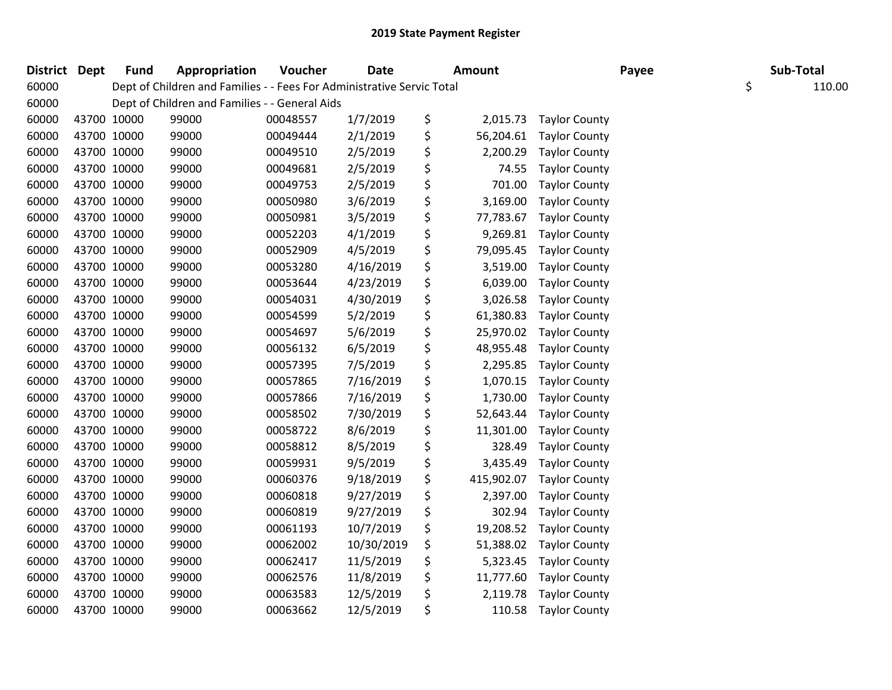| District Dept |             | <b>Fund</b> | Appropriation                                                          | Voucher  | <b>Date</b> | <b>Amount</b>    |                      | Payee | Sub-Total |        |
|---------------|-------------|-------------|------------------------------------------------------------------------|----------|-------------|------------------|----------------------|-------|-----------|--------|
| 60000         |             |             | Dept of Children and Families - - Fees For Administrative Servic Total |          |             |                  |                      |       | \$        | 110.00 |
| 60000         |             |             | Dept of Children and Families - - General Aids                         |          |             |                  |                      |       |           |        |
| 60000         | 43700 10000 |             | 99000                                                                  | 00048557 | 1/7/2019    | \$<br>2,015.73   | <b>Taylor County</b> |       |           |        |
| 60000         | 43700 10000 |             | 99000                                                                  | 00049444 | 2/1/2019    | \$<br>56,204.61  | <b>Taylor County</b> |       |           |        |
| 60000         | 43700 10000 |             | 99000                                                                  | 00049510 | 2/5/2019    | \$<br>2,200.29   | <b>Taylor County</b> |       |           |        |
| 60000         | 43700 10000 |             | 99000                                                                  | 00049681 | 2/5/2019    | \$<br>74.55      | <b>Taylor County</b> |       |           |        |
| 60000         | 43700 10000 |             | 99000                                                                  | 00049753 | 2/5/2019    | \$<br>701.00     | <b>Taylor County</b> |       |           |        |
| 60000         | 43700 10000 |             | 99000                                                                  | 00050980 | 3/6/2019    | \$<br>3,169.00   | <b>Taylor County</b> |       |           |        |
| 60000         | 43700 10000 |             | 99000                                                                  | 00050981 | 3/5/2019    | \$<br>77,783.67  | <b>Taylor County</b> |       |           |        |
| 60000         | 43700 10000 |             | 99000                                                                  | 00052203 | 4/1/2019    | \$<br>9,269.81   | <b>Taylor County</b> |       |           |        |
| 60000         | 43700 10000 |             | 99000                                                                  | 00052909 | 4/5/2019    | \$<br>79,095.45  | <b>Taylor County</b> |       |           |        |
| 60000         | 43700 10000 |             | 99000                                                                  | 00053280 | 4/16/2019   | \$<br>3,519.00   | <b>Taylor County</b> |       |           |        |
| 60000         | 43700 10000 |             | 99000                                                                  | 00053644 | 4/23/2019   | \$<br>6,039.00   | <b>Taylor County</b> |       |           |        |
| 60000         | 43700 10000 |             | 99000                                                                  | 00054031 | 4/30/2019   | \$<br>3,026.58   | <b>Taylor County</b> |       |           |        |
| 60000         | 43700 10000 |             | 99000                                                                  | 00054599 | 5/2/2019    | \$<br>61,380.83  | <b>Taylor County</b> |       |           |        |
| 60000         | 43700 10000 |             | 99000                                                                  | 00054697 | 5/6/2019    | \$<br>25,970.02  | <b>Taylor County</b> |       |           |        |
| 60000         | 43700 10000 |             | 99000                                                                  | 00056132 | 6/5/2019    | \$<br>48,955.48  | <b>Taylor County</b> |       |           |        |
| 60000         | 43700 10000 |             | 99000                                                                  | 00057395 | 7/5/2019    | \$<br>2,295.85   | <b>Taylor County</b> |       |           |        |
| 60000         | 43700 10000 |             | 99000                                                                  | 00057865 | 7/16/2019   | \$<br>1,070.15   | <b>Taylor County</b> |       |           |        |
| 60000         | 43700 10000 |             | 99000                                                                  | 00057866 | 7/16/2019   | \$<br>1,730.00   | <b>Taylor County</b> |       |           |        |
| 60000         | 43700 10000 |             | 99000                                                                  | 00058502 | 7/30/2019   | \$<br>52,643.44  | <b>Taylor County</b> |       |           |        |
| 60000         | 43700 10000 |             | 99000                                                                  | 00058722 | 8/6/2019    | \$<br>11,301.00  | <b>Taylor County</b> |       |           |        |
| 60000         | 43700 10000 |             | 99000                                                                  | 00058812 | 8/5/2019    | \$<br>328.49     | <b>Taylor County</b> |       |           |        |
| 60000         | 43700 10000 |             | 99000                                                                  | 00059931 | 9/5/2019    | \$<br>3,435.49   | <b>Taylor County</b> |       |           |        |
| 60000         | 43700 10000 |             | 99000                                                                  | 00060376 | 9/18/2019   | \$<br>415,902.07 | <b>Taylor County</b> |       |           |        |
| 60000         | 43700 10000 |             | 99000                                                                  | 00060818 | 9/27/2019   | \$<br>2,397.00   | <b>Taylor County</b> |       |           |        |
| 60000         | 43700 10000 |             | 99000                                                                  | 00060819 | 9/27/2019   | \$<br>302.94     | <b>Taylor County</b> |       |           |        |
| 60000         | 43700 10000 |             | 99000                                                                  | 00061193 | 10/7/2019   | \$<br>19,208.52  | <b>Taylor County</b> |       |           |        |
| 60000         | 43700 10000 |             | 99000                                                                  | 00062002 | 10/30/2019  | \$<br>51,388.02  | <b>Taylor County</b> |       |           |        |
| 60000         | 43700 10000 |             | 99000                                                                  | 00062417 | 11/5/2019   | \$<br>5,323.45   | <b>Taylor County</b> |       |           |        |
| 60000         | 43700 10000 |             | 99000                                                                  | 00062576 | 11/8/2019   | \$<br>11,777.60  | <b>Taylor County</b> |       |           |        |
| 60000         | 43700 10000 |             | 99000                                                                  | 00063583 | 12/5/2019   | \$<br>2,119.78   | <b>Taylor County</b> |       |           |        |
| 60000         | 43700 10000 |             | 99000                                                                  | 00063662 | 12/5/2019   | \$<br>110.58     | <b>Taylor County</b> |       |           |        |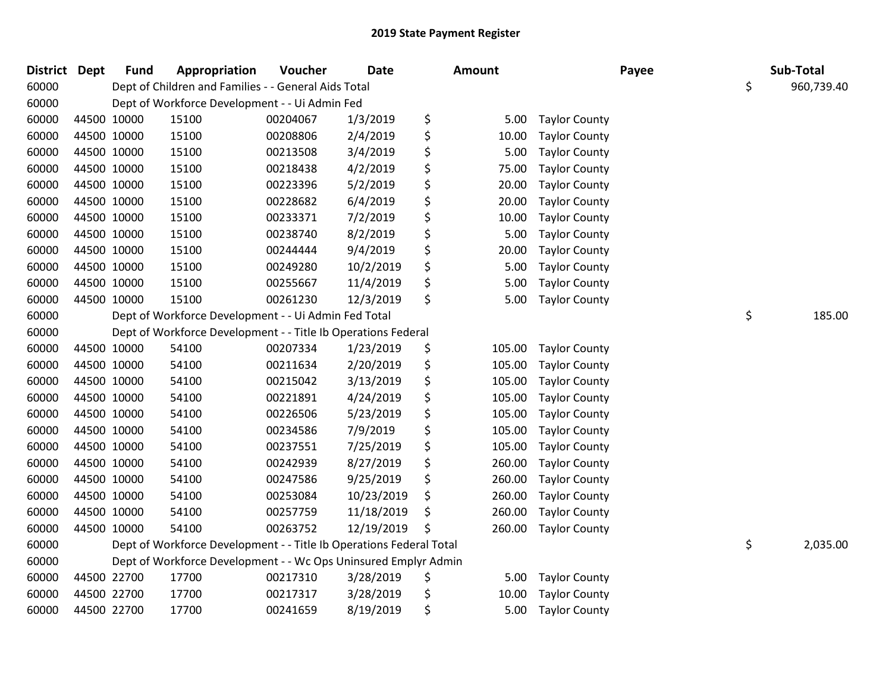| <b>District</b> | Dept        | <b>Fund</b> | Appropriation                                                       | Voucher  | <b>Date</b> | <b>Amount</b> |                      | Payee | Sub-Total        |
|-----------------|-------------|-------------|---------------------------------------------------------------------|----------|-------------|---------------|----------------------|-------|------------------|
| 60000           |             |             | Dept of Children and Families - - General Aids Total                |          |             |               |                      |       | \$<br>960,739.40 |
| 60000           |             |             | Dept of Workforce Development - - Ui Admin Fed                      |          |             |               |                      |       |                  |
| 60000           | 44500 10000 |             | 15100                                                               | 00204067 | 1/3/2019    | \$<br>5.00    | <b>Taylor County</b> |       |                  |
| 60000           | 44500 10000 |             | 15100                                                               | 00208806 | 2/4/2019    | \$<br>10.00   | <b>Taylor County</b> |       |                  |
| 60000           | 44500 10000 |             | 15100                                                               | 00213508 | 3/4/2019    | \$<br>5.00    | <b>Taylor County</b> |       |                  |
| 60000           |             | 44500 10000 | 15100                                                               | 00218438 | 4/2/2019    | \$<br>75.00   | <b>Taylor County</b> |       |                  |
| 60000           | 44500 10000 |             | 15100                                                               | 00223396 | 5/2/2019    | \$<br>20.00   | <b>Taylor County</b> |       |                  |
| 60000           | 44500 10000 |             | 15100                                                               | 00228682 | 6/4/2019    | \$<br>20.00   | <b>Taylor County</b> |       |                  |
| 60000           | 44500 10000 |             | 15100                                                               | 00233371 | 7/2/2019    | \$<br>10.00   | <b>Taylor County</b> |       |                  |
| 60000           | 44500 10000 |             | 15100                                                               | 00238740 | 8/2/2019    | \$<br>5.00    | <b>Taylor County</b> |       |                  |
| 60000           |             | 44500 10000 | 15100                                                               | 00244444 | 9/4/2019    | \$<br>20.00   | <b>Taylor County</b> |       |                  |
| 60000           | 44500 10000 |             | 15100                                                               | 00249280 | 10/2/2019   | \$<br>5.00    | <b>Taylor County</b> |       |                  |
| 60000           | 44500 10000 |             | 15100                                                               | 00255667 | 11/4/2019   | \$<br>5.00    | <b>Taylor County</b> |       |                  |
| 60000           | 44500 10000 |             | 15100                                                               | 00261230 | 12/3/2019   | \$<br>5.00    | <b>Taylor County</b> |       |                  |
| 60000           |             |             | Dept of Workforce Development - - Ui Admin Fed Total                |          |             |               |                      |       | \$<br>185.00     |
| 60000           |             |             | Dept of Workforce Development - - Title Ib Operations Federal       |          |             |               |                      |       |                  |
| 60000           | 44500 10000 |             | 54100                                                               | 00207334 | 1/23/2019   | \$<br>105.00  | <b>Taylor County</b> |       |                  |
| 60000           | 44500 10000 |             | 54100                                                               | 00211634 | 2/20/2019   | \$<br>105.00  | <b>Taylor County</b> |       |                  |
| 60000           | 44500 10000 |             | 54100                                                               | 00215042 | 3/13/2019   | \$<br>105.00  | <b>Taylor County</b> |       |                  |
| 60000           | 44500 10000 |             | 54100                                                               | 00221891 | 4/24/2019   | \$<br>105.00  | <b>Taylor County</b> |       |                  |
| 60000           |             | 44500 10000 | 54100                                                               | 00226506 | 5/23/2019   | \$<br>105.00  | <b>Taylor County</b> |       |                  |
| 60000           | 44500 10000 |             | 54100                                                               | 00234586 | 7/9/2019    | \$<br>105.00  | <b>Taylor County</b> |       |                  |
| 60000           | 44500 10000 |             | 54100                                                               | 00237551 | 7/25/2019   | \$<br>105.00  | <b>Taylor County</b> |       |                  |
| 60000           | 44500 10000 |             | 54100                                                               | 00242939 | 8/27/2019   | \$<br>260.00  | <b>Taylor County</b> |       |                  |
| 60000           | 44500 10000 |             | 54100                                                               | 00247586 | 9/25/2019   | \$<br>260.00  | <b>Taylor County</b> |       |                  |
| 60000           | 44500 10000 |             | 54100                                                               | 00253084 | 10/23/2019  | \$<br>260.00  | <b>Taylor County</b> |       |                  |
| 60000           | 44500 10000 |             | 54100                                                               | 00257759 | 11/18/2019  | \$<br>260.00  | <b>Taylor County</b> |       |                  |
| 60000           | 44500 10000 |             | 54100                                                               | 00263752 | 12/19/2019  | \$<br>260.00  | <b>Taylor County</b> |       |                  |
| 60000           |             |             | Dept of Workforce Development - - Title Ib Operations Federal Total |          |             |               |                      |       | \$<br>2,035.00   |
| 60000           |             |             | Dept of Workforce Development - - Wc Ops Uninsured Emplyr Admin     |          |             |               |                      |       |                  |
| 60000           | 44500 22700 |             | 17700                                                               | 00217310 | 3/28/2019   | \$<br>5.00    | <b>Taylor County</b> |       |                  |
| 60000           | 44500 22700 |             | 17700                                                               | 00217317 | 3/28/2019   | \$<br>10.00   | <b>Taylor County</b> |       |                  |
| 60000           | 44500 22700 |             | 17700                                                               | 00241659 | 8/19/2019   | \$<br>5.00    | <b>Taylor County</b> |       |                  |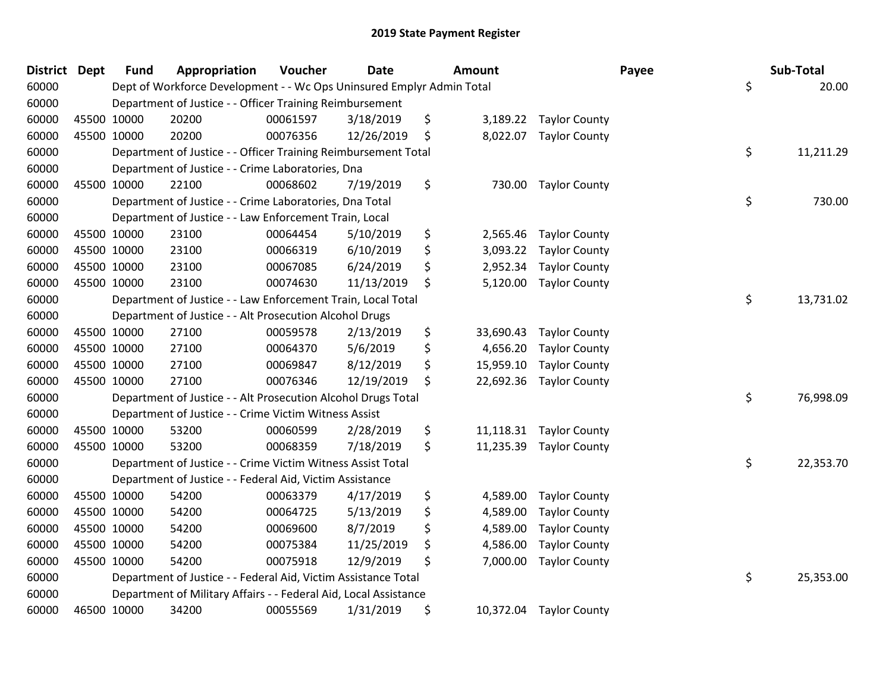| District Dept |             | <b>Fund</b> | Appropriation                                                         | Voucher  | <b>Date</b> | Amount          |                        | Payee | Sub-Total |
|---------------|-------------|-------------|-----------------------------------------------------------------------|----------|-------------|-----------------|------------------------|-------|-----------|
| 60000         |             |             | Dept of Workforce Development - - Wc Ops Uninsured Emplyr Admin Total |          |             |                 |                        | \$    | 20.00     |
| 60000         |             |             | Department of Justice - - Officer Training Reimbursement              |          |             |                 |                        |       |           |
| 60000         | 45500 10000 |             | 20200                                                                 | 00061597 | 3/18/2019   | \$              | 3,189.22 Taylor County |       |           |
| 60000         | 45500 10000 |             | 20200                                                                 | 00076356 | 12/26/2019  | \$<br>8,022.07  | <b>Taylor County</b>   |       |           |
| 60000         |             |             | Department of Justice - - Officer Training Reimbursement Total        |          |             |                 |                        | \$    | 11,211.29 |
| 60000         |             |             | Department of Justice - - Crime Laboratories, Dna                     |          |             |                 |                        |       |           |
| 60000         | 45500 10000 |             | 22100                                                                 | 00068602 | 7/19/2019   | \$<br>730.00    | <b>Taylor County</b>   |       |           |
| 60000         |             |             | Department of Justice - - Crime Laboratories, Dna Total               |          |             |                 |                        | \$    | 730.00    |
| 60000         |             |             | Department of Justice - - Law Enforcement Train, Local                |          |             |                 |                        |       |           |
| 60000         | 45500 10000 |             | 23100                                                                 | 00064454 | 5/10/2019   | \$<br>2,565.46  | <b>Taylor County</b>   |       |           |
| 60000         | 45500 10000 |             | 23100                                                                 | 00066319 | 6/10/2019   | \$<br>3,093.22  | <b>Taylor County</b>   |       |           |
| 60000         | 45500 10000 |             | 23100                                                                 | 00067085 | 6/24/2019   | \$<br>2,952.34  | <b>Taylor County</b>   |       |           |
| 60000         | 45500 10000 |             | 23100                                                                 | 00074630 | 11/13/2019  | \$<br>5,120.00  | <b>Taylor County</b>   |       |           |
| 60000         |             |             | Department of Justice - - Law Enforcement Train, Local Total          |          |             |                 |                        | \$    | 13,731.02 |
| 60000         |             |             | Department of Justice - - Alt Prosecution Alcohol Drugs               |          |             |                 |                        |       |           |
| 60000         | 45500 10000 |             | 27100                                                                 | 00059578 | 2/13/2019   | \$<br>33,690.43 | <b>Taylor County</b>   |       |           |
| 60000         | 45500 10000 |             | 27100                                                                 | 00064370 | 5/6/2019    | \$<br>4,656.20  | <b>Taylor County</b>   |       |           |
| 60000         | 45500 10000 |             | 27100                                                                 | 00069847 | 8/12/2019   | \$<br>15,959.10 | <b>Taylor County</b>   |       |           |
| 60000         | 45500 10000 |             | 27100                                                                 | 00076346 | 12/19/2019  | \$<br>22,692.36 | <b>Taylor County</b>   |       |           |
| 60000         |             |             | Department of Justice - - Alt Prosecution Alcohol Drugs Total         |          |             |                 |                        | \$    | 76,998.09 |
| 60000         |             |             | Department of Justice - - Crime Victim Witness Assist                 |          |             |                 |                        |       |           |
| 60000         | 45500 10000 |             | 53200                                                                 | 00060599 | 2/28/2019   | \$<br>11,118.31 | <b>Taylor County</b>   |       |           |
| 60000         | 45500 10000 |             | 53200                                                                 | 00068359 | 7/18/2019   | \$<br>11,235.39 | <b>Taylor County</b>   |       |           |
| 60000         |             |             | Department of Justice - - Crime Victim Witness Assist Total           |          |             |                 |                        | \$    | 22,353.70 |
| 60000         |             |             | Department of Justice - - Federal Aid, Victim Assistance              |          |             |                 |                        |       |           |
| 60000         | 45500 10000 |             | 54200                                                                 | 00063379 | 4/17/2019   | \$<br>4,589.00  | <b>Taylor County</b>   |       |           |
| 60000         | 45500 10000 |             | 54200                                                                 | 00064725 | 5/13/2019   | \$<br>4,589.00  | <b>Taylor County</b>   |       |           |
| 60000         | 45500 10000 |             | 54200                                                                 | 00069600 | 8/7/2019    | \$<br>4,589.00  | <b>Taylor County</b>   |       |           |
| 60000         | 45500 10000 |             | 54200                                                                 | 00075384 | 11/25/2019  | \$<br>4,586.00  | <b>Taylor County</b>   |       |           |
| 60000         | 45500 10000 |             | 54200                                                                 | 00075918 | 12/9/2019   | \$<br>7,000.00  | <b>Taylor County</b>   |       |           |
| 60000         |             |             | Department of Justice - - Federal Aid, Victim Assistance Total        |          |             |                 |                        | \$    | 25,353.00 |
| 60000         |             |             | Department of Military Affairs - - Federal Aid, Local Assistance      |          |             |                 |                        |       |           |
| 60000         | 46500 10000 |             | 34200                                                                 | 00055569 | 1/31/2019   | \$<br>10,372.04 | <b>Taylor County</b>   |       |           |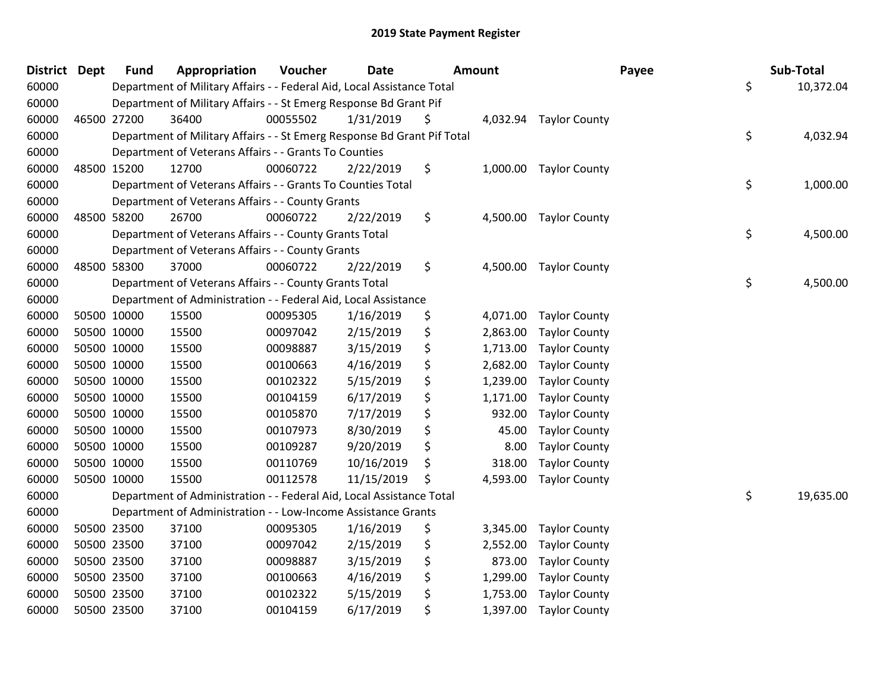| <b>District</b> | Dept        | <b>Fund</b> | Appropriation                                                           | Voucher  | <b>Date</b> | <b>Amount</b> |          |                        | Payee | Sub-Total       |
|-----------------|-------------|-------------|-------------------------------------------------------------------------|----------|-------------|---------------|----------|------------------------|-------|-----------------|
| 60000           |             |             | Department of Military Affairs - - Federal Aid, Local Assistance Total  |          |             |               |          |                        |       | \$<br>10,372.04 |
| 60000           |             |             | Department of Military Affairs - - St Emerg Response Bd Grant Pif       |          |             |               |          |                        |       |                 |
| 60000           | 46500 27200 |             | 36400                                                                   | 00055502 | 1/31/2019   | \$            |          | 4,032.94 Taylor County |       |                 |
| 60000           |             |             | Department of Military Affairs - - St Emerg Response Bd Grant Pif Total |          |             |               |          |                        |       | \$<br>4,032.94  |
| 60000           |             |             | Department of Veterans Affairs - - Grants To Counties                   |          |             |               |          |                        |       |                 |
| 60000           | 48500 15200 |             | 12700                                                                   | 00060722 | 2/22/2019   | \$            |          | 1,000.00 Taylor County |       |                 |
| 60000           |             |             | Department of Veterans Affairs - - Grants To Counties Total             |          |             |               |          |                        |       | \$<br>1,000.00  |
| 60000           |             |             | Department of Veterans Affairs - - County Grants                        |          |             |               |          |                        |       |                 |
| 60000           | 48500 58200 |             | 26700                                                                   | 00060722 | 2/22/2019   | \$            | 4,500.00 | <b>Taylor County</b>   |       |                 |
| 60000           |             |             | Department of Veterans Affairs - - County Grants Total                  |          |             |               |          |                        |       | \$<br>4,500.00  |
| 60000           |             |             | Department of Veterans Affairs - - County Grants                        |          |             |               |          |                        |       |                 |
| 60000           | 48500 58300 |             | 37000                                                                   | 00060722 | 2/22/2019   | \$            | 4,500.00 | <b>Taylor County</b>   |       |                 |
| 60000           |             |             | Department of Veterans Affairs - - County Grants Total                  |          |             |               |          |                        |       | \$<br>4,500.00  |
| 60000           |             |             | Department of Administration - - Federal Aid, Local Assistance          |          |             |               |          |                        |       |                 |
| 60000           | 50500 10000 |             | 15500                                                                   | 00095305 | 1/16/2019   | \$            | 4,071.00 | <b>Taylor County</b>   |       |                 |
| 60000           | 50500 10000 |             | 15500                                                                   | 00097042 | 2/15/2019   | \$            | 2,863.00 | <b>Taylor County</b>   |       |                 |
| 60000           | 50500 10000 |             | 15500                                                                   | 00098887 | 3/15/2019   | \$            | 1,713.00 | <b>Taylor County</b>   |       |                 |
| 60000           | 50500 10000 |             | 15500                                                                   | 00100663 | 4/16/2019   | \$            | 2,682.00 | <b>Taylor County</b>   |       |                 |
| 60000           | 50500 10000 |             | 15500                                                                   | 00102322 | 5/15/2019   | \$            | 1,239.00 | <b>Taylor County</b>   |       |                 |
| 60000           | 50500 10000 |             | 15500                                                                   | 00104159 | 6/17/2019   | \$            | 1,171.00 | <b>Taylor County</b>   |       |                 |
| 60000           | 50500 10000 |             | 15500                                                                   | 00105870 | 7/17/2019   | \$            | 932.00   | <b>Taylor County</b>   |       |                 |
| 60000           | 50500 10000 |             | 15500                                                                   | 00107973 | 8/30/2019   | \$            | 45.00    | <b>Taylor County</b>   |       |                 |
| 60000           | 50500 10000 |             | 15500                                                                   | 00109287 | 9/20/2019   | \$            | 8.00     | <b>Taylor County</b>   |       |                 |
| 60000           | 50500 10000 |             | 15500                                                                   | 00110769 | 10/16/2019  | \$            | 318.00   | <b>Taylor County</b>   |       |                 |
| 60000           | 50500 10000 |             | 15500                                                                   | 00112578 | 11/15/2019  | \$            | 4,593.00 | <b>Taylor County</b>   |       |                 |
| 60000           |             |             | Department of Administration - - Federal Aid, Local Assistance Total    |          |             |               |          |                        |       | \$<br>19,635.00 |
| 60000           |             |             | Department of Administration - - Low-Income Assistance Grants           |          |             |               |          |                        |       |                 |
| 60000           | 50500 23500 |             | 37100                                                                   | 00095305 | 1/16/2019   | \$            | 3,345.00 | <b>Taylor County</b>   |       |                 |
| 60000           | 50500 23500 |             | 37100                                                                   | 00097042 | 2/15/2019   | \$            | 2,552.00 | <b>Taylor County</b>   |       |                 |
| 60000           | 50500 23500 |             | 37100                                                                   | 00098887 | 3/15/2019   | \$            | 873.00   | <b>Taylor County</b>   |       |                 |
| 60000           | 50500 23500 |             | 37100                                                                   | 00100663 | 4/16/2019   | \$            | 1,299.00 | <b>Taylor County</b>   |       |                 |
| 60000           | 50500 23500 |             | 37100                                                                   | 00102322 | 5/15/2019   | \$            | 1,753.00 | <b>Taylor County</b>   |       |                 |
| 60000           | 50500 23500 |             | 37100                                                                   | 00104159 | 6/17/2019   | \$            | 1,397.00 | <b>Taylor County</b>   |       |                 |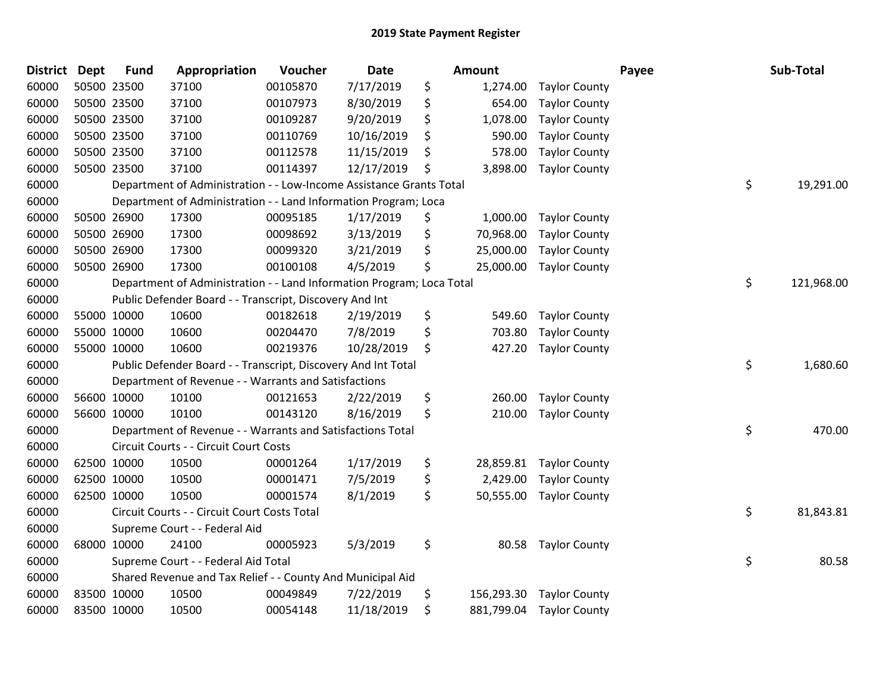| <b>District</b> | <b>Dept</b> | <b>Fund</b> | Appropriation                                                         | Voucher  | <b>Date</b> | <b>Amount</b>    |                      | Payee | Sub-Total        |
|-----------------|-------------|-------------|-----------------------------------------------------------------------|----------|-------------|------------------|----------------------|-------|------------------|
| 60000           |             | 50500 23500 | 37100                                                                 | 00105870 | 7/17/2019   | \$<br>1,274.00   | <b>Taylor County</b> |       |                  |
| 60000           |             | 50500 23500 | 37100                                                                 | 00107973 | 8/30/2019   | \$<br>654.00     | <b>Taylor County</b> |       |                  |
| 60000           |             | 50500 23500 | 37100                                                                 | 00109287 | 9/20/2019   | \$<br>1,078.00   | <b>Taylor County</b> |       |                  |
| 60000           |             | 50500 23500 | 37100                                                                 | 00110769 | 10/16/2019  | \$<br>590.00     | <b>Taylor County</b> |       |                  |
| 60000           |             | 50500 23500 | 37100                                                                 | 00112578 | 11/15/2019  | \$<br>578.00     | <b>Taylor County</b> |       |                  |
| 60000           |             | 50500 23500 | 37100                                                                 | 00114397 | 12/17/2019  | \$<br>3,898.00   | <b>Taylor County</b> |       |                  |
| 60000           |             |             | Department of Administration - - Low-Income Assistance Grants Total   |          |             |                  |                      |       | \$<br>19,291.00  |
| 60000           |             |             | Department of Administration - - Land Information Program; Loca       |          |             |                  |                      |       |                  |
| 60000           |             | 50500 26900 | 17300                                                                 | 00095185 | 1/17/2019   | \$<br>1,000.00   | <b>Taylor County</b> |       |                  |
| 60000           |             | 50500 26900 | 17300                                                                 | 00098692 | 3/13/2019   | \$<br>70,968.00  | <b>Taylor County</b> |       |                  |
| 60000           |             | 50500 26900 | 17300                                                                 | 00099320 | 3/21/2019   | \$<br>25,000.00  | <b>Taylor County</b> |       |                  |
| 60000           |             | 50500 26900 | 17300                                                                 | 00100108 | 4/5/2019    | \$<br>25,000.00  | <b>Taylor County</b> |       |                  |
| 60000           |             |             | Department of Administration - - Land Information Program; Loca Total |          |             |                  |                      |       | \$<br>121,968.00 |
| 60000           |             |             | Public Defender Board - - Transcript, Discovery And Int               |          |             |                  |                      |       |                  |
| 60000           |             | 55000 10000 | 10600                                                                 | 00182618 | 2/19/2019   | \$<br>549.60     | <b>Taylor County</b> |       |                  |
| 60000           |             | 55000 10000 | 10600                                                                 | 00204470 | 7/8/2019    | \$<br>703.80     | <b>Taylor County</b> |       |                  |
| 60000           |             | 55000 10000 | 10600                                                                 | 00219376 | 10/28/2019  | \$<br>427.20     | <b>Taylor County</b> |       |                  |
| 60000           |             |             | Public Defender Board - - Transcript, Discovery And Int Total         |          |             |                  |                      |       | \$<br>1,680.60   |
| 60000           |             |             | Department of Revenue - - Warrants and Satisfactions                  |          |             |                  |                      |       |                  |
| 60000           |             | 56600 10000 | 10100                                                                 | 00121653 | 2/22/2019   | \$<br>260.00     | <b>Taylor County</b> |       |                  |
| 60000           |             | 56600 10000 | 10100                                                                 | 00143120 | 8/16/2019   | \$<br>210.00     | <b>Taylor County</b> |       |                  |
| 60000           |             |             | Department of Revenue - - Warrants and Satisfactions Total            |          |             |                  |                      |       | \$<br>470.00     |
| 60000           |             |             | Circuit Courts - - Circuit Court Costs                                |          |             |                  |                      |       |                  |
| 60000           |             | 62500 10000 | 10500                                                                 | 00001264 | 1/17/2019   | \$<br>28,859.81  | <b>Taylor County</b> |       |                  |
| 60000           |             | 62500 10000 | 10500                                                                 | 00001471 | 7/5/2019    | \$<br>2,429.00   | <b>Taylor County</b> |       |                  |
| 60000           |             | 62500 10000 | 10500                                                                 | 00001574 | 8/1/2019    | \$<br>50,555.00  | <b>Taylor County</b> |       |                  |
| 60000           |             |             | Circuit Courts - - Circuit Court Costs Total                          |          |             |                  |                      |       | \$<br>81,843.81  |
| 60000           |             |             | Supreme Court - - Federal Aid                                         |          |             |                  |                      |       |                  |
| 60000           |             | 68000 10000 | 24100                                                                 | 00005923 | 5/3/2019    | \$<br>80.58      | <b>Taylor County</b> |       |                  |
| 60000           |             |             | Supreme Court - - Federal Aid Total                                   |          |             |                  |                      |       | \$<br>80.58      |
| 60000           |             |             | Shared Revenue and Tax Relief - - County And Municipal Aid            |          |             |                  |                      |       |                  |
| 60000           |             | 83500 10000 | 10500                                                                 | 00049849 | 7/22/2019   | \$<br>156,293.30 | <b>Taylor County</b> |       |                  |
| 60000           |             | 83500 10000 | 10500                                                                 | 00054148 | 11/18/2019  | \$<br>881,799.04 | <b>Taylor County</b> |       |                  |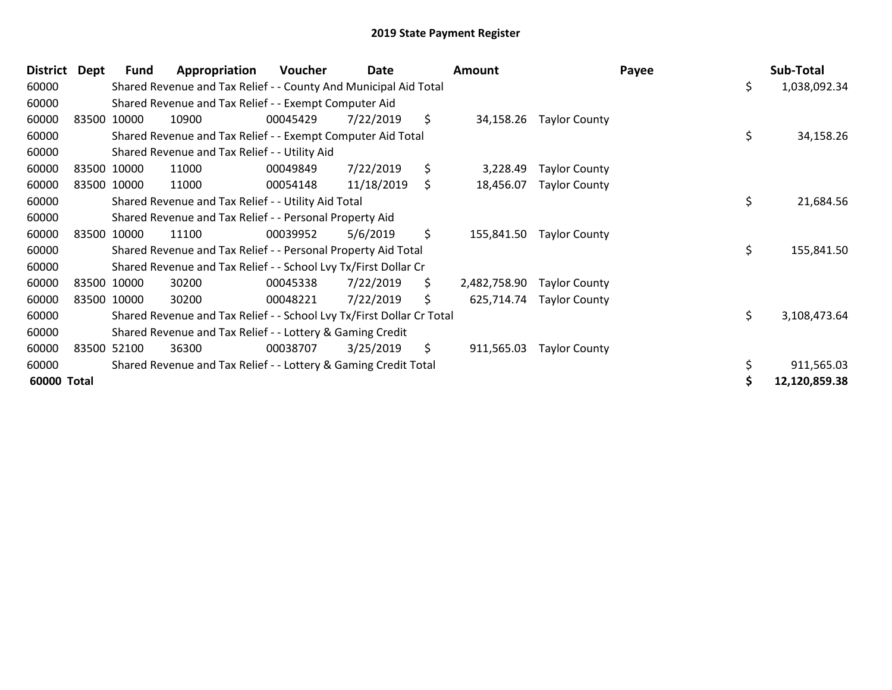| <b>District</b> | Dept | <b>Fund</b> | Appropriation                                                         | Voucher  | Date       |     | Amount       |                      | Payee | Sub-Total     |
|-----------------|------|-------------|-----------------------------------------------------------------------|----------|------------|-----|--------------|----------------------|-------|---------------|
| 60000           |      |             | Shared Revenue and Tax Relief - - County And Municipal Aid Total      |          |            |     |              |                      | \$    | 1,038,092.34  |
| 60000           |      |             | Shared Revenue and Tax Relief - - Exempt Computer Aid                 |          |            |     |              |                      |       |               |
| 60000           |      | 83500 10000 | 10900                                                                 | 00045429 | 7/22/2019  | \$  | 34,158.26    | <b>Taylor County</b> |       |               |
| 60000           |      |             | Shared Revenue and Tax Relief - - Exempt Computer Aid Total           |          |            |     |              |                      | \$    | 34,158.26     |
| 60000           |      |             | Shared Revenue and Tax Relief - - Utility Aid                         |          |            |     |              |                      |       |               |
| 60000           |      | 83500 10000 | 11000                                                                 | 00049849 | 7/22/2019  | \$  | 3,228.49     | <b>Taylor County</b> |       |               |
| 60000           |      | 83500 10000 | 11000                                                                 | 00054148 | 11/18/2019 | \$  | 18,456.07    | <b>Taylor County</b> |       |               |
| 60000           |      |             | Shared Revenue and Tax Relief - - Utility Aid Total                   |          |            |     |              |                      | \$    | 21,684.56     |
| 60000           |      |             | Shared Revenue and Tax Relief - - Personal Property Aid               |          |            |     |              |                      |       |               |
| 60000           |      | 83500 10000 | 11100                                                                 | 00039952 | 5/6/2019   | \$  | 155,841.50   | <b>Taylor County</b> |       |               |
| 60000           |      |             | Shared Revenue and Tax Relief - - Personal Property Aid Total         |          |            |     |              |                      | \$    | 155,841.50    |
| 60000           |      |             | Shared Revenue and Tax Relief - - School Lvy Tx/First Dollar Cr       |          |            |     |              |                      |       |               |
| 60000           |      | 83500 10000 | 30200                                                                 | 00045338 | 7/22/2019  | \$. | 2,482,758.90 | <b>Taylor County</b> |       |               |
| 60000           |      | 83500 10000 | 30200                                                                 | 00048221 | 7/22/2019  | \$  | 625,714.74   | <b>Taylor County</b> |       |               |
| 60000           |      |             | Shared Revenue and Tax Relief - - School Lvy Tx/First Dollar Cr Total |          |            |     |              |                      | \$    | 3,108,473.64  |
| 60000           |      |             | Shared Revenue and Tax Relief - - Lottery & Gaming Credit             |          |            |     |              |                      |       |               |
| 60000           |      | 83500 52100 | 36300                                                                 | 00038707 | 3/25/2019  | \$  | 911,565.03   | <b>Taylor County</b> |       |               |
| 60000           |      |             | Shared Revenue and Tax Relief - - Lottery & Gaming Credit Total       |          |            |     |              |                      |       | 911,565.03    |
| 60000 Total     |      |             |                                                                       |          |            |     |              |                      |       | 12,120,859.38 |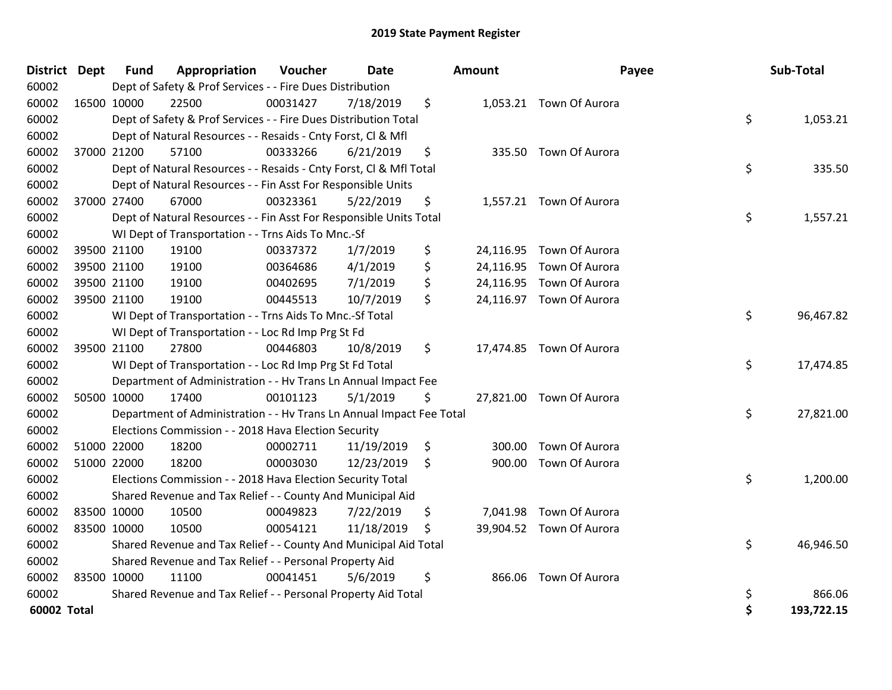| District Dept |             | <b>Fund</b> | Appropriation                                                        | Voucher  | <b>Date</b> | Amount | Payee                    | Sub-Total        |
|---------------|-------------|-------------|----------------------------------------------------------------------|----------|-------------|--------|--------------------------|------------------|
| 60002         |             |             | Dept of Safety & Prof Services - - Fire Dues Distribution            |          |             |        |                          |                  |
| 60002         |             | 16500 10000 | 22500                                                                | 00031427 | 7/18/2019   | \$     | 1,053.21 Town Of Aurora  |                  |
| 60002         |             |             | Dept of Safety & Prof Services - - Fire Dues Distribution Total      |          |             |        |                          | \$<br>1,053.21   |
| 60002         |             |             | Dept of Natural Resources - - Resaids - Cnty Forst, Cl & Mfl         |          |             |        |                          |                  |
| 60002         |             | 37000 21200 | 57100                                                                | 00333266 | 6/21/2019   | \$     | 335.50 Town Of Aurora    |                  |
| 60002         |             |             | Dept of Natural Resources - - Resaids - Cnty Forst, CI & Mfl Total   |          |             |        |                          | \$<br>335.50     |
| 60002         |             |             | Dept of Natural Resources - - Fin Asst For Responsible Units         |          |             |        |                          |                  |
| 60002         |             | 37000 27400 | 67000                                                                | 00323361 | 5/22/2019   | \$     | 1,557.21 Town Of Aurora  |                  |
| 60002         |             |             | Dept of Natural Resources - - Fin Asst For Responsible Units Total   |          |             |        |                          | \$<br>1,557.21   |
| 60002         |             |             | WI Dept of Transportation - - Trns Aids To Mnc.-Sf                   |          |             |        |                          |                  |
| 60002         |             | 39500 21100 | 19100                                                                | 00337372 | 1/7/2019    | \$     | 24,116.95 Town Of Aurora |                  |
| 60002         |             | 39500 21100 | 19100                                                                | 00364686 | 4/1/2019    | \$     | 24,116.95 Town Of Aurora |                  |
| 60002         |             | 39500 21100 | 19100                                                                | 00402695 | 7/1/2019    | \$     | 24,116.95 Town Of Aurora |                  |
| 60002         |             | 39500 21100 | 19100                                                                | 00445513 | 10/7/2019   | \$     | 24,116.97 Town Of Aurora |                  |
| 60002         |             |             | WI Dept of Transportation - - Trns Aids To Mnc.-Sf Total             |          |             |        |                          | \$<br>96,467.82  |
| 60002         |             |             | WI Dept of Transportation - - Loc Rd Imp Prg St Fd                   |          |             |        |                          |                  |
| 60002         |             | 39500 21100 | 27800                                                                | 00446803 | 10/8/2019   | \$     | 17,474.85 Town Of Aurora |                  |
| 60002         |             |             | WI Dept of Transportation - - Loc Rd Imp Prg St Fd Total             |          |             |        |                          | \$<br>17,474.85  |
| 60002         |             |             | Department of Administration - - Hv Trans Ln Annual Impact Fee       |          |             |        |                          |                  |
| 60002         |             | 50500 10000 | 17400                                                                | 00101123 | 5/1/2019    | \$     | 27,821.00 Town Of Aurora |                  |
| 60002         |             |             | Department of Administration - - Hv Trans Ln Annual Impact Fee Total |          |             |        |                          | \$<br>27,821.00  |
| 60002         |             |             | Elections Commission - - 2018 Hava Election Security                 |          |             |        |                          |                  |
| 60002         |             | 51000 22000 | 18200                                                                | 00002711 | 11/19/2019  | \$     | 300.00 Town Of Aurora    |                  |
| 60002         |             | 51000 22000 | 18200                                                                | 00003030 | 12/23/2019  | \$     | 900.00 Town Of Aurora    |                  |
| 60002         |             |             | Elections Commission - - 2018 Hava Election Security Total           |          |             |        |                          | \$<br>1,200.00   |
| 60002         |             |             | Shared Revenue and Tax Relief - - County And Municipal Aid           |          |             |        |                          |                  |
| 60002         | 83500 10000 |             | 10500                                                                | 00049823 | 7/22/2019   | \$     | 7,041.98 Town Of Aurora  |                  |
| 60002         | 83500 10000 |             | 10500                                                                | 00054121 | 11/18/2019  | \$     | 39,904.52 Town Of Aurora |                  |
| 60002         |             |             | Shared Revenue and Tax Relief - - County And Municipal Aid Total     |          |             |        |                          | \$<br>46,946.50  |
| 60002         |             |             | Shared Revenue and Tax Relief - - Personal Property Aid              |          |             |        |                          |                  |
| 60002         |             | 83500 10000 | 11100                                                                | 00041451 | 5/6/2019    | \$     | 866.06 Town Of Aurora    |                  |
| 60002         |             |             | Shared Revenue and Tax Relief - - Personal Property Aid Total        |          |             |        |                          | \$<br>866.06     |
| 60002 Total   |             |             |                                                                      |          |             |        |                          | \$<br>193,722.15 |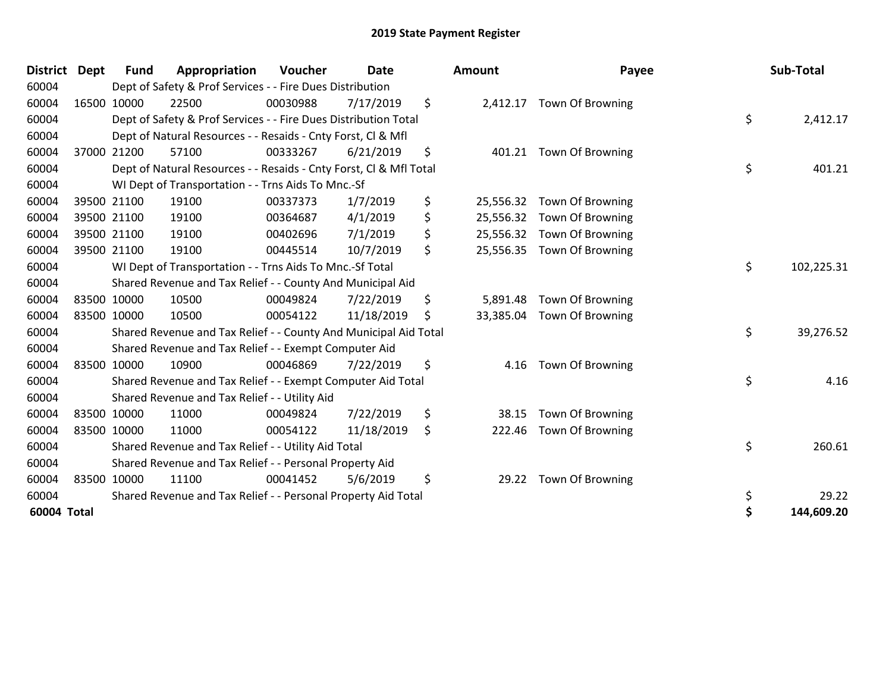| <b>District</b> | <b>Dept</b> | <b>Fund</b> | Appropriation                                                      | Voucher  | <b>Date</b> | Amount          | Payee                      | Sub-Total        |
|-----------------|-------------|-------------|--------------------------------------------------------------------|----------|-------------|-----------------|----------------------------|------------------|
| 60004           |             |             | Dept of Safety & Prof Services - - Fire Dues Distribution          |          |             |                 |                            |                  |
| 60004           |             | 16500 10000 | 22500                                                              | 00030988 | 7/17/2019   | \$              | 2,412.17 Town Of Browning  |                  |
| 60004           |             |             | Dept of Safety & Prof Services - - Fire Dues Distribution Total    |          |             |                 |                            | \$<br>2,412.17   |
| 60004           |             |             | Dept of Natural Resources - - Resaids - Cnty Forst, CI & Mfl       |          |             |                 |                            |                  |
| 60004           |             | 37000 21200 | 57100                                                              | 00333267 | 6/21/2019   | \$<br>401.21    | <b>Town Of Browning</b>    |                  |
| 60004           |             |             | Dept of Natural Resources - - Resaids - Cnty Forst, CI & Mfl Total |          |             |                 |                            | \$<br>401.21     |
| 60004           |             |             | WI Dept of Transportation - - Trns Aids To Mnc.-Sf                 |          |             |                 |                            |                  |
| 60004           |             | 39500 21100 | 19100                                                              | 00337373 | 1/7/2019    | \$<br>25,556.32 | Town Of Browning           |                  |
| 60004           |             | 39500 21100 | 19100                                                              | 00364687 | 4/1/2019    | \$<br>25,556.32 | <b>Town Of Browning</b>    |                  |
| 60004           |             | 39500 21100 | 19100                                                              | 00402696 | 7/1/2019    | \$<br>25,556.32 | Town Of Browning           |                  |
| 60004           |             | 39500 21100 | 19100                                                              | 00445514 | 10/7/2019   | \$              | 25,556.35 Town Of Browning |                  |
| 60004           |             |             | WI Dept of Transportation - - Trns Aids To Mnc.-Sf Total           |          |             |                 |                            | \$<br>102,225.31 |
| 60004           |             |             | Shared Revenue and Tax Relief - - County And Municipal Aid         |          |             |                 |                            |                  |
| 60004           |             | 83500 10000 | 10500                                                              | 00049824 | 7/22/2019   | \$<br>5,891.48  | Town Of Browning           |                  |
| 60004           |             | 83500 10000 | 10500                                                              | 00054122 | 11/18/2019  | \$<br>33,385.04 | Town Of Browning           |                  |
| 60004           |             |             | Shared Revenue and Tax Relief - - County And Municipal Aid Total   |          |             |                 |                            | \$<br>39,276.52  |
| 60004           |             |             | Shared Revenue and Tax Relief - - Exempt Computer Aid              |          |             |                 |                            |                  |
| 60004           |             | 83500 10000 | 10900                                                              | 00046869 | 7/22/2019   | \$<br>4.16      | Town Of Browning           |                  |
| 60004           |             |             | Shared Revenue and Tax Relief - - Exempt Computer Aid Total        |          |             |                 |                            | \$<br>4.16       |
| 60004           |             |             | Shared Revenue and Tax Relief - - Utility Aid                      |          |             |                 |                            |                  |
| 60004           |             | 83500 10000 | 11000                                                              | 00049824 | 7/22/2019   | \$<br>38.15     | <b>Town Of Browning</b>    |                  |
| 60004           |             | 83500 10000 | 11000                                                              | 00054122 | 11/18/2019  | \$<br>222.46    | Town Of Browning           |                  |
| 60004           |             |             | Shared Revenue and Tax Relief - - Utility Aid Total                |          |             |                 |                            | \$<br>260.61     |
| 60004           |             |             | Shared Revenue and Tax Relief - - Personal Property Aid            |          |             |                 |                            |                  |
| 60004           |             | 83500 10000 | 11100                                                              | 00041452 | 5/6/2019    | \$<br>29.22     | Town Of Browning           |                  |
| 60004           |             |             | Shared Revenue and Tax Relief - - Personal Property Aid Total      |          |             |                 |                            | \$<br>29.22      |
| 60004 Total     |             |             |                                                                    |          |             |                 |                            | \$<br>144,609.20 |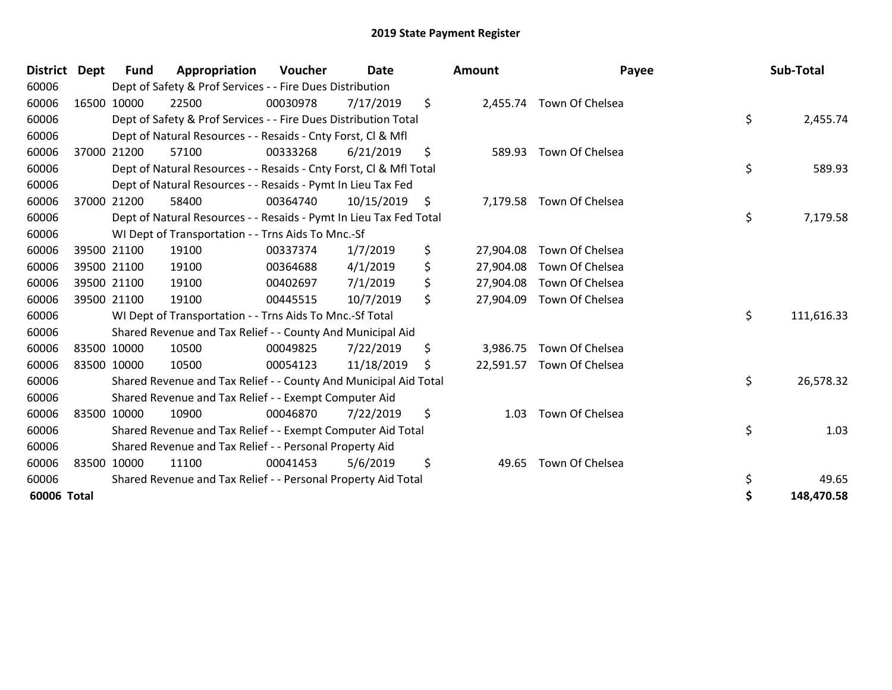| <b>District</b> | <b>Dept</b> | Fund | Appropriation                                                      | Voucher  | Date       | <b>Amount</b>   | Payee                     | Sub-Total        |
|-----------------|-------------|------|--------------------------------------------------------------------|----------|------------|-----------------|---------------------------|------------------|
| 60006           |             |      | Dept of Safety & Prof Services - - Fire Dues Distribution          |          |            |                 |                           |                  |
| 60006           | 16500 10000 |      | 22500                                                              | 00030978 | 7/17/2019  | \$              | 2,455.74 Town Of Chelsea  |                  |
| 60006           |             |      | Dept of Safety & Prof Services - - Fire Dues Distribution Total    |          |            |                 |                           | \$<br>2,455.74   |
| 60006           |             |      | Dept of Natural Resources - - Resaids - Cnty Forst, CI & Mfl       |          |            |                 |                           |                  |
| 60006           | 37000 21200 |      | 57100                                                              | 00333268 | 6/21/2019  | \$<br>589.93    | Town Of Chelsea           |                  |
| 60006           |             |      | Dept of Natural Resources - - Resaids - Cnty Forst, CI & Mfl Total |          |            |                 |                           | \$<br>589.93     |
| 60006           |             |      | Dept of Natural Resources - - Resaids - Pymt In Lieu Tax Fed       |          |            |                 |                           |                  |
| 60006           | 37000 21200 |      | 58400                                                              | 00364740 | 10/15/2019 | \$              | 7,179.58 Town Of Chelsea  |                  |
| 60006           |             |      | Dept of Natural Resources - - Resaids - Pymt In Lieu Tax Fed Total |          |            |                 |                           | \$<br>7,179.58   |
| 60006           |             |      | WI Dept of Transportation - - Trns Aids To Mnc.-Sf                 |          |            |                 |                           |                  |
| 60006           | 39500 21100 |      | 19100                                                              | 00337374 | 1/7/2019   | \$<br>27,904.08 | Town Of Chelsea           |                  |
| 60006           | 39500 21100 |      | 19100                                                              | 00364688 | 4/1/2019   | \$<br>27,904.08 | Town Of Chelsea           |                  |
| 60006           | 39500 21100 |      | 19100                                                              | 00402697 | 7/1/2019   | \$<br>27,904.08 | Town Of Chelsea           |                  |
| 60006           | 39500 21100 |      | 19100                                                              | 00445515 | 10/7/2019  | \$<br>27,904.09 | Town Of Chelsea           |                  |
| 60006           |             |      | WI Dept of Transportation - - Trns Aids To Mnc.-Sf Total           |          |            |                 |                           | \$<br>111,616.33 |
| 60006           |             |      | Shared Revenue and Tax Relief - - County And Municipal Aid         |          |            |                 |                           |                  |
| 60006           | 83500 10000 |      | 10500                                                              | 00049825 | 7/22/2019  | \$<br>3,986.75  | Town Of Chelsea           |                  |
| 60006           | 83500 10000 |      | 10500                                                              | 00054123 | 11/18/2019 | \$              | 22,591.57 Town Of Chelsea |                  |
| 60006           |             |      | Shared Revenue and Tax Relief - - County And Municipal Aid Total   |          |            |                 |                           | \$<br>26,578.32  |
| 60006           |             |      | Shared Revenue and Tax Relief - - Exempt Computer Aid              |          |            |                 |                           |                  |
| 60006           | 83500 10000 |      | 10900                                                              | 00046870 | 7/22/2019  | \$<br>1.03      | Town Of Chelsea           |                  |
| 60006           |             |      | Shared Revenue and Tax Relief - - Exempt Computer Aid Total        |          |            |                 |                           | \$<br>1.03       |
| 60006           |             |      | Shared Revenue and Tax Relief - - Personal Property Aid            |          |            |                 |                           |                  |
| 60006           | 83500 10000 |      | 11100                                                              | 00041453 | 5/6/2019   | \$<br>49.65     | Town Of Chelsea           |                  |
| 60006           |             |      | Shared Revenue and Tax Relief - - Personal Property Aid Total      |          |            |                 |                           | \$<br>49.65      |
| 60006 Total     |             |      |                                                                    |          |            |                 |                           | \$<br>148,470.58 |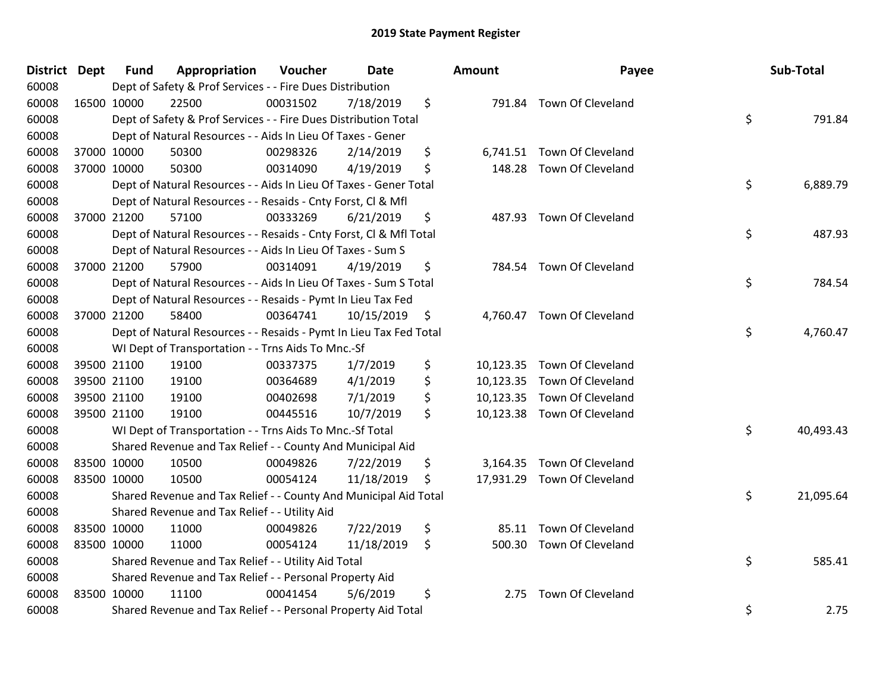| <b>District Dept</b> | <b>Fund</b> | Appropriation                                                      | Voucher  | <b>Date</b> | Amount          | Payee                       | Sub-Total       |
|----------------------|-------------|--------------------------------------------------------------------|----------|-------------|-----------------|-----------------------------|-----------------|
| 60008                |             | Dept of Safety & Prof Services - - Fire Dues Distribution          |          |             |                 |                             |                 |
| 60008                | 16500 10000 | 22500                                                              | 00031502 | 7/18/2019   | \$              | 791.84 Town Of Cleveland    |                 |
| 60008                |             | Dept of Safety & Prof Services - - Fire Dues Distribution Total    |          |             |                 |                             | \$<br>791.84    |
| 60008                |             | Dept of Natural Resources - - Aids In Lieu Of Taxes - Gener        |          |             |                 |                             |                 |
| 60008                | 37000 10000 | 50300                                                              | 00298326 | 2/14/2019   | \$<br>6,741.51  | Town Of Cleveland           |                 |
| 60008                | 37000 10000 | 50300                                                              | 00314090 | 4/19/2019   | \$<br>148.28    | Town Of Cleveland           |                 |
| 60008                |             | Dept of Natural Resources - - Aids In Lieu Of Taxes - Gener Total  |          |             |                 |                             | \$<br>6,889.79  |
| 60008                |             | Dept of Natural Resources - - Resaids - Cnty Forst, Cl & Mfl       |          |             |                 |                             |                 |
| 60008                | 37000 21200 | 57100                                                              | 00333269 | 6/21/2019   | \$<br>487.93    | Town Of Cleveland           |                 |
| 60008                |             | Dept of Natural Resources - - Resaids - Cnty Forst, Cl & Mfl Total |          |             |                 |                             | \$<br>487.93    |
| 60008                |             | Dept of Natural Resources - - Aids In Lieu Of Taxes - Sum S        |          |             |                 |                             |                 |
| 60008                | 37000 21200 | 57900                                                              | 00314091 | 4/19/2019   | \$              | 784.54 Town Of Cleveland    |                 |
| 60008                |             | Dept of Natural Resources - - Aids In Lieu Of Taxes - Sum S Total  |          |             |                 |                             | \$<br>784.54    |
| 60008                |             | Dept of Natural Resources - - Resaids - Pymt In Lieu Tax Fed       |          |             |                 |                             |                 |
| 60008                | 37000 21200 | 58400                                                              | 00364741 | 10/15/2019  | \$<br>4,760.47  | Town Of Cleveland           |                 |
| 60008                |             | Dept of Natural Resources - - Resaids - Pymt In Lieu Tax Fed Total |          |             |                 |                             | \$<br>4,760.47  |
| 60008                |             | WI Dept of Transportation - - Trns Aids To Mnc.-Sf                 |          |             |                 |                             |                 |
| 60008                | 39500 21100 | 19100                                                              | 00337375 | 1/7/2019    | \$<br>10,123.35 | Town Of Cleveland           |                 |
| 60008                | 39500 21100 | 19100                                                              | 00364689 | 4/1/2019    | \$              | 10,123.35 Town Of Cleveland |                 |
| 60008                | 39500 21100 | 19100                                                              | 00402698 | 7/1/2019    | \$              | 10,123.35 Town Of Cleveland |                 |
| 60008                | 39500 21100 | 19100                                                              | 00445516 | 10/7/2019   | \$              | 10,123.38 Town Of Cleveland |                 |
| 60008                |             | WI Dept of Transportation - - Trns Aids To Mnc.-Sf Total           |          |             |                 |                             | \$<br>40,493.43 |
| 60008                |             | Shared Revenue and Tax Relief - - County And Municipal Aid         |          |             |                 |                             |                 |
| 60008                | 83500 10000 | 10500                                                              | 00049826 | 7/22/2019   | \$              | 3,164.35 Town Of Cleveland  |                 |
| 60008                | 83500 10000 | 10500                                                              | 00054124 | 11/18/2019  | \$              | 17,931.29 Town Of Cleveland |                 |
| 60008                |             | Shared Revenue and Tax Relief - - County And Municipal Aid Total   |          |             |                 |                             | \$<br>21,095.64 |
| 60008                |             | Shared Revenue and Tax Relief - - Utility Aid                      |          |             |                 |                             |                 |
| 60008                | 83500 10000 | 11000                                                              | 00049826 | 7/22/2019   | \$<br>85.11     | Town Of Cleveland           |                 |
| 60008                | 83500 10000 | 11000                                                              | 00054124 | 11/18/2019  | \$              | 500.30 Town Of Cleveland    |                 |
| 60008                |             | Shared Revenue and Tax Relief - - Utility Aid Total                |          |             |                 |                             | \$<br>585.41    |
| 60008                |             | Shared Revenue and Tax Relief - - Personal Property Aid            |          |             |                 |                             |                 |
| 60008                | 83500 10000 | 11100                                                              | 00041454 | 5/6/2019    | \$<br>2.75      | Town Of Cleveland           |                 |
| 60008                |             | Shared Revenue and Tax Relief - - Personal Property Aid Total      |          |             |                 |                             | \$<br>2.75      |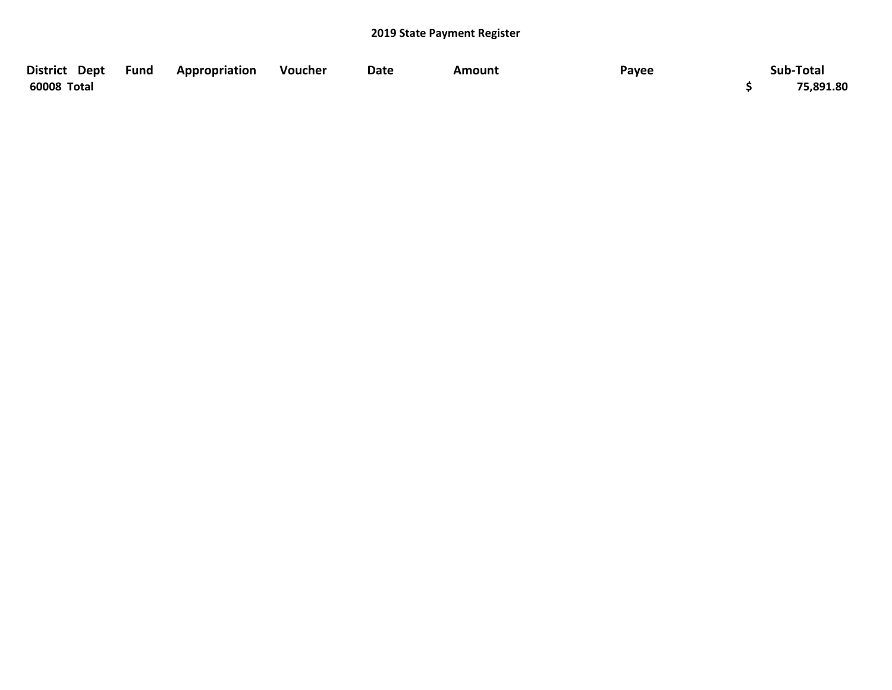| District Dept | <b>Fund</b> | Appropriation | Voucher | Date | Amount | Payee | Sub-Total |
|---------------|-------------|---------------|---------|------|--------|-------|-----------|
| 60008 Total   |             |               |         |      |        |       | 75,891.80 |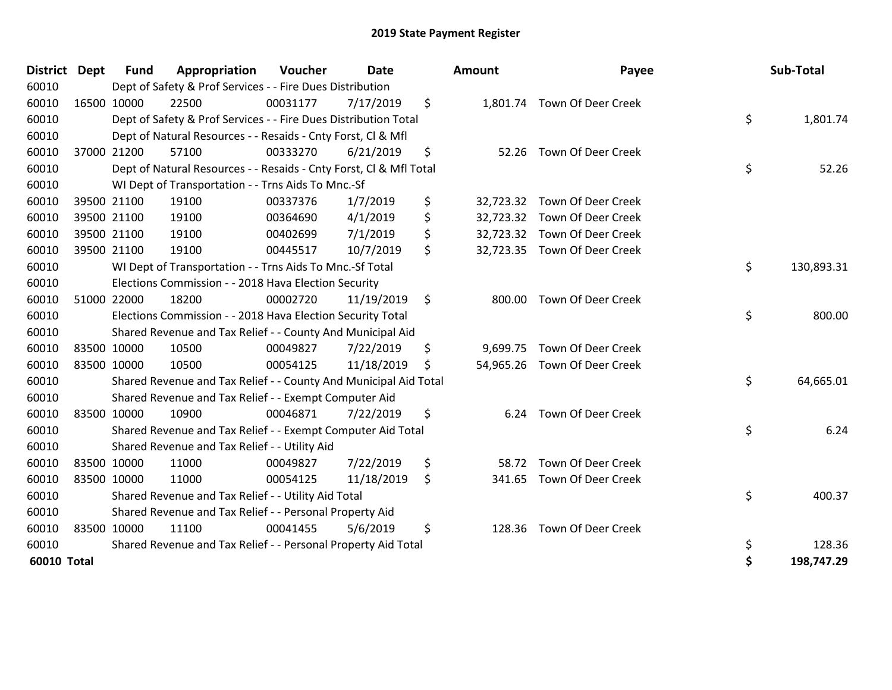| District Dept |             | <b>Fund</b> | Appropriation                                                      | <b>Voucher</b> | <b>Date</b> | <b>Amount</b>   | Payee                        | Sub-Total        |
|---------------|-------------|-------------|--------------------------------------------------------------------|----------------|-------------|-----------------|------------------------------|------------------|
| 60010         |             |             | Dept of Safety & Prof Services - - Fire Dues Distribution          |                |             |                 |                              |                  |
| 60010         |             | 16500 10000 | 22500                                                              | 00031177       | 7/17/2019   | \$              | 1,801.74 Town Of Deer Creek  |                  |
| 60010         |             |             | Dept of Safety & Prof Services - - Fire Dues Distribution Total    |                |             |                 |                              | \$<br>1,801.74   |
| 60010         |             |             | Dept of Natural Resources - - Resaids - Cnty Forst, Cl & Mfl       |                |             |                 |                              |                  |
| 60010         |             | 37000 21200 | 57100                                                              | 00333270       | 6/21/2019   | \$<br>52.26     | Town Of Deer Creek           |                  |
| 60010         |             |             | Dept of Natural Resources - - Resaids - Cnty Forst, CI & Mfl Total |                |             |                 |                              | \$<br>52.26      |
| 60010         |             |             | WI Dept of Transportation - - Trns Aids To Mnc.-Sf                 |                |             |                 |                              |                  |
| 60010         |             | 39500 21100 | 19100                                                              | 00337376       | 1/7/2019    | \$<br>32,723.32 | Town Of Deer Creek           |                  |
| 60010         |             | 39500 21100 | 19100                                                              | 00364690       | 4/1/2019    | \$              | 32,723.32 Town Of Deer Creek |                  |
| 60010         |             | 39500 21100 | 19100                                                              | 00402699       | 7/1/2019    | \$              | 32,723.32 Town Of Deer Creek |                  |
| 60010         |             | 39500 21100 | 19100                                                              | 00445517       | 10/7/2019   | \$              | 32,723.35 Town Of Deer Creek |                  |
| 60010         |             |             | WI Dept of Transportation - - Trns Aids To Mnc.-Sf Total           |                |             |                 |                              | \$<br>130,893.31 |
| 60010         |             |             | Elections Commission - - 2018 Hava Election Security               |                |             |                 |                              |                  |
| 60010         |             | 51000 22000 | 18200                                                              | 00002720       | 11/19/2019  | \$<br>800.00    | Town Of Deer Creek           |                  |
| 60010         |             |             | Elections Commission - - 2018 Hava Election Security Total         |                |             |                 |                              | \$<br>800.00     |
| 60010         |             |             | Shared Revenue and Tax Relief - - County And Municipal Aid         |                |             |                 |                              |                  |
| 60010         | 83500 10000 |             | 10500                                                              | 00049827       | 7/22/2019   | \$              | 9,699.75 Town Of Deer Creek  |                  |
| 60010         |             | 83500 10000 | 10500                                                              | 00054125       | 11/18/2019  | \$              | 54,965.26 Town Of Deer Creek |                  |
| 60010         |             |             | Shared Revenue and Tax Relief - - County And Municipal Aid Total   |                |             |                 |                              | \$<br>64,665.01  |
| 60010         |             |             | Shared Revenue and Tax Relief - - Exempt Computer Aid              |                |             |                 |                              |                  |
| 60010         | 83500 10000 |             | 10900                                                              | 00046871       | 7/22/2019   | \$<br>6.24      | Town Of Deer Creek           |                  |
| 60010         |             |             | Shared Revenue and Tax Relief - - Exempt Computer Aid Total        |                |             |                 |                              | \$<br>6.24       |
| 60010         |             |             | Shared Revenue and Tax Relief - - Utility Aid                      |                |             |                 |                              |                  |
| 60010         | 83500 10000 |             | 11000                                                              | 00049827       | 7/22/2019   | \$<br>58.72     | Town Of Deer Creek           |                  |
| 60010         | 83500 10000 |             | 11000                                                              | 00054125       | 11/18/2019  | \$<br>341.65    | Town Of Deer Creek           |                  |
| 60010         |             |             | Shared Revenue and Tax Relief - - Utility Aid Total                |                |             |                 |                              | \$<br>400.37     |
| 60010         |             |             | Shared Revenue and Tax Relief - - Personal Property Aid            |                |             |                 |                              |                  |
| 60010         |             | 83500 10000 | 11100                                                              | 00041455       | 5/6/2019    | \$<br>128.36    | Town Of Deer Creek           |                  |
| 60010         |             |             | Shared Revenue and Tax Relief - - Personal Property Aid Total      |                |             |                 |                              | \$<br>128.36     |
| 60010 Total   |             |             |                                                                    |                |             |                 |                              | \$<br>198,747.29 |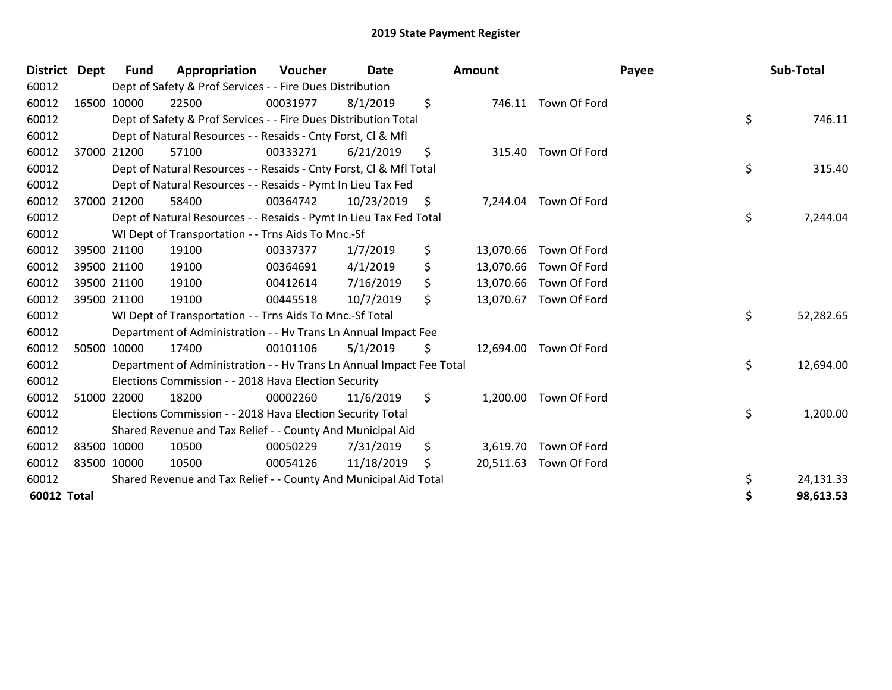| <b>District Dept</b> |             | <b>Fund</b> | Appropriation                                                        | <b>Voucher</b> | <b>Date</b> |     | Amount    |                        | Payee | Sub-Total |
|----------------------|-------------|-------------|----------------------------------------------------------------------|----------------|-------------|-----|-----------|------------------------|-------|-----------|
| 60012                |             |             | Dept of Safety & Prof Services - - Fire Dues Distribution            |                |             |     |           |                        |       |           |
| 60012                | 16500 10000 |             | 22500                                                                | 00031977       | 8/1/2019    | \$  |           | 746.11 Town Of Ford    |       |           |
| 60012                |             |             | Dept of Safety & Prof Services - - Fire Dues Distribution Total      |                |             |     |           |                        | \$    | 746.11    |
| 60012                |             |             | Dept of Natural Resources - - Resaids - Cnty Forst, CI & Mfl         |                |             |     |           |                        |       |           |
| 60012                | 37000 21200 |             | 57100                                                                | 00333271       | 6/21/2019   | \$  | 315.40    | Town Of Ford           |       |           |
| 60012                |             |             | Dept of Natural Resources - - Resaids - Cnty Forst, Cl & Mfl Total   |                |             |     |           |                        | \$    | 315.40    |
| 60012                |             |             | Dept of Natural Resources - - Resaids - Pymt In Lieu Tax Fed         |                |             |     |           |                        |       |           |
| 60012                | 37000 21200 |             | 58400                                                                | 00364742       | 10/23/2019  | -\$ |           | 7,244.04 Town Of Ford  |       |           |
| 60012                |             |             | Dept of Natural Resources - - Resaids - Pymt In Lieu Tax Fed Total   |                |             |     |           |                        | \$    | 7,244.04  |
| 60012                |             |             | WI Dept of Transportation - - Trns Aids To Mnc.-Sf                   |                |             |     |           |                        |       |           |
| 60012                | 39500 21100 |             | 19100                                                                | 00337377       | 1/7/2019    | \$  | 13,070.66 | Town Of Ford           |       |           |
| 60012                | 39500 21100 |             | 19100                                                                | 00364691       | 4/1/2019    | \$  |           | 13,070.66 Town Of Ford |       |           |
| 60012                | 39500 21100 |             | 19100                                                                | 00412614       | 7/16/2019   | \$  | 13,070.66 | Town Of Ford           |       |           |
| 60012                | 39500 21100 |             | 19100                                                                | 00445518       | 10/7/2019   | \$  | 13,070.67 | Town Of Ford           |       |           |
| 60012                |             |             | WI Dept of Transportation - - Trns Aids To Mnc.-Sf Total             |                |             |     |           |                        | \$    | 52,282.65 |
| 60012                |             |             | Department of Administration - - Hv Trans Ln Annual Impact Fee       |                |             |     |           |                        |       |           |
| 60012                | 50500 10000 |             | 17400                                                                | 00101106       | 5/1/2019    | \$  |           | 12,694.00 Town Of Ford |       |           |
| 60012                |             |             | Department of Administration - - Hv Trans Ln Annual Impact Fee Total |                |             |     |           |                        | \$    | 12,694.00 |
| 60012                |             |             | Elections Commission - - 2018 Hava Election Security                 |                |             |     |           |                        |       |           |
| 60012                | 51000 22000 |             | 18200                                                                | 00002260       | 11/6/2019   | \$  | 1,200.00  | Town Of Ford           |       |           |
| 60012                |             |             | Elections Commission - - 2018 Hava Election Security Total           |                |             |     |           |                        | \$    | 1,200.00  |
| 60012                |             |             | Shared Revenue and Tax Relief - - County And Municipal Aid           |                |             |     |           |                        |       |           |
| 60012                | 83500 10000 |             | 10500                                                                | 00050229       | 7/31/2019   | \$  |           | 3,619.70 Town Of Ford  |       |           |
| 60012                | 83500 10000 |             | 10500                                                                | 00054126       | 11/18/2019  | -Ş  |           | 20,511.63 Town Of Ford |       |           |
| 60012                |             |             | Shared Revenue and Tax Relief - - County And Municipal Aid Total     |                |             |     |           |                        | \$    | 24,131.33 |
| <b>60012 Total</b>   |             |             |                                                                      |                |             |     |           |                        | Ś     | 98,613.53 |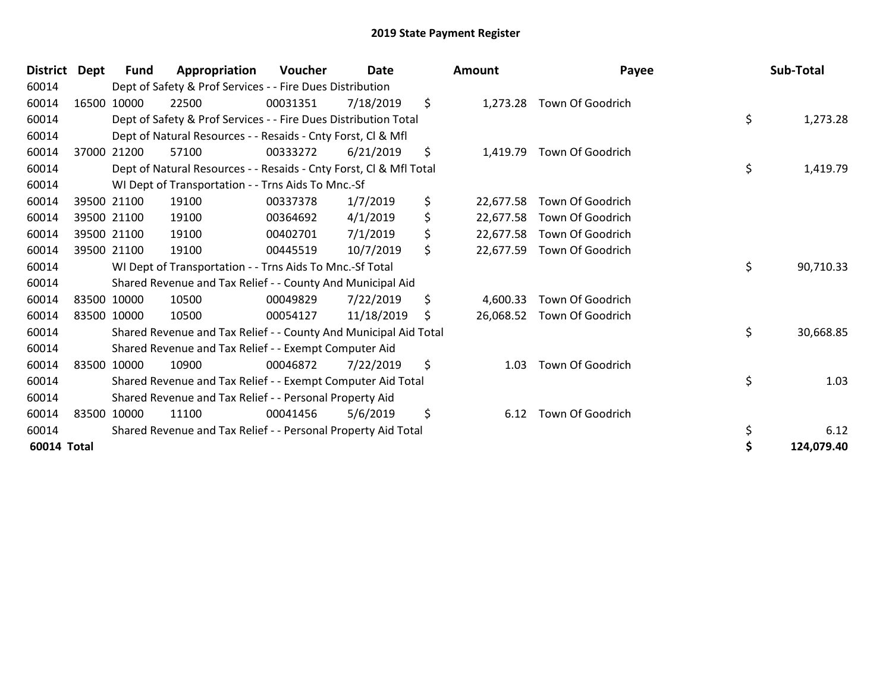| District Dept | <b>Fund</b> | Appropriation                                                      | <b>Voucher</b> | <b>Date</b> | <b>Amount</b>   | Payee            | Sub-Total        |
|---------------|-------------|--------------------------------------------------------------------|----------------|-------------|-----------------|------------------|------------------|
| 60014         |             | Dept of Safety & Prof Services - - Fire Dues Distribution          |                |             |                 |                  |                  |
| 60014         | 16500 10000 | 22500                                                              | 00031351       | 7/18/2019   | \$<br>1,273.28  | Town Of Goodrich |                  |
| 60014         |             | Dept of Safety & Prof Services - - Fire Dues Distribution Total    |                |             |                 |                  | \$<br>1,273.28   |
| 60014         |             | Dept of Natural Resources - - Resaids - Cnty Forst, CI & Mfl       |                |             |                 |                  |                  |
| 60014         | 37000 21200 | 57100                                                              | 00333272       | 6/21/2019   | \$<br>1,419.79  | Town Of Goodrich |                  |
| 60014         |             | Dept of Natural Resources - - Resaids - Cnty Forst, CI & Mfl Total |                |             |                 |                  | \$<br>1,419.79   |
| 60014         |             | WI Dept of Transportation - - Trns Aids To Mnc.-Sf                 |                |             |                 |                  |                  |
| 60014         | 39500 21100 | 19100                                                              | 00337378       | 1/7/2019    | \$<br>22,677.58 | Town Of Goodrich |                  |
| 60014         | 39500 21100 | 19100                                                              | 00364692       | 4/1/2019    | \$<br>22,677.58 | Town Of Goodrich |                  |
| 60014         | 39500 21100 | 19100                                                              | 00402701       | 7/1/2019    | \$<br>22,677.58 | Town Of Goodrich |                  |
| 60014         | 39500 21100 | 19100                                                              | 00445519       | 10/7/2019   | \$<br>22,677.59 | Town Of Goodrich |                  |
| 60014         |             | WI Dept of Transportation - - Trns Aids To Mnc.-Sf Total           |                |             |                 |                  | \$<br>90,710.33  |
| 60014         |             | Shared Revenue and Tax Relief - - County And Municipal Aid         |                |             |                 |                  |                  |
| 60014         | 83500 10000 | 10500                                                              | 00049829       | 7/22/2019   | \$<br>4,600.33  | Town Of Goodrich |                  |
| 60014         | 83500 10000 | 10500                                                              | 00054127       | 11/18/2019  | \$<br>26,068.52 | Town Of Goodrich |                  |
| 60014         |             | Shared Revenue and Tax Relief - - County And Municipal Aid Total   |                |             |                 |                  | \$<br>30,668.85  |
| 60014         |             | Shared Revenue and Tax Relief - - Exempt Computer Aid              |                |             |                 |                  |                  |
| 60014         | 83500 10000 | 10900                                                              | 00046872       | 7/22/2019   | \$<br>1.03      | Town Of Goodrich |                  |
| 60014         |             | Shared Revenue and Tax Relief - - Exempt Computer Aid Total        |                |             |                 |                  | \$<br>1.03       |
| 60014         |             | Shared Revenue and Tax Relief - - Personal Property Aid            |                |             |                 |                  |                  |
| 60014         | 83500 10000 | 11100                                                              | 00041456       | 5/6/2019    | \$<br>6.12      | Town Of Goodrich |                  |
| 60014         |             | Shared Revenue and Tax Relief - - Personal Property Aid Total      |                |             |                 |                  | \$<br>6.12       |
| 60014 Total   |             |                                                                    |                |             |                 |                  | \$<br>124,079.40 |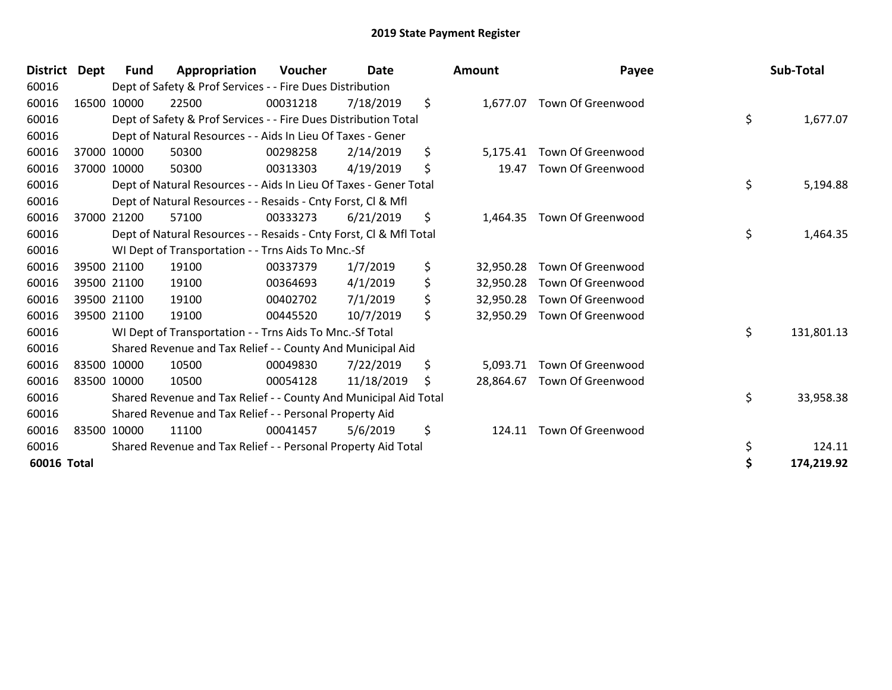| <b>District</b> | Dept | Fund        | Appropriation                                                      | <b>Voucher</b> | Date       | Amount          | Payee             | Sub-Total        |
|-----------------|------|-------------|--------------------------------------------------------------------|----------------|------------|-----------------|-------------------|------------------|
| 60016           |      |             | Dept of Safety & Prof Services - - Fire Dues Distribution          |                |            |                 |                   |                  |
| 60016           |      | 16500 10000 | 22500                                                              | 00031218       | 7/18/2019  | \$<br>1,677.07  | Town Of Greenwood |                  |
| 60016           |      |             | Dept of Safety & Prof Services - - Fire Dues Distribution Total    |                |            |                 |                   | \$<br>1,677.07   |
| 60016           |      |             | Dept of Natural Resources - - Aids In Lieu Of Taxes - Gener        |                |            |                 |                   |                  |
| 60016           |      | 37000 10000 | 50300                                                              | 00298258       | 2/14/2019  | \$<br>5,175.41  | Town Of Greenwood |                  |
| 60016           |      | 37000 10000 | 50300                                                              | 00313303       | 4/19/2019  | \$<br>19.47     | Town Of Greenwood |                  |
| 60016           |      |             | Dept of Natural Resources - - Aids In Lieu Of Taxes - Gener Total  |                |            |                 |                   | \$<br>5,194.88   |
| 60016           |      |             | Dept of Natural Resources - - Resaids - Cnty Forst, CI & Mfl       |                |            |                 |                   |                  |
| 60016           |      | 37000 21200 | 57100                                                              | 00333273       | 6/21/2019  | \$<br>1,464.35  | Town Of Greenwood |                  |
| 60016           |      |             | Dept of Natural Resources - - Resaids - Cnty Forst, Cl & Mfl Total |                |            |                 |                   | \$<br>1,464.35   |
| 60016           |      |             | WI Dept of Transportation - - Trns Aids To Mnc.-Sf                 |                |            |                 |                   |                  |
| 60016           |      | 39500 21100 | 19100                                                              | 00337379       | 1/7/2019   | \$<br>32,950.28 | Town Of Greenwood |                  |
| 60016           |      | 39500 21100 | 19100                                                              | 00364693       | 4/1/2019   | \$<br>32,950.28 | Town Of Greenwood |                  |
| 60016           |      | 39500 21100 | 19100                                                              | 00402702       | 7/1/2019   | \$<br>32,950.28 | Town Of Greenwood |                  |
| 60016           |      | 39500 21100 | 19100                                                              | 00445520       | 10/7/2019  | \$<br>32,950.29 | Town Of Greenwood |                  |
| 60016           |      |             | WI Dept of Transportation - - Trns Aids To Mnc.-Sf Total           |                |            |                 |                   | \$<br>131,801.13 |
| 60016           |      |             | Shared Revenue and Tax Relief - - County And Municipal Aid         |                |            |                 |                   |                  |
| 60016           |      | 83500 10000 | 10500                                                              | 00049830       | 7/22/2019  | \$<br>5,093.71  | Town Of Greenwood |                  |
| 60016           |      | 83500 10000 | 10500                                                              | 00054128       | 11/18/2019 | \$<br>28,864.67 | Town Of Greenwood |                  |
| 60016           |      |             | Shared Revenue and Tax Relief - - County And Municipal Aid Total   |                |            |                 |                   | \$<br>33,958.38  |
| 60016           |      |             | Shared Revenue and Tax Relief - - Personal Property Aid            |                |            |                 |                   |                  |
| 60016           |      | 83500 10000 | 11100                                                              | 00041457       | 5/6/2019   | \$<br>124.11    | Town Of Greenwood |                  |
| 60016           |      |             | Shared Revenue and Tax Relief - - Personal Property Aid Total      |                |            |                 |                   | \$<br>124.11     |
| 60016 Total     |      |             |                                                                    |                |            |                 |                   | 174,219.92       |

| nount     | Payee                       | Sub-Total        |
|-----------|-----------------------------|------------------|
|           | 1,677.07 Town Of Greenwood  | \$<br>1,677.07   |
| 5,175.41  | Town Of Greenwood           |                  |
|           | 19.47 Town Of Greenwood     |                  |
|           |                             | \$<br>5,194.88   |
| 1,464.35  | Town Of Greenwood           |                  |
|           |                             | \$<br>1,464.35   |
|           | 32,950.28 Town Of Greenwood |                  |
|           | 32,950.28 Town Of Greenwood |                  |
|           | 32,950.28 Town Of Greenwood |                  |
| 32,950.29 | Town Of Greenwood           |                  |
|           |                             | \$<br>131,801.13 |
|           | 5,093.71 Town Of Greenwood  |                  |
| 28,864.67 | Town Of Greenwood           |                  |
|           |                             | \$<br>33,958.38  |
| 124.11    | Town Of Greenwood           |                  |
|           |                             | \$<br>124.11     |
|           |                             | \$<br>174,219.92 |
|           |                             |                  |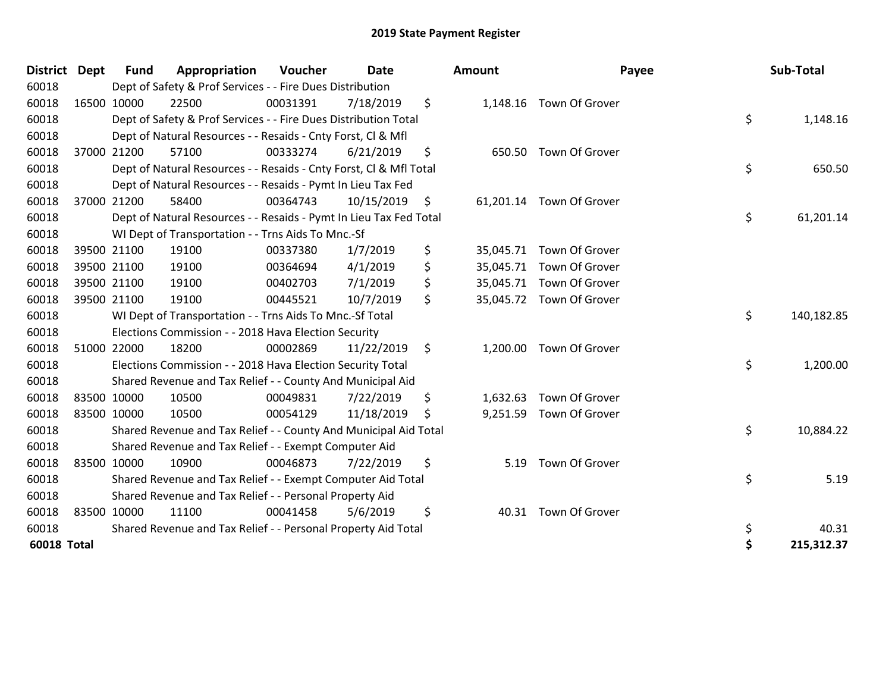| <b>District</b>    | <b>Dept</b> | <b>Fund</b> | Appropriation                                                      | Voucher  | <b>Date</b> |     | Amount   | Payee                    | Sub-Total        |
|--------------------|-------------|-------------|--------------------------------------------------------------------|----------|-------------|-----|----------|--------------------------|------------------|
| 60018              |             |             | Dept of Safety & Prof Services - - Fire Dues Distribution          |          |             |     |          |                          |                  |
| 60018              | 16500 10000 |             | 22500                                                              | 00031391 | 7/18/2019   | \$  |          | 1,148.16 Town Of Grover  |                  |
| 60018              |             |             | Dept of Safety & Prof Services - - Fire Dues Distribution Total    |          |             |     |          |                          | \$<br>1,148.16   |
| 60018              |             |             | Dept of Natural Resources - - Resaids - Cnty Forst, CI & Mfl       |          |             |     |          |                          |                  |
| 60018              |             | 37000 21200 | 57100                                                              | 00333274 | 6/21/2019   | \$  |          | 650.50 Town Of Grover    |                  |
| 60018              |             |             | Dept of Natural Resources - - Resaids - Cnty Forst, Cl & Mfl Total |          |             |     |          |                          | \$<br>650.50     |
| 60018              |             |             | Dept of Natural Resources - - Resaids - Pymt In Lieu Tax Fed       |          |             |     |          |                          |                  |
| 60018              | 37000 21200 |             | 58400                                                              | 00364743 | 10/15/2019  | \$  |          | 61,201.14 Town Of Grover |                  |
| 60018              |             |             | Dept of Natural Resources - - Resaids - Pymt In Lieu Tax Fed Total |          |             |     |          |                          | \$<br>61,201.14  |
| 60018              |             |             | WI Dept of Transportation - - Trns Aids To Mnc.-Sf                 |          |             |     |          |                          |                  |
| 60018              |             | 39500 21100 | 19100                                                              | 00337380 | 1/7/2019    | \$  |          | 35,045.71 Town Of Grover |                  |
| 60018              |             | 39500 21100 | 19100                                                              | 00364694 | 4/1/2019    | \$  |          | 35,045.71 Town Of Grover |                  |
| 60018              |             | 39500 21100 | 19100                                                              | 00402703 | 7/1/2019    | \$  |          | 35,045.71 Town Of Grover |                  |
| 60018              | 39500 21100 |             | 19100                                                              | 00445521 | 10/7/2019   | \$  |          | 35,045.72 Town Of Grover |                  |
| 60018              |             |             | WI Dept of Transportation - - Trns Aids To Mnc.-Sf Total           |          |             |     |          |                          | \$<br>140,182.85 |
| 60018              |             |             | Elections Commission - - 2018 Hava Election Security               |          |             |     |          |                          |                  |
| 60018              | 51000 22000 |             | 18200                                                              | 00002869 | 11/22/2019  | \$  |          | 1,200.00 Town Of Grover  |                  |
| 60018              |             |             | Elections Commission - - 2018 Hava Election Security Total         |          |             |     |          |                          | \$<br>1,200.00   |
| 60018              |             |             | Shared Revenue and Tax Relief - - County And Municipal Aid         |          |             |     |          |                          |                  |
| 60018              | 83500 10000 |             | 10500                                                              | 00049831 | 7/22/2019   | \$  | 1,632.63 | Town Of Grover           |                  |
| 60018              | 83500 10000 |             | 10500                                                              | 00054129 | 11/18/2019  | \$. |          | 9,251.59 Town Of Grover  |                  |
| 60018              |             |             | Shared Revenue and Tax Relief - - County And Municipal Aid Total   |          |             |     |          |                          | \$<br>10,884.22  |
| 60018              |             |             | Shared Revenue and Tax Relief - - Exempt Computer Aid              |          |             |     |          |                          |                  |
| 60018              | 83500 10000 |             | 10900                                                              | 00046873 | 7/22/2019   | \$  | 5.19     | Town Of Grover           |                  |
| 60018              |             |             | Shared Revenue and Tax Relief - - Exempt Computer Aid Total        |          |             |     |          |                          | \$<br>5.19       |
| 60018              |             |             | Shared Revenue and Tax Relief - - Personal Property Aid            |          |             |     |          |                          |                  |
| 60018              | 83500 10000 |             | 11100                                                              | 00041458 | 5/6/2019    | \$  |          | 40.31 Town Of Grover     |                  |
| 60018              |             |             | Shared Revenue and Tax Relief - - Personal Property Aid Total      |          |             |     |          |                          | \$<br>40.31      |
| <b>60018 Total</b> |             |             |                                                                    |          |             |     |          |                          | \$<br>215,312.37 |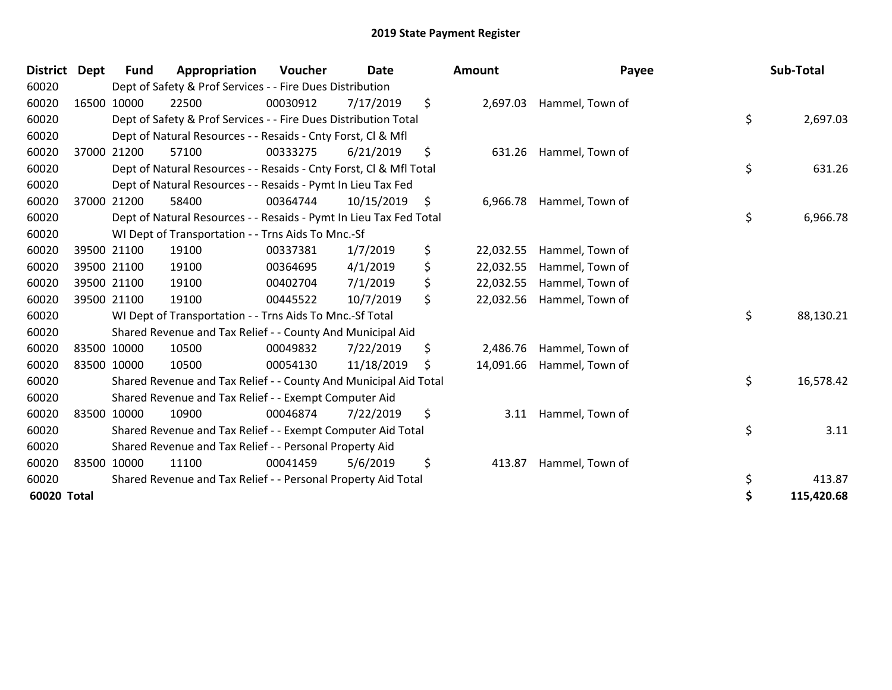| <b>District</b> | <b>Dept</b> | Fund        | Appropriation                                                      | <b>Voucher</b> | <b>Date</b> | Amount          | Payee                     | Sub-Total        |
|-----------------|-------------|-------------|--------------------------------------------------------------------|----------------|-------------|-----------------|---------------------------|------------------|
| 60020           |             |             | Dept of Safety & Prof Services - - Fire Dues Distribution          |                |             |                 |                           |                  |
| 60020           |             | 16500 10000 | 22500                                                              | 00030912       | 7/17/2019   | \$              | 2,697.03 Hammel, Town of  |                  |
| 60020           |             |             | Dept of Safety & Prof Services - - Fire Dues Distribution Total    |                |             |                 |                           | \$<br>2,697.03   |
| 60020           |             |             | Dept of Natural Resources - - Resaids - Cnty Forst, CI & Mfl       |                |             |                 |                           |                  |
| 60020           |             | 37000 21200 | 57100                                                              | 00333275       | 6/21/2019   | \$              | 631.26 Hammel, Town of    |                  |
| 60020           |             |             | Dept of Natural Resources - - Resaids - Cnty Forst, CI & Mfl Total |                |             |                 |                           | \$<br>631.26     |
| 60020           |             |             | Dept of Natural Resources - - Resaids - Pymt In Lieu Tax Fed       |                |             |                 |                           |                  |
| 60020           |             | 37000 21200 | 58400                                                              | 00364744       | 10/15/2019  | \$              | 6,966.78 Hammel, Town of  |                  |
| 60020           |             |             | Dept of Natural Resources - - Resaids - Pymt In Lieu Tax Fed Total |                |             |                 |                           | \$<br>6,966.78   |
| 60020           |             |             | WI Dept of Transportation - - Trns Aids To Mnc.-Sf                 |                |             |                 |                           |                  |
| 60020           |             | 39500 21100 | 19100                                                              | 00337381       | 1/7/2019    | \$<br>22,032.55 | Hammel, Town of           |                  |
| 60020           |             | 39500 21100 | 19100                                                              | 00364695       | 4/1/2019    | \$<br>22,032.55 | Hammel, Town of           |                  |
| 60020           |             | 39500 21100 | 19100                                                              | 00402704       | 7/1/2019    | \$<br>22,032.55 | Hammel, Town of           |                  |
| 60020           |             | 39500 21100 | 19100                                                              | 00445522       | 10/7/2019   | \$<br>22,032.56 | Hammel, Town of           |                  |
| 60020           |             |             | WI Dept of Transportation - - Trns Aids To Mnc.-Sf Total           |                |             |                 |                           | \$<br>88,130.21  |
| 60020           |             |             | Shared Revenue and Tax Relief - - County And Municipal Aid         |                |             |                 |                           |                  |
| 60020           |             | 83500 10000 | 10500                                                              | 00049832       | 7/22/2019   | \$<br>2,486.76  | Hammel, Town of           |                  |
| 60020           |             | 83500 10000 | 10500                                                              | 00054130       | 11/18/2019  | \$              | 14,091.66 Hammel, Town of |                  |
| 60020           |             |             | Shared Revenue and Tax Relief - - County And Municipal Aid Total   |                |             |                 |                           | \$<br>16,578.42  |
| 60020           |             |             | Shared Revenue and Tax Relief - - Exempt Computer Aid              |                |             |                 |                           |                  |
| 60020           |             | 83500 10000 | 10900                                                              | 00046874       | 7/22/2019   | \$<br>3.11      | Hammel, Town of           |                  |
| 60020           |             |             | Shared Revenue and Tax Relief - - Exempt Computer Aid Total        |                |             |                 |                           | \$<br>3.11       |
| 60020           |             |             | Shared Revenue and Tax Relief - - Personal Property Aid            |                |             |                 |                           |                  |
| 60020           |             | 83500 10000 | 11100                                                              | 00041459       | 5/6/2019    | \$<br>413.87    | Hammel, Town of           |                  |
| 60020           |             |             | Shared Revenue and Tax Relief - - Personal Property Aid Total      |                |             |                 |                           | \$<br>413.87     |
| 60020 Total     |             |             |                                                                    |                |             |                 |                           | \$<br>115,420.68 |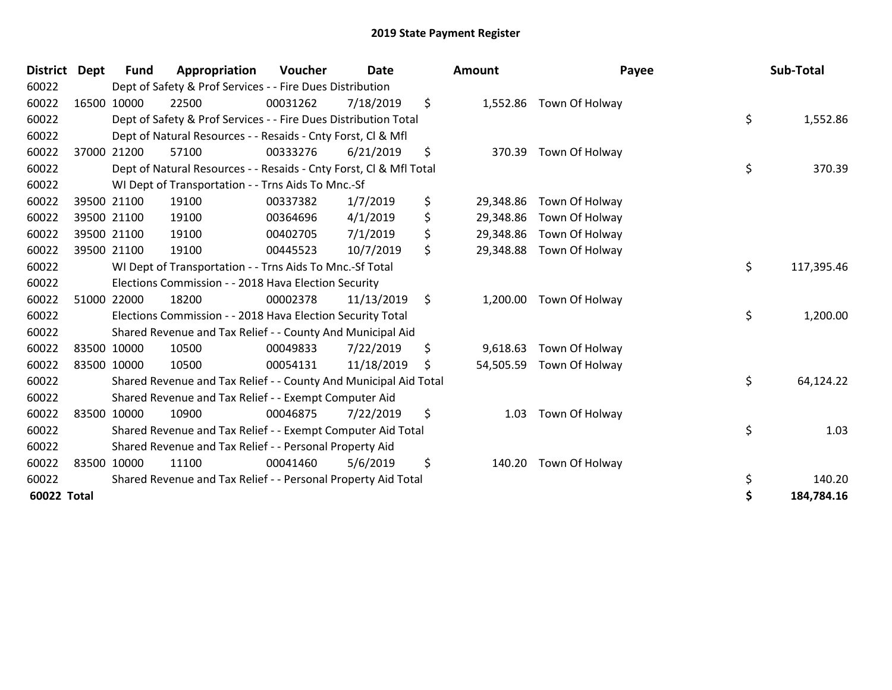| <b>District</b> | <b>Dept</b> | <b>Fund</b> | Appropriation                                                      | Voucher  | <b>Date</b> |                | <b>Amount</b> | Payee                    | Sub-Total        |
|-----------------|-------------|-------------|--------------------------------------------------------------------|----------|-------------|----------------|---------------|--------------------------|------------------|
| 60022           |             |             | Dept of Safety & Prof Services - - Fire Dues Distribution          |          |             |                |               |                          |                  |
| 60022           |             | 16500 10000 | 22500                                                              | 00031262 | 7/18/2019   | \$             |               | 1,552.86 Town Of Holway  |                  |
| 60022           |             |             | Dept of Safety & Prof Services - - Fire Dues Distribution Total    |          |             |                |               |                          | \$<br>1,552.86   |
| 60022           |             |             | Dept of Natural Resources - - Resaids - Cnty Forst, Cl & Mfl       |          |             |                |               |                          |                  |
| 60022           |             | 37000 21200 | 57100                                                              | 00333276 | 6/21/2019   | \$             | 370.39        | Town Of Holway           |                  |
| 60022           |             |             | Dept of Natural Resources - - Resaids - Cnty Forst, CI & Mfl Total |          |             |                |               |                          | \$<br>370.39     |
| 60022           |             |             | WI Dept of Transportation - - Trns Aids To Mnc.-Sf                 |          |             |                |               |                          |                  |
| 60022           |             | 39500 21100 | 19100                                                              | 00337382 | 1/7/2019    | \$             | 29,348.86     | Town Of Holway           |                  |
| 60022           |             | 39500 21100 | 19100                                                              | 00364696 | 4/1/2019    | \$             | 29,348.86     | Town Of Holway           |                  |
| 60022           |             | 39500 21100 | 19100                                                              | 00402705 | 7/1/2019    | \$             | 29,348.86     | Town Of Holway           |                  |
| 60022           |             | 39500 21100 | 19100                                                              | 00445523 | 10/7/2019   | \$             |               | 29,348.88 Town Of Holway |                  |
| 60022           |             |             | WI Dept of Transportation - - Trns Aids To Mnc.-Sf Total           |          |             |                |               |                          | \$<br>117,395.46 |
| 60022           |             |             | Elections Commission - - 2018 Hava Election Security               |          |             |                |               |                          |                  |
| 60022           |             | 51000 22000 | 18200                                                              | 00002378 | 11/13/2019  | $\ddot{\zeta}$ | 1,200.00      | Town Of Holway           |                  |
| 60022           |             |             | Elections Commission - - 2018 Hava Election Security Total         |          |             |                |               |                          | \$<br>1,200.00   |
| 60022           |             |             | Shared Revenue and Tax Relief - - County And Municipal Aid         |          |             |                |               |                          |                  |
| 60022           |             | 83500 10000 | 10500                                                              | 00049833 | 7/22/2019   | \$             | 9,618.63      | Town Of Holway           |                  |
| 60022           |             | 83500 10000 | 10500                                                              | 00054131 | 11/18/2019  | \$             | 54,505.59     | Town Of Holway           |                  |
| 60022           |             |             | Shared Revenue and Tax Relief - - County And Municipal Aid Total   |          |             |                |               |                          | \$<br>64,124.22  |
| 60022           |             |             | Shared Revenue and Tax Relief - - Exempt Computer Aid              |          |             |                |               |                          |                  |
| 60022           |             | 83500 10000 | 10900                                                              | 00046875 | 7/22/2019   | \$             | 1.03          | Town Of Holway           |                  |
| 60022           |             |             | Shared Revenue and Tax Relief - - Exempt Computer Aid Total        |          |             |                |               |                          | \$<br>1.03       |
| 60022           |             |             | Shared Revenue and Tax Relief - - Personal Property Aid            |          |             |                |               |                          |                  |
| 60022           |             | 83500 10000 | 11100                                                              | 00041460 | 5/6/2019    | \$             | 140.20        | Town Of Holway           |                  |
| 60022           |             |             | Shared Revenue and Tax Relief - - Personal Property Aid Total      |          |             |                |               |                          | \$<br>140.20     |
| 60022 Total     |             |             |                                                                    |          |             |                |               |                          | \$<br>184,784.16 |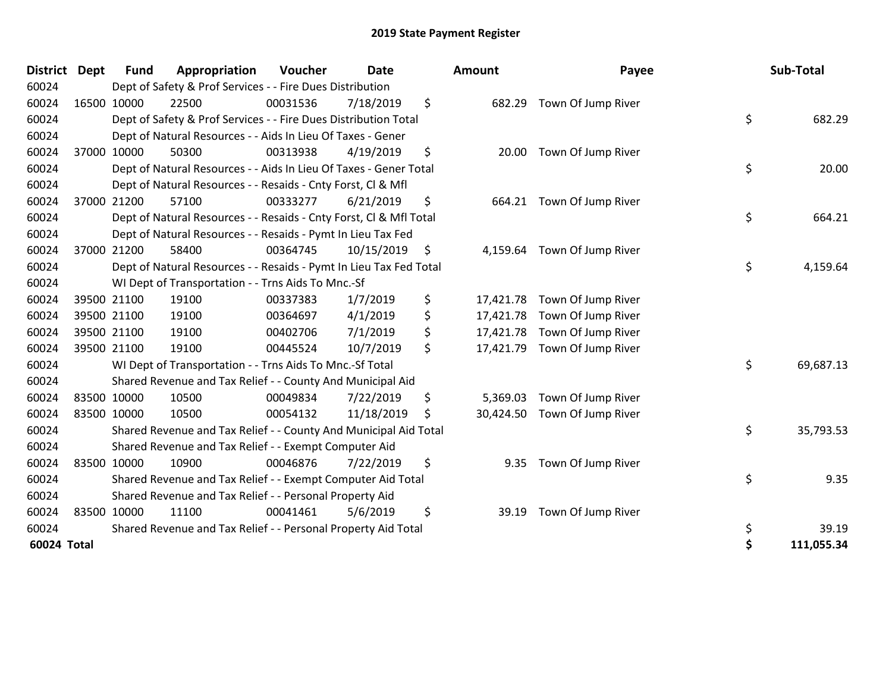| <b>District</b> | Dept  | Fund        | Appropriation                                                      | <b>Voucher</b> | <b>Date</b> | <b>Amount</b>   | Payee              | Sub-Total        |
|-----------------|-------|-------------|--------------------------------------------------------------------|----------------|-------------|-----------------|--------------------|------------------|
| 60024           |       |             | Dept of Safety & Prof Services - - Fire Dues Distribution          |                |             |                 |                    |                  |
| 60024           |       | 16500 10000 | 22500                                                              | 00031536       | 7/18/2019   | \$<br>682.29    | Town Of Jump River |                  |
| 60024           |       |             | Dept of Safety & Prof Services - - Fire Dues Distribution Total    |                |             |                 |                    | \$<br>682.29     |
| 60024           |       |             | Dept of Natural Resources - - Aids In Lieu Of Taxes - Gener        |                |             |                 |                    |                  |
| 60024           | 37000 | 10000       | 50300                                                              | 00313938       | 4/19/2019   | \$<br>20.00     | Town Of Jump River |                  |
| 60024           |       |             | Dept of Natural Resources - - Aids In Lieu Of Taxes - Gener Total  |                |             |                 |                    | \$<br>20.00      |
| 60024           |       |             | Dept of Natural Resources - - Resaids - Cnty Forst, CI & Mfl       |                |             |                 |                    |                  |
| 60024           |       | 37000 21200 | 57100                                                              | 00333277       | 6/21/2019   | \$<br>664.21    | Town Of Jump River |                  |
| 60024           |       |             | Dept of Natural Resources - - Resaids - Cnty Forst, Cl & Mfl Total |                |             |                 |                    | \$<br>664.21     |
| 60024           |       |             | Dept of Natural Resources - - Resaids - Pymt In Lieu Tax Fed       |                |             |                 |                    |                  |
| 60024           |       | 37000 21200 | 58400                                                              | 00364745       | 10/15/2019  | \$<br>4,159.64  | Town Of Jump River |                  |
| 60024           |       |             | Dept of Natural Resources - - Resaids - Pymt In Lieu Tax Fed Total |                |             |                 |                    | \$<br>4,159.64   |
| 60024           |       |             | WI Dept of Transportation - - Trns Aids To Mnc.-Sf                 |                |             |                 |                    |                  |
| 60024           |       | 39500 21100 | 19100                                                              | 00337383       | 1/7/2019    | \$<br>17,421.78 | Town Of Jump River |                  |
| 60024           |       | 39500 21100 | 19100                                                              | 00364697       | 4/1/2019    | \$<br>17,421.78 | Town Of Jump River |                  |
| 60024           |       | 39500 21100 | 19100                                                              | 00402706       | 7/1/2019    | \$<br>17,421.78 | Town Of Jump River |                  |
| 60024           |       | 39500 21100 | 19100                                                              | 00445524       | 10/7/2019   | \$<br>17,421.79 | Town Of Jump River |                  |
| 60024           |       |             | WI Dept of Transportation - - Trns Aids To Mnc.-Sf Total           |                |             |                 |                    | \$<br>69,687.13  |
| 60024           |       |             | Shared Revenue and Tax Relief - - County And Municipal Aid         |                |             |                 |                    |                  |
| 60024           |       | 83500 10000 | 10500                                                              | 00049834       | 7/22/2019   | \$<br>5,369.03  | Town Of Jump River |                  |
| 60024           |       | 83500 10000 | 10500                                                              | 00054132       | 11/18/2019  | \$<br>30,424.50 | Town Of Jump River |                  |
| 60024           |       |             | Shared Revenue and Tax Relief - - County And Municipal Aid Total   |                |             |                 |                    | \$<br>35,793.53  |
| 60024           |       |             | Shared Revenue and Tax Relief - - Exempt Computer Aid              |                |             |                 |                    |                  |
| 60024           |       | 83500 10000 | 10900                                                              | 00046876       | 7/22/2019   | \$<br>9.35      | Town Of Jump River |                  |
| 60024           |       |             | Shared Revenue and Tax Relief - - Exempt Computer Aid Total        |                |             |                 |                    | \$<br>9.35       |
| 60024           |       |             | Shared Revenue and Tax Relief - - Personal Property Aid            |                |             |                 |                    |                  |
| 60024           |       | 83500 10000 | 11100                                                              | 00041461       | 5/6/2019    | \$<br>39.19     | Town Of Jump River |                  |
| 60024           |       |             | Shared Revenue and Tax Relief - - Personal Property Aid Total      |                |             |                 |                    | \$<br>39.19      |
| 60024 Total     |       |             |                                                                    |                |             |                 |                    | \$<br>111,055.34 |

| District    | Dept        | <b>Fund</b> | Appropriation                                                      | Voucher  | <b>Date</b> | Amount          | Payee                        | Sub-Total        |
|-------------|-------------|-------------|--------------------------------------------------------------------|----------|-------------|-----------------|------------------------------|------------------|
| 60024       |             |             | Dept of Safety & Prof Services - - Fire Dues Distribution          |          |             |                 |                              |                  |
| 60024       | 16500 10000 |             | 22500                                                              | 00031536 | 7/18/2019   | \$              | 682.29 Town Of Jump River    |                  |
| 60024       |             |             | Dept of Safety & Prof Services - - Fire Dues Distribution Total    |          |             |                 |                              | \$<br>682.29     |
| 60024       |             |             | Dept of Natural Resources - - Aids In Lieu Of Taxes - Gener        |          |             |                 |                              |                  |
| 60024       | 37000 10000 |             | 50300                                                              | 00313938 | 4/19/2019   | \$<br>20.00     | Town Of Jump River           |                  |
| 60024       |             |             | Dept of Natural Resources - - Aids In Lieu Of Taxes - Gener Total  |          |             |                 |                              | \$<br>20.00      |
| 60024       |             |             | Dept of Natural Resources - - Resaids - Cnty Forst, CI & Mfl       |          |             |                 |                              |                  |
| 60024       |             | 37000 21200 | 57100                                                              | 00333277 | 6/21/2019   | \$<br>664.21    | Town Of Jump River           |                  |
| 60024       |             |             | Dept of Natural Resources - - Resaids - Cnty Forst, CI & Mfl Total |          |             |                 |                              | \$<br>664.21     |
| 60024       |             |             | Dept of Natural Resources - - Resaids - Pymt In Lieu Tax Fed       |          |             |                 |                              |                  |
| 60024       |             | 37000 21200 | 58400                                                              | 00364745 | 10/15/2019  | \$<br>4,159.64  | Town Of Jump River           |                  |
| 60024       |             |             | Dept of Natural Resources - - Resaids - Pymt In Lieu Tax Fed Total |          |             |                 |                              | \$<br>4,159.64   |
| 60024       |             |             | WI Dept of Transportation - - Trns Aids To Mnc.-Sf                 |          |             |                 |                              |                  |
| 60024       |             | 39500 21100 | 19100                                                              | 00337383 | 1/7/2019    | \$              | 17,421.78 Town Of Jump River |                  |
| 60024       | 39500 21100 |             | 19100                                                              | 00364697 | 4/1/2019    | \$<br>17,421.78 | Town Of Jump River           |                  |
| 60024       |             | 39500 21100 | 19100                                                              | 00402706 | 7/1/2019    | \$              | 17,421.78 Town Of Jump River |                  |
| 60024       | 39500 21100 |             | 19100                                                              | 00445524 | 10/7/2019   | \$              | 17,421.79 Town Of Jump River |                  |
| 60024       |             |             | WI Dept of Transportation - - Trns Aids To Mnc.-Sf Total           |          |             |                 |                              | \$<br>69,687.13  |
| 60024       |             |             | Shared Revenue and Tax Relief - - County And Municipal Aid         |          |             |                 |                              |                  |
| 60024       | 83500 10000 |             | 10500                                                              | 00049834 | 7/22/2019   | \$<br>5,369.03  | Town Of Jump River           |                  |
| 60024       | 83500 10000 |             | 10500                                                              | 00054132 | 11/18/2019  | \$              | 30,424.50 Town Of Jump River |                  |
| 60024       |             |             | Shared Revenue and Tax Relief - - County And Municipal Aid Total   |          |             |                 |                              | \$<br>35,793.53  |
| 60024       |             |             | Shared Revenue and Tax Relief - - Exempt Computer Aid              |          |             |                 |                              |                  |
| 60024       |             | 83500 10000 | 10900                                                              | 00046876 | 7/22/2019   | \$<br>9.35      | Town Of Jump River           |                  |
| 60024       |             |             | Shared Revenue and Tax Relief - - Exempt Computer Aid Total        |          |             |                 |                              | \$<br>9.35       |
| 60024       |             |             | Shared Revenue and Tax Relief - - Personal Property Aid            |          |             |                 |                              |                  |
| 60024       |             | 83500 10000 | 11100                                                              | 00041461 | 5/6/2019    | \$<br>39.19     | Town Of Jump River           |                  |
| 60024       |             |             | Shared Revenue and Tax Relief - - Personal Property Aid Total      |          |             |                 |                              | \$<br>39.19      |
| 60024 Total |             |             |                                                                    |          |             |                 |                              | \$<br>111,055.34 |
|             |             |             |                                                                    |          |             |                 |                              |                  |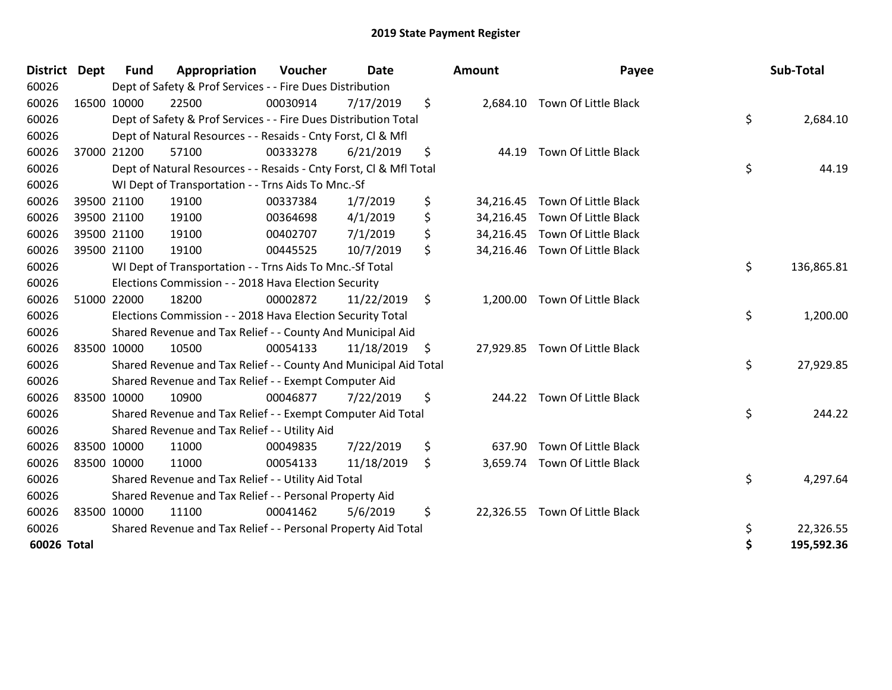| <b>District</b> | <b>Dept</b> | <b>Fund</b> | Appropriation                                                      | Voucher  | <b>Date</b> | Amount          | Payee                          | Sub-Total        |
|-----------------|-------------|-------------|--------------------------------------------------------------------|----------|-------------|-----------------|--------------------------------|------------------|
| 60026           |             |             | Dept of Safety & Prof Services - - Fire Dues Distribution          |          |             |                 |                                |                  |
| 60026           |             | 16500 10000 | 22500                                                              | 00030914 | 7/17/2019   | \$              | 2,684.10 Town Of Little Black  |                  |
| 60026           |             |             | Dept of Safety & Prof Services - - Fire Dues Distribution Total    |          |             |                 |                                | \$<br>2,684.10   |
| 60026           |             |             | Dept of Natural Resources - - Resaids - Cnty Forst, Cl & Mfl       |          |             |                 |                                |                  |
| 60026           |             | 37000 21200 | 57100                                                              | 00333278 | 6/21/2019   | \$<br>44.19     | Town Of Little Black           |                  |
| 60026           |             |             | Dept of Natural Resources - - Resaids - Cnty Forst, CI & Mfl Total |          |             |                 |                                | \$<br>44.19      |
| 60026           |             |             | WI Dept of Transportation - - Trns Aids To Mnc.-Sf                 |          |             |                 |                                |                  |
| 60026           |             | 39500 21100 | 19100                                                              | 00337384 | 1/7/2019    | \$              | 34,216.45 Town Of Little Black |                  |
| 60026           |             | 39500 21100 | 19100                                                              | 00364698 | 4/1/2019    | \$              | 34,216.45 Town Of Little Black |                  |
| 60026           |             | 39500 21100 | 19100                                                              | 00402707 | 7/1/2019    | \$              | 34,216.45 Town Of Little Black |                  |
| 60026           |             | 39500 21100 | 19100                                                              | 00445525 | 10/7/2019   | \$              | 34,216.46 Town Of Little Black |                  |
| 60026           |             |             | WI Dept of Transportation - - Trns Aids To Mnc.-Sf Total           |          |             |                 |                                | \$<br>136,865.81 |
| 60026           |             |             | Elections Commission - - 2018 Hava Election Security               |          |             |                 |                                |                  |
| 60026           |             | 51000 22000 | 18200                                                              | 00002872 | 11/22/2019  | \$<br>1,200.00  | Town Of Little Black           |                  |
| 60026           |             |             | Elections Commission - - 2018 Hava Election Security Total         |          |             |                 |                                | \$<br>1,200.00   |
| 60026           |             |             | Shared Revenue and Tax Relief - - County And Municipal Aid         |          |             |                 |                                |                  |
| 60026           |             | 83500 10000 | 10500                                                              | 00054133 | 11/18/2019  | \$              | 27,929.85 Town Of Little Black |                  |
| 60026           |             |             | Shared Revenue and Tax Relief - - County And Municipal Aid Total   |          |             |                 |                                | \$<br>27,929.85  |
| 60026           |             |             | Shared Revenue and Tax Relief - - Exempt Computer Aid              |          |             |                 |                                |                  |
| 60026           | 83500 10000 |             | 10900                                                              | 00046877 | 7/22/2019   | \$              | 244.22 Town Of Little Black    |                  |
| 60026           |             |             | Shared Revenue and Tax Relief - - Exempt Computer Aid Total        |          |             |                 |                                | \$<br>244.22     |
| 60026           |             |             | Shared Revenue and Tax Relief - - Utility Aid                      |          |             |                 |                                |                  |
| 60026           |             | 83500 10000 | 11000                                                              | 00049835 | 7/22/2019   | \$<br>637.90    | Town Of Little Black           |                  |
| 60026           | 83500 10000 |             | 11000                                                              | 00054133 | 11/18/2019  | \$              | 3,659.74 Town Of Little Black  |                  |
| 60026           |             |             | Shared Revenue and Tax Relief - - Utility Aid Total                |          |             |                 |                                | \$<br>4,297.64   |
| 60026           |             |             | Shared Revenue and Tax Relief - - Personal Property Aid            |          |             |                 |                                |                  |
| 60026           |             | 83500 10000 | 11100                                                              | 00041462 | 5/6/2019    | \$<br>22,326.55 | Town Of Little Black           |                  |
| 60026           |             |             | Shared Revenue and Tax Relief - - Personal Property Aid Total      |          |             |                 |                                | \$<br>22,326.55  |
| 60026 Total     |             |             |                                                                    |          |             |                 |                                | \$<br>195,592.36 |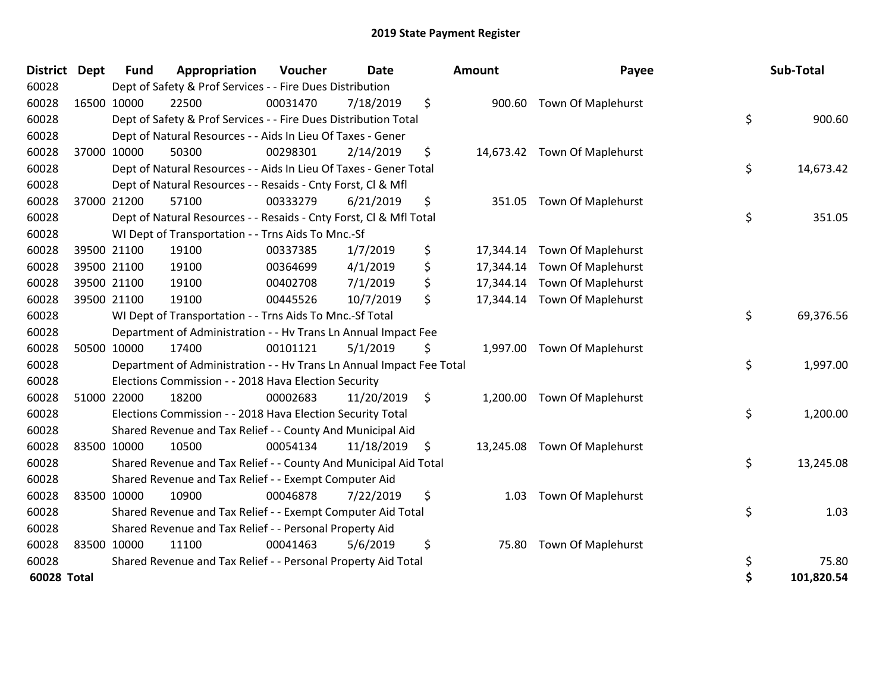| <b>District</b> | Dept        | <b>Fund</b> | Appropriation                                                        | Voucher  | Date       | Amount          | Payee                        | Sub-Total        |
|-----------------|-------------|-------------|----------------------------------------------------------------------|----------|------------|-----------------|------------------------------|------------------|
| 60028           |             |             | Dept of Safety & Prof Services - - Fire Dues Distribution            |          |            |                 |                              |                  |
| 60028           | 16500 10000 |             | 22500                                                                | 00031470 | 7/18/2019  | \$              | 900.60 Town Of Maplehurst    |                  |
| 60028           |             |             | Dept of Safety & Prof Services - - Fire Dues Distribution Total      |          |            |                 |                              | \$<br>900.60     |
| 60028           |             |             | Dept of Natural Resources - - Aids In Lieu Of Taxes - Gener          |          |            |                 |                              |                  |
| 60028           | 37000 10000 |             | 50300                                                                | 00298301 | 2/14/2019  | \$              | 14,673.42 Town Of Maplehurst |                  |
| 60028           |             |             | Dept of Natural Resources - - Aids In Lieu Of Taxes - Gener Total    |          |            |                 |                              | \$<br>14,673.42  |
| 60028           |             |             | Dept of Natural Resources - - Resaids - Cnty Forst, Cl & Mfl         |          |            |                 |                              |                  |
| 60028           | 37000 21200 |             | 57100                                                                | 00333279 | 6/21/2019  | \$<br>351.05    | <b>Town Of Maplehurst</b>    |                  |
| 60028           |             |             | Dept of Natural Resources - - Resaids - Cnty Forst, Cl & Mfl Total   |          |            |                 |                              | \$<br>351.05     |
| 60028           |             |             | WI Dept of Transportation - - Trns Aids To Mnc.-Sf                   |          |            |                 |                              |                  |
| 60028           |             | 39500 21100 | 19100                                                                | 00337385 | 1/7/2019   | \$<br>17,344.14 | Town Of Maplehurst           |                  |
| 60028           | 39500 21100 |             | 19100                                                                | 00364699 | 4/1/2019   | \$<br>17,344.14 | Town Of Maplehurst           |                  |
| 60028           | 39500 21100 |             | 19100                                                                | 00402708 | 7/1/2019   | \$              | 17,344.14 Town Of Maplehurst |                  |
| 60028           | 39500 21100 |             | 19100                                                                | 00445526 | 10/7/2019  | \$<br>17,344.14 | <b>Town Of Maplehurst</b>    |                  |
| 60028           |             |             | WI Dept of Transportation - - Trns Aids To Mnc.-Sf Total             |          |            |                 |                              | \$<br>69,376.56  |
| 60028           |             |             | Department of Administration - - Hv Trans Ln Annual Impact Fee       |          |            |                 |                              |                  |
| 60028           | 50500 10000 |             | 17400                                                                | 00101121 | 5/1/2019   | \$              | 1,997.00 Town Of Maplehurst  |                  |
| 60028           |             |             | Department of Administration - - Hv Trans Ln Annual Impact Fee Total |          |            |                 |                              | \$<br>1,997.00   |
| 60028           |             |             | Elections Commission - - 2018 Hava Election Security                 |          |            |                 |                              |                  |
| 60028           | 51000 22000 |             | 18200                                                                | 00002683 | 11/20/2019 | \$<br>1,200.00  | <b>Town Of Maplehurst</b>    |                  |
| 60028           |             |             | Elections Commission - - 2018 Hava Election Security Total           |          |            |                 |                              | \$<br>1,200.00   |
| 60028           |             |             | Shared Revenue and Tax Relief - - County And Municipal Aid           |          |            |                 |                              |                  |
| 60028           | 83500 10000 |             | 10500                                                                | 00054134 | 11/18/2019 | \$              | 13,245.08 Town Of Maplehurst |                  |
| 60028           |             |             | Shared Revenue and Tax Relief - - County And Municipal Aid Total     |          |            |                 |                              | \$<br>13,245.08  |
| 60028           |             |             | Shared Revenue and Tax Relief - - Exempt Computer Aid                |          |            |                 |                              |                  |
| 60028           |             | 83500 10000 | 10900                                                                | 00046878 | 7/22/2019  | \$<br>1.03      | Town Of Maplehurst           |                  |
| 60028           |             |             | Shared Revenue and Tax Relief - - Exempt Computer Aid Total          |          |            |                 |                              | \$<br>1.03       |
| 60028           |             |             | Shared Revenue and Tax Relief - - Personal Property Aid              |          |            |                 |                              |                  |
| 60028           | 83500 10000 |             | 11100                                                                | 00041463 | 5/6/2019   | \$<br>75.80     | Town Of Maplehurst           |                  |
| 60028           |             |             | Shared Revenue and Tax Relief - - Personal Property Aid Total        |          |            |                 |                              | \$<br>75.80      |
| 60028 Total     |             |             |                                                                      |          |            |                 |                              | \$<br>101,820.54 |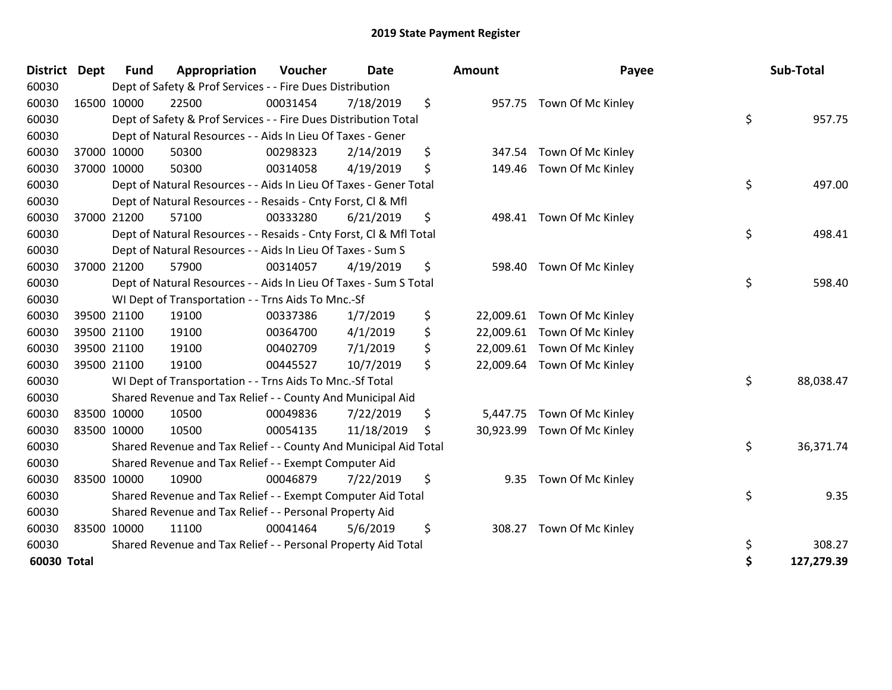| <b>District</b> | Dept | Fund        | Appropriation                                                      | Voucher  | Date       |     | Amount    | Payee                       | Sub-Total        |
|-----------------|------|-------------|--------------------------------------------------------------------|----------|------------|-----|-----------|-----------------------------|------------------|
| 60030           |      |             | Dept of Safety & Prof Services - - Fire Dues Distribution          |          |            |     |           |                             |                  |
| 60030           |      | 16500 10000 | 22500                                                              | 00031454 | 7/18/2019  | \$  |           | 957.75 Town Of Mc Kinley    |                  |
| 60030           |      |             | Dept of Safety & Prof Services - - Fire Dues Distribution Total    |          |            |     |           |                             | \$<br>957.75     |
| 60030           |      |             | Dept of Natural Resources - - Aids In Lieu Of Taxes - Gener        |          |            |     |           |                             |                  |
| 60030           |      | 37000 10000 | 50300                                                              | 00298323 | 2/14/2019  | \$  | 347.54    | Town Of Mc Kinley           |                  |
| 60030           |      | 37000 10000 | 50300                                                              | 00314058 | 4/19/2019  | \$  | 149.46    | Town Of Mc Kinley           |                  |
| 60030           |      |             | Dept of Natural Resources - - Aids In Lieu Of Taxes - Gener Total  |          |            |     |           |                             | \$<br>497.00     |
| 60030           |      |             | Dept of Natural Resources - - Resaids - Cnty Forst, Cl & Mfl       |          |            |     |           |                             |                  |
| 60030           |      | 37000 21200 | 57100                                                              | 00333280 | 6/21/2019  | \$  |           | 498.41 Town Of Mc Kinley    |                  |
| 60030           |      |             | Dept of Natural Resources - - Resaids - Cnty Forst, CI & Mfl Total |          |            |     |           |                             | \$<br>498.41     |
| 60030           |      |             | Dept of Natural Resources - - Aids In Lieu Of Taxes - Sum S        |          |            |     |           |                             |                  |
| 60030           |      | 37000 21200 | 57900                                                              | 00314057 | 4/19/2019  | \$  | 598.40    | Town Of Mc Kinley           |                  |
| 60030           |      |             | Dept of Natural Resources - - Aids In Lieu Of Taxes - Sum S Total  |          |            |     |           |                             | \$<br>598.40     |
| 60030           |      |             | WI Dept of Transportation - - Trns Aids To Mnc.-Sf                 |          |            |     |           |                             |                  |
| 60030           |      | 39500 21100 | 19100                                                              | 00337386 | 1/7/2019   | \$  | 22,009.61 | Town Of Mc Kinley           |                  |
| 60030           |      | 39500 21100 | 19100                                                              | 00364700 | 4/1/2019   | \$  | 22,009.61 | Town Of Mc Kinley           |                  |
| 60030           |      | 39500 21100 | 19100                                                              | 00402709 | 7/1/2019   | \$  | 22,009.61 | Town Of Mc Kinley           |                  |
| 60030           |      | 39500 21100 | 19100                                                              | 00445527 | 10/7/2019  | \$  |           | 22,009.64 Town Of Mc Kinley |                  |
| 60030           |      |             | WI Dept of Transportation - - Trns Aids To Mnc.-Sf Total           |          |            |     |           |                             | \$<br>88,038.47  |
| 60030           |      |             | Shared Revenue and Tax Relief - - County And Municipal Aid         |          |            |     |           |                             |                  |
| 60030           |      | 83500 10000 | 10500                                                              | 00049836 | 7/22/2019  | \$  |           | 5,447.75 Town Of Mc Kinley  |                  |
| 60030           |      | 83500 10000 | 10500                                                              | 00054135 | 11/18/2019 | \$. | 30,923.99 | Town Of Mc Kinley           |                  |
| 60030           |      |             | Shared Revenue and Tax Relief - - County And Municipal Aid Total   |          |            |     |           |                             | \$<br>36,371.74  |
| 60030           |      |             | Shared Revenue and Tax Relief - - Exempt Computer Aid              |          |            |     |           |                             |                  |
| 60030           |      | 83500 10000 | 10900                                                              | 00046879 | 7/22/2019  | \$  | 9.35      | Town Of Mc Kinley           |                  |
| 60030           |      |             | Shared Revenue and Tax Relief - - Exempt Computer Aid Total        |          |            |     |           |                             | \$<br>9.35       |
| 60030           |      |             | Shared Revenue and Tax Relief - - Personal Property Aid            |          |            |     |           |                             |                  |
| 60030           |      | 83500 10000 | 11100                                                              | 00041464 | 5/6/2019   | \$  | 308.27    | Town Of Mc Kinley           |                  |
| 60030           |      |             | Shared Revenue and Tax Relief - - Personal Property Aid Total      |          |            |     |           |                             | \$<br>308.27     |
| 60030 Total     |      |             |                                                                    |          |            |     |           |                             | \$<br>127,279.39 |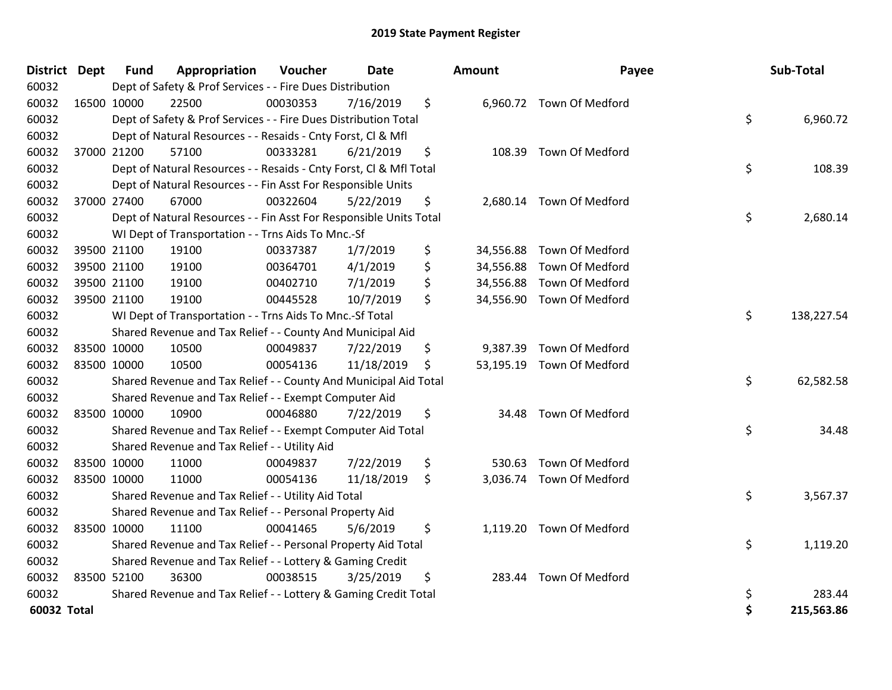| District Dept |             | <b>Fund</b> | Appropriation                                                      | Voucher  | <b>Date</b> | Amount          | Payee                     | Sub-Total        |
|---------------|-------------|-------------|--------------------------------------------------------------------|----------|-------------|-----------------|---------------------------|------------------|
| 60032         |             |             | Dept of Safety & Prof Services - - Fire Dues Distribution          |          |             |                 |                           |                  |
| 60032         |             | 16500 10000 | 22500                                                              | 00030353 | 7/16/2019   | \$              | 6,960.72 Town Of Medford  |                  |
| 60032         |             |             | Dept of Safety & Prof Services - - Fire Dues Distribution Total    |          |             |                 |                           | \$<br>6,960.72   |
| 60032         |             |             | Dept of Natural Resources - - Resaids - Cnty Forst, CI & Mfl       |          |             |                 |                           |                  |
| 60032         |             | 37000 21200 | 57100                                                              | 00333281 | 6/21/2019   | \$<br>108.39    | <b>Town Of Medford</b>    |                  |
| 60032         |             |             | Dept of Natural Resources - - Resaids - Cnty Forst, Cl & Mfl Total |          |             |                 |                           | \$<br>108.39     |
| 60032         |             |             | Dept of Natural Resources - - Fin Asst For Responsible Units       |          |             |                 |                           |                  |
| 60032         |             | 37000 27400 | 67000                                                              | 00322604 | 5/22/2019   | \$              | 2,680.14 Town Of Medford  |                  |
| 60032         |             |             | Dept of Natural Resources - - Fin Asst For Responsible Units Total |          |             |                 |                           | \$<br>2,680.14   |
| 60032         |             |             | WI Dept of Transportation - - Trns Aids To Mnc.-Sf                 |          |             |                 |                           |                  |
| 60032         |             | 39500 21100 | 19100                                                              | 00337387 | 1/7/2019    | \$<br>34,556.88 | Town Of Medford           |                  |
| 60032         |             | 39500 21100 | 19100                                                              | 00364701 | 4/1/2019    | \$<br>34,556.88 | Town Of Medford           |                  |
| 60032         |             | 39500 21100 | 19100                                                              | 00402710 | 7/1/2019    | \$              | 34,556.88 Town Of Medford |                  |
| 60032         |             | 39500 21100 | 19100                                                              | 00445528 | 10/7/2019   | \$<br>34,556.90 | Town Of Medford           |                  |
| 60032         |             |             | WI Dept of Transportation - - Trns Aids To Mnc.-Sf Total           |          |             |                 |                           | \$<br>138,227.54 |
| 60032         |             |             | Shared Revenue and Tax Relief - - County And Municipal Aid         |          |             |                 |                           |                  |
| 60032         |             | 83500 10000 | 10500                                                              | 00049837 | 7/22/2019   | \$<br>9,387.39  | Town Of Medford           |                  |
| 60032         | 83500 10000 |             | 10500                                                              | 00054136 | 11/18/2019  | \$              | 53,195.19 Town Of Medford |                  |
| 60032         |             |             | Shared Revenue and Tax Relief - - County And Municipal Aid Total   |          |             |                 |                           | \$<br>62,582.58  |
| 60032         |             |             | Shared Revenue and Tax Relief - - Exempt Computer Aid              |          |             |                 |                           |                  |
| 60032         |             | 83500 10000 | 10900                                                              | 00046880 | 7/22/2019   | \$<br>34.48     | Town Of Medford           |                  |
| 60032         |             |             | Shared Revenue and Tax Relief - - Exempt Computer Aid Total        |          |             |                 |                           | \$<br>34.48      |
| 60032         |             |             | Shared Revenue and Tax Relief - - Utility Aid                      |          |             |                 |                           |                  |
| 60032         |             | 83500 10000 | 11000                                                              | 00049837 | 7/22/2019   | \$<br>530.63    | <b>Town Of Medford</b>    |                  |
| 60032         |             | 83500 10000 | 11000                                                              | 00054136 | 11/18/2019  | \$              | 3,036.74 Town Of Medford  |                  |
| 60032         |             |             | Shared Revenue and Tax Relief - - Utility Aid Total                |          |             |                 |                           | \$<br>3,567.37   |
| 60032         |             |             | Shared Revenue and Tax Relief - - Personal Property Aid            |          |             |                 |                           |                  |
| 60032         |             | 83500 10000 | 11100                                                              | 00041465 | 5/6/2019    | \$              | 1,119.20 Town Of Medford  |                  |
| 60032         |             |             | Shared Revenue and Tax Relief - - Personal Property Aid Total      |          |             |                 |                           | \$<br>1,119.20   |
| 60032         |             |             | Shared Revenue and Tax Relief - - Lottery & Gaming Credit          |          |             |                 |                           |                  |
| 60032         |             | 83500 52100 | 36300                                                              | 00038515 | 3/25/2019   | \$<br>283.44    | Town Of Medford           |                  |
| 60032         |             |             | Shared Revenue and Tax Relief - - Lottery & Gaming Credit Total    |          |             |                 |                           | \$<br>283.44     |
| 60032 Total   |             |             |                                                                    |          |             |                 |                           | \$<br>215,563.86 |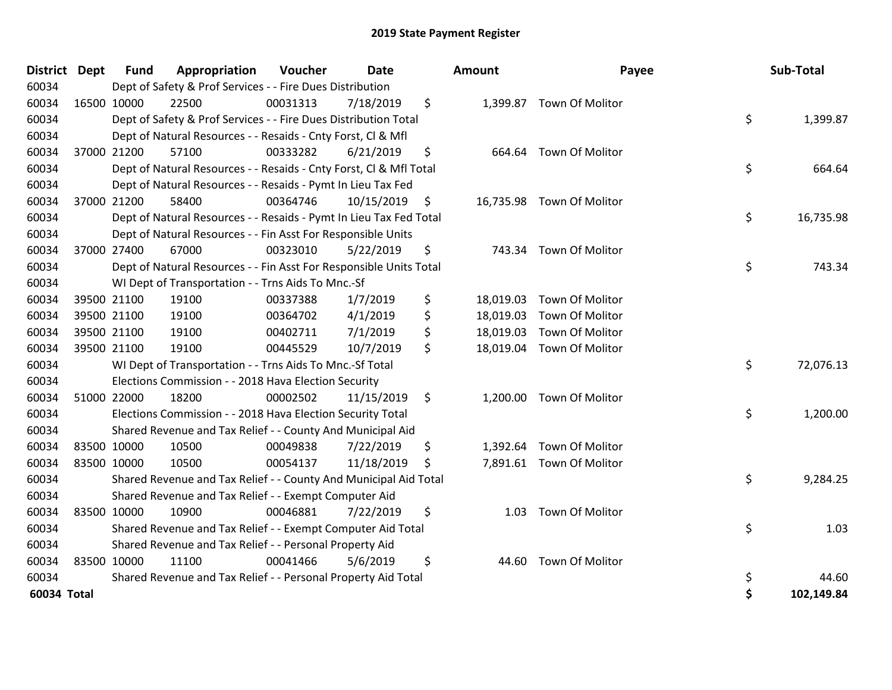|             | <b>District Dept</b> | <b>Fund</b> | Appropriation                                                      | Voucher  | <b>Date</b> | <b>Amount</b>   | Payee                     | Sub-Total        |
|-------------|----------------------|-------------|--------------------------------------------------------------------|----------|-------------|-----------------|---------------------------|------------------|
| 60034       |                      |             | Dept of Safety & Prof Services - - Fire Dues Distribution          |          |             |                 |                           |                  |
| 60034       | 16500 10000          |             | 22500                                                              | 00031313 | 7/18/2019   | \$              | 1,399.87 Town Of Molitor  |                  |
| 60034       |                      |             | Dept of Safety & Prof Services - - Fire Dues Distribution Total    |          |             |                 |                           | \$<br>1,399.87   |
| 60034       |                      |             | Dept of Natural Resources - - Resaids - Cnty Forst, Cl & Mfl       |          |             |                 |                           |                  |
| 60034       |                      | 37000 21200 | 57100                                                              | 00333282 | 6/21/2019   | \$<br>664.64    | Town Of Molitor           |                  |
| 60034       |                      |             | Dept of Natural Resources - - Resaids - Cnty Forst, CI & Mfl Total |          |             |                 |                           | \$<br>664.64     |
| 60034       |                      |             | Dept of Natural Resources - - Resaids - Pymt In Lieu Tax Fed       |          |             |                 |                           |                  |
| 60034       |                      | 37000 21200 | 58400                                                              | 00364746 | 10/15/2019  | \$              | 16,735.98 Town Of Molitor |                  |
| 60034       |                      |             | Dept of Natural Resources - - Resaids - Pymt In Lieu Tax Fed Total |          |             |                 |                           | \$<br>16,735.98  |
| 60034       |                      |             | Dept of Natural Resources - - Fin Asst For Responsible Units       |          |             |                 |                           |                  |
| 60034       |                      | 37000 27400 | 67000                                                              | 00323010 | 5/22/2019   | \$<br>743.34    | Town Of Molitor           |                  |
| 60034       |                      |             | Dept of Natural Resources - - Fin Asst For Responsible Units Total |          |             |                 |                           | \$<br>743.34     |
| 60034       |                      |             | WI Dept of Transportation - - Trns Aids To Mnc.-Sf                 |          |             |                 |                           |                  |
| 60034       |                      | 39500 21100 | 19100                                                              | 00337388 | 1/7/2019    | \$<br>18,019.03 | Town Of Molitor           |                  |
| 60034       |                      | 39500 21100 | 19100                                                              | 00364702 | 4/1/2019    | \$<br>18,019.03 | Town Of Molitor           |                  |
| 60034       |                      | 39500 21100 | 19100                                                              | 00402711 | 7/1/2019    | \$              | 18,019.03 Town Of Molitor |                  |
| 60034       |                      | 39500 21100 | 19100                                                              | 00445529 | 10/7/2019   | \$              | 18,019.04 Town Of Molitor |                  |
| 60034       |                      |             | WI Dept of Transportation - - Trns Aids To Mnc.-Sf Total           |          |             |                 |                           | \$<br>72,076.13  |
| 60034       |                      |             | Elections Commission - - 2018 Hava Election Security               |          |             |                 |                           |                  |
| 60034       |                      | 51000 22000 | 18200                                                              | 00002502 | 11/15/2019  | \$              | 1,200.00 Town Of Molitor  |                  |
| 60034       |                      |             | Elections Commission - - 2018 Hava Election Security Total         |          |             |                 |                           | \$<br>1,200.00   |
| 60034       |                      |             | Shared Revenue and Tax Relief - - County And Municipal Aid         |          |             |                 |                           |                  |
| 60034       |                      | 83500 10000 | 10500                                                              | 00049838 | 7/22/2019   | \$              | 1,392.64 Town Of Molitor  |                  |
| 60034       | 83500 10000          |             | 10500                                                              | 00054137 | 11/18/2019  | \$              | 7,891.61 Town Of Molitor  |                  |
| 60034       |                      |             | Shared Revenue and Tax Relief - - County And Municipal Aid Total   |          |             |                 |                           | \$<br>9,284.25   |
| 60034       |                      |             | Shared Revenue and Tax Relief - - Exempt Computer Aid              |          |             |                 |                           |                  |
| 60034       |                      | 83500 10000 | 10900                                                              | 00046881 | 7/22/2019   | \$<br>1.03      | Town Of Molitor           |                  |
| 60034       |                      |             | Shared Revenue and Tax Relief - - Exempt Computer Aid Total        |          |             |                 |                           | \$<br>1.03       |
| 60034       |                      |             | Shared Revenue and Tax Relief - - Personal Property Aid            |          |             |                 |                           |                  |
| 60034       | 83500 10000          |             | 11100                                                              | 00041466 | 5/6/2019    | \$<br>44.60     | Town Of Molitor           |                  |
| 60034       |                      |             | Shared Revenue and Tax Relief - - Personal Property Aid Total      |          |             |                 |                           | \$<br>44.60      |
| 60034 Total |                      |             |                                                                    |          |             |                 |                           | \$<br>102,149.84 |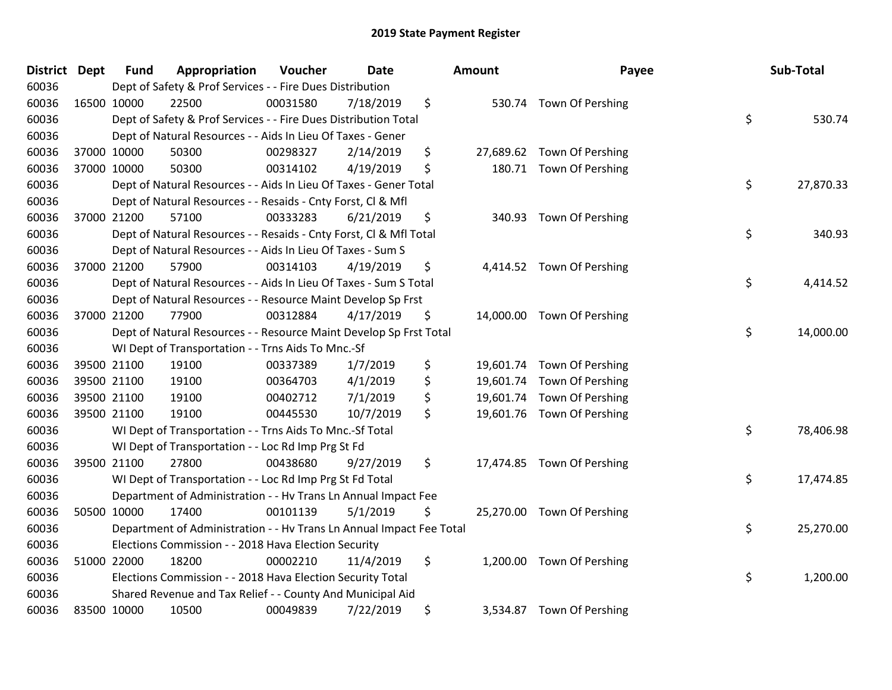| <b>District</b> | <b>Dept</b> | <b>Fund</b> | Appropriation                                                        | Voucher  | <b>Date</b> | <b>Amount</b> | Payee                      | Sub-Total       |
|-----------------|-------------|-------------|----------------------------------------------------------------------|----------|-------------|---------------|----------------------------|-----------------|
| 60036           |             |             | Dept of Safety & Prof Services - - Fire Dues Distribution            |          |             |               |                            |                 |
| 60036           | 16500 10000 |             | 22500                                                                | 00031580 | 7/18/2019   | \$            | 530.74 Town Of Pershing    |                 |
| 60036           |             |             | Dept of Safety & Prof Services - - Fire Dues Distribution Total      |          |             |               |                            | \$<br>530.74    |
| 60036           |             |             | Dept of Natural Resources - - Aids In Lieu Of Taxes - Gener          |          |             |               |                            |                 |
| 60036           | 37000 10000 |             | 50300                                                                | 00298327 | 2/14/2019   | \$            | 27,689.62 Town Of Pershing |                 |
| 60036           |             | 37000 10000 | 50300                                                                | 00314102 | 4/19/2019   | \$            | 180.71 Town Of Pershing    |                 |
| 60036           |             |             | Dept of Natural Resources - - Aids In Lieu Of Taxes - Gener Total    |          |             |               |                            | \$<br>27,870.33 |
| 60036           |             |             | Dept of Natural Resources - - Resaids - Cnty Forst, Cl & Mfl         |          |             |               |                            |                 |
| 60036           |             | 37000 21200 | 57100                                                                | 00333283 | 6/21/2019   | \$            | 340.93 Town Of Pershing    |                 |
| 60036           |             |             | Dept of Natural Resources - - Resaids - Cnty Forst, Cl & Mfl Total   |          |             |               |                            | \$<br>340.93    |
| 60036           |             |             | Dept of Natural Resources - - Aids In Lieu Of Taxes - Sum S          |          |             |               |                            |                 |
| 60036           |             | 37000 21200 | 57900                                                                | 00314103 | 4/19/2019   | \$            | 4,414.52 Town Of Pershing  |                 |
| 60036           |             |             | Dept of Natural Resources - - Aids In Lieu Of Taxes - Sum S Total    |          |             |               |                            | \$<br>4,414.52  |
| 60036           |             |             | Dept of Natural Resources - - Resource Maint Develop Sp Frst         |          |             |               |                            |                 |
| 60036           | 37000 21200 |             | 77900                                                                | 00312884 | 4/17/2019   | \$            | 14,000.00 Town Of Pershing |                 |
| 60036           |             |             | Dept of Natural Resources - - Resource Maint Develop Sp Frst Total   |          |             |               |                            | \$<br>14,000.00 |
| 60036           |             |             | WI Dept of Transportation - - Trns Aids To Mnc.-Sf                   |          |             |               |                            |                 |
| 60036           |             | 39500 21100 | 19100                                                                | 00337389 | 1/7/2019    | \$            | 19,601.74 Town Of Pershing |                 |
| 60036           |             | 39500 21100 | 19100                                                                | 00364703 | 4/1/2019    | \$            | 19,601.74 Town Of Pershing |                 |
| 60036           |             | 39500 21100 | 19100                                                                | 00402712 | 7/1/2019    | \$            | 19,601.74 Town Of Pershing |                 |
| 60036           | 39500 21100 |             | 19100                                                                | 00445530 | 10/7/2019   | \$            | 19,601.76 Town Of Pershing |                 |
| 60036           |             |             | WI Dept of Transportation - - Trns Aids To Mnc.-Sf Total             |          |             |               |                            | \$<br>78,406.98 |
| 60036           |             |             | WI Dept of Transportation - - Loc Rd Imp Prg St Fd                   |          |             |               |                            |                 |
| 60036           | 39500 21100 |             | 27800                                                                | 00438680 | 9/27/2019   | \$            | 17,474.85 Town Of Pershing |                 |
| 60036           |             |             | WI Dept of Transportation - - Loc Rd Imp Prg St Fd Total             |          |             |               |                            | \$<br>17,474.85 |
| 60036           |             |             | Department of Administration - - Hv Trans Ln Annual Impact Fee       |          |             |               |                            |                 |
| 60036           |             | 50500 10000 | 17400                                                                | 00101139 | 5/1/2019    | \$            | 25,270.00 Town Of Pershing |                 |
| 60036           |             |             | Department of Administration - - Hv Trans Ln Annual Impact Fee Total |          |             |               |                            | \$<br>25,270.00 |
| 60036           |             |             | Elections Commission - - 2018 Hava Election Security                 |          |             |               |                            |                 |
| 60036           | 51000 22000 |             | 18200                                                                | 00002210 | 11/4/2019   | \$            | 1,200.00 Town Of Pershing  |                 |
| 60036           |             |             | Elections Commission - - 2018 Hava Election Security Total           |          |             |               |                            | \$<br>1,200.00  |
| 60036           |             |             | Shared Revenue and Tax Relief - - County And Municipal Aid           |          |             |               |                            |                 |
| 60036           | 83500 10000 |             | 10500                                                                | 00049839 | 7/22/2019   | \$            | 3,534.87 Town Of Pershing  |                 |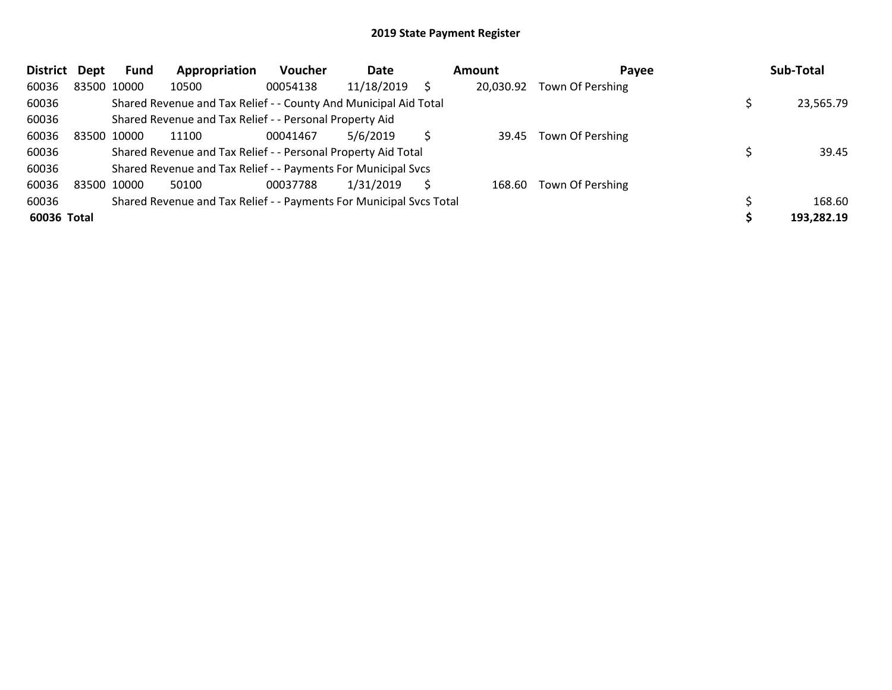| <b>District</b> | Dept        | Fund | Appropriation                                                       | <b>Voucher</b> | Date       | Amount    | Pavee            | Sub-Total  |
|-----------------|-------------|------|---------------------------------------------------------------------|----------------|------------|-----------|------------------|------------|
| 60036           | 83500 10000 |      | 10500                                                               | 00054138       | 11/18/2019 | 20,030.92 | Town Of Pershing |            |
| 60036           |             |      | Shared Revenue and Tax Relief - - County And Municipal Aid Total    |                |            |           |                  | 23,565.79  |
| 60036           |             |      | Shared Revenue and Tax Relief - - Personal Property Aid             |                |            |           |                  |            |
| 60036           | 83500 10000 |      | 11100                                                               | 00041467       | 5/6/2019   | 39.45     | Town Of Pershing |            |
| 60036           |             |      | Shared Revenue and Tax Relief - - Personal Property Aid Total       |                |            |           |                  | 39.45      |
| 60036           |             |      | Shared Revenue and Tax Relief - - Payments For Municipal Svcs       |                |            |           |                  |            |
| 60036           | 83500 10000 |      | 50100                                                               | 00037788       | 1/31/2019  | 168.60    | Town Of Pershing |            |
| 60036           |             |      | Shared Revenue and Tax Relief - - Payments For Municipal Svcs Total |                |            |           |                  | 168.60     |
| 60036 Total     |             |      |                                                                     |                |            |           |                  | 193,282.19 |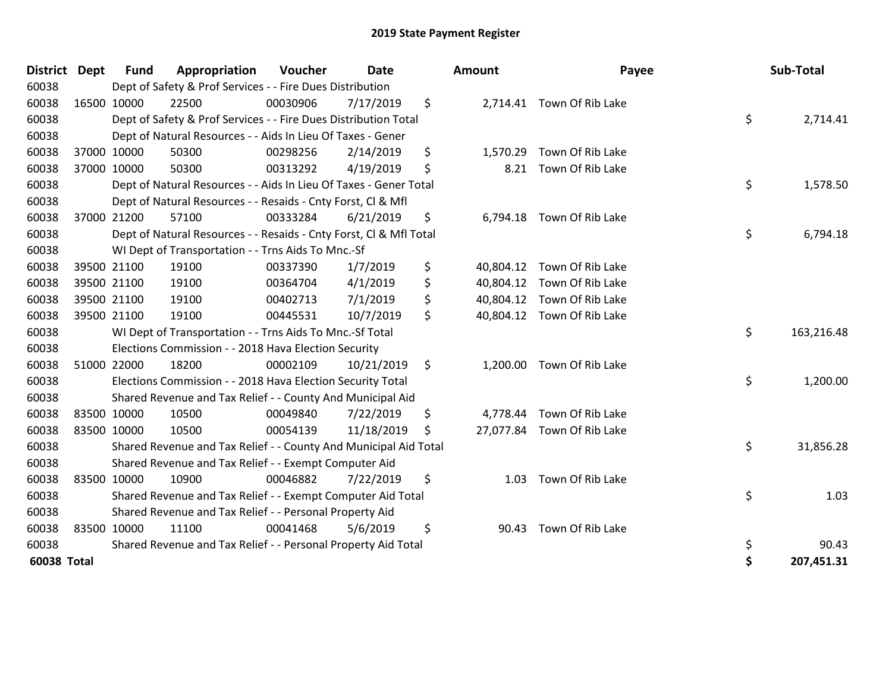| <b>District</b> | <b>Dept</b> | Fund        | Appropriation                                                      | Voucher  | Date       | <b>Amount</b>  | Payee                      | Sub-Total        |
|-----------------|-------------|-------------|--------------------------------------------------------------------|----------|------------|----------------|----------------------------|------------------|
| 60038           |             |             | Dept of Safety & Prof Services - - Fire Dues Distribution          |          |            |                |                            |                  |
| 60038           |             | 16500 10000 | 22500                                                              | 00030906 | 7/17/2019  | \$             | 2,714.41 Town Of Rib Lake  |                  |
| 60038           |             |             | Dept of Safety & Prof Services - - Fire Dues Distribution Total    |          |            |                |                            | \$<br>2,714.41   |
| 60038           |             |             | Dept of Natural Resources - - Aids In Lieu Of Taxes - Gener        |          |            |                |                            |                  |
| 60038           |             | 37000 10000 | 50300                                                              | 00298256 | 2/14/2019  | \$<br>1,570.29 | Town Of Rib Lake           |                  |
| 60038           |             | 37000 10000 | 50300                                                              | 00313292 | 4/19/2019  | \$<br>8.21     | Town Of Rib Lake           |                  |
| 60038           |             |             | Dept of Natural Resources - - Aids In Lieu Of Taxes - Gener Total  |          |            |                |                            | \$<br>1,578.50   |
| 60038           |             |             | Dept of Natural Resources - - Resaids - Cnty Forst, Cl & Mfl       |          |            |                |                            |                  |
| 60038           |             | 37000 21200 | 57100                                                              | 00333284 | 6/21/2019  | \$             | 6,794.18 Town Of Rib Lake  |                  |
| 60038           |             |             | Dept of Natural Resources - - Resaids - Cnty Forst, CI & Mfl Total |          |            |                |                            | \$<br>6,794.18   |
| 60038           |             |             | WI Dept of Transportation - - Trns Aids To Mnc.-Sf                 |          |            |                |                            |                  |
| 60038           |             | 39500 21100 | 19100                                                              | 00337390 | 1/7/2019   | \$             | 40,804.12 Town Of Rib Lake |                  |
| 60038           |             | 39500 21100 | 19100                                                              | 00364704 | 4/1/2019   | \$             | 40,804.12 Town Of Rib Lake |                  |
| 60038           |             | 39500 21100 | 19100                                                              | 00402713 | 7/1/2019   | \$             | 40,804.12 Town Of Rib Lake |                  |
| 60038           |             | 39500 21100 | 19100                                                              | 00445531 | 10/7/2019  | \$             | 40,804.12 Town Of Rib Lake |                  |
| 60038           |             |             | WI Dept of Transportation - - Trns Aids To Mnc.-Sf Total           |          |            |                |                            | \$<br>163,216.48 |
| 60038           |             |             | Elections Commission - - 2018 Hava Election Security               |          |            |                |                            |                  |
| 60038           |             | 51000 22000 | 18200                                                              | 00002109 | 10/21/2019 | \$<br>1,200.00 | Town Of Rib Lake           |                  |
| 60038           |             |             | Elections Commission - - 2018 Hava Election Security Total         |          |            |                |                            | \$<br>1,200.00   |
| 60038           |             |             | Shared Revenue and Tax Relief - - County And Municipal Aid         |          |            |                |                            |                  |
| 60038           | 83500 10000 |             | 10500                                                              | 00049840 | 7/22/2019  | \$             | 4,778.44 Town Of Rib Lake  |                  |
| 60038           |             | 83500 10000 | 10500                                                              | 00054139 | 11/18/2019 | \$             | 27,077.84 Town Of Rib Lake |                  |
| 60038           |             |             | Shared Revenue and Tax Relief - - County And Municipal Aid Total   |          |            |                |                            | \$<br>31,856.28  |
| 60038           |             |             | Shared Revenue and Tax Relief - - Exempt Computer Aid              |          |            |                |                            |                  |
| 60038           |             | 83500 10000 | 10900                                                              | 00046882 | 7/22/2019  | \$<br>1.03     | Town Of Rib Lake           |                  |
| 60038           |             |             | Shared Revenue and Tax Relief - - Exempt Computer Aid Total        |          |            |                |                            | \$<br>1.03       |
| 60038           |             |             | Shared Revenue and Tax Relief - - Personal Property Aid            |          |            |                |                            |                  |
| 60038           |             | 83500 10000 | 11100                                                              | 00041468 | 5/6/2019   | \$<br>90.43    | Town Of Rib Lake           |                  |
| 60038           |             |             | Shared Revenue and Tax Relief - - Personal Property Aid Total      |          |            |                |                            | \$<br>90.43      |
| 60038 Total     |             |             |                                                                    |          |            |                |                            | \$<br>207,451.31 |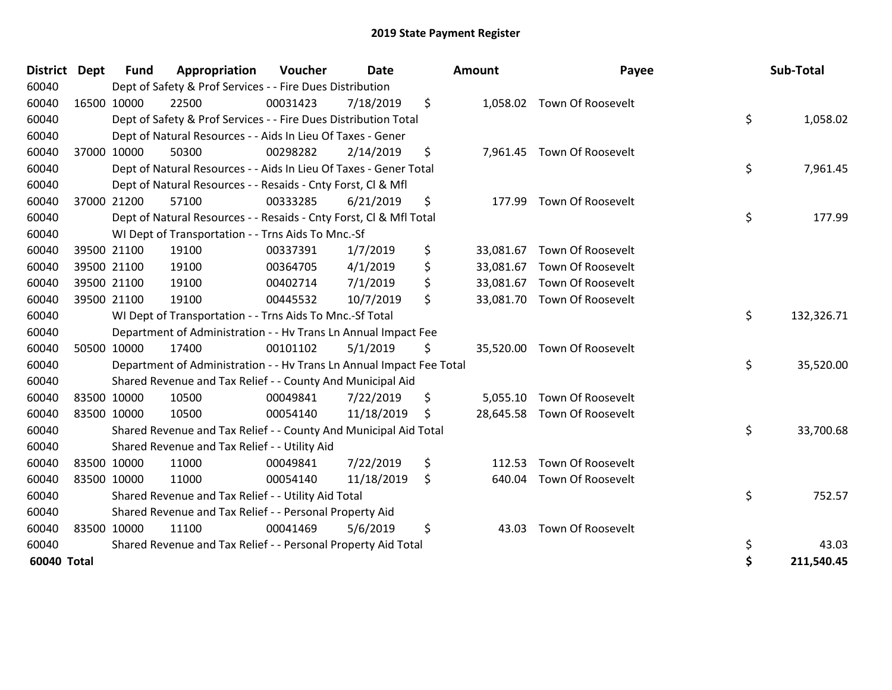| District    | <b>Dept</b> | <b>Fund</b> | Appropriation                                                        | <b>Voucher</b> | <b>Date</b> | Amount          | Payee                       | Sub-Total        |
|-------------|-------------|-------------|----------------------------------------------------------------------|----------------|-------------|-----------------|-----------------------------|------------------|
| 60040       |             |             | Dept of Safety & Prof Services - - Fire Dues Distribution            |                |             |                 |                             |                  |
| 60040       | 16500 10000 |             | 22500                                                                | 00031423       | 7/18/2019   | \$<br>1,058.02  | Town Of Roosevelt           |                  |
| 60040       |             |             | Dept of Safety & Prof Services - - Fire Dues Distribution Total      |                |             |                 |                             | \$<br>1,058.02   |
| 60040       |             |             | Dept of Natural Resources - - Aids In Lieu Of Taxes - Gener          |                |             |                 |                             |                  |
| 60040       | 37000 10000 |             | 50300                                                                | 00298282       | 2/14/2019   | \$              | 7,961.45 Town Of Roosevelt  |                  |
| 60040       |             |             | Dept of Natural Resources - - Aids In Lieu Of Taxes - Gener Total    |                |             |                 |                             | \$<br>7,961.45   |
| 60040       |             |             | Dept of Natural Resources - - Resaids - Cnty Forst, CI & Mfl         |                |             |                 |                             |                  |
| 60040       | 37000 21200 |             | 57100                                                                | 00333285       | 6/21/2019   | \$<br>177.99    | Town Of Roosevelt           |                  |
| 60040       |             |             | Dept of Natural Resources - - Resaids - Cnty Forst, Cl & Mfl Total   |                |             |                 |                             | \$<br>177.99     |
| 60040       |             |             | WI Dept of Transportation - - Trns Aids To Mnc.-Sf                   |                |             |                 |                             |                  |
| 60040       | 39500 21100 |             | 19100                                                                | 00337391       | 1/7/2019    | \$<br>33,081.67 | <b>Town Of Roosevelt</b>    |                  |
| 60040       | 39500 21100 |             | 19100                                                                | 00364705       | 4/1/2019    | \$<br>33,081.67 | Town Of Roosevelt           |                  |
| 60040       | 39500 21100 |             | 19100                                                                | 00402714       | 7/1/2019    | \$<br>33,081.67 | Town Of Roosevelt           |                  |
| 60040       | 39500 21100 |             | 19100                                                                | 00445532       | 10/7/2019   | \$              | 33,081.70 Town Of Roosevelt |                  |
| 60040       |             |             | WI Dept of Transportation - - Trns Aids To Mnc.-Sf Total             |                |             |                 |                             | \$<br>132,326.71 |
| 60040       |             |             | Department of Administration - - Hv Trans Ln Annual Impact Fee       |                |             |                 |                             |                  |
| 60040       | 50500 10000 |             | 17400                                                                | 00101102       | 5/1/2019    | \$              | 35,520.00 Town Of Roosevelt |                  |
| 60040       |             |             | Department of Administration - - Hv Trans Ln Annual Impact Fee Total |                |             |                 |                             | \$<br>35,520.00  |
| 60040       |             |             | Shared Revenue and Tax Relief - - County And Municipal Aid           |                |             |                 |                             |                  |
| 60040       | 83500 10000 |             | 10500                                                                | 00049841       | 7/22/2019   | \$<br>5,055.10  | Town Of Roosevelt           |                  |
| 60040       | 83500 10000 |             | 10500                                                                | 00054140       | 11/18/2019  | \$              | 28,645.58 Town Of Roosevelt |                  |
| 60040       |             |             | Shared Revenue and Tax Relief - - County And Municipal Aid Total     |                |             |                 |                             | \$<br>33,700.68  |
| 60040       |             |             | Shared Revenue and Tax Relief - - Utility Aid                        |                |             |                 |                             |                  |
| 60040       | 83500 10000 |             | 11000                                                                | 00049841       | 7/22/2019   | \$<br>112.53    | Town Of Roosevelt           |                  |
| 60040       | 83500 10000 |             | 11000                                                                | 00054140       | 11/18/2019  | \$<br>640.04    | Town Of Roosevelt           |                  |
| 60040       |             |             | Shared Revenue and Tax Relief - - Utility Aid Total                  |                |             |                 |                             | \$<br>752.57     |
| 60040       |             |             | Shared Revenue and Tax Relief - - Personal Property Aid              |                |             |                 |                             |                  |
| 60040       | 83500 10000 |             | 11100                                                                | 00041469       | 5/6/2019    | \$<br>43.03     | Town Of Roosevelt           |                  |
| 60040       |             |             | Shared Revenue and Tax Relief - - Personal Property Aid Total        |                |             |                 |                             | \$<br>43.03      |
| 60040 Total |             |             |                                                                      |                |             |                 |                             | \$<br>211,540.45 |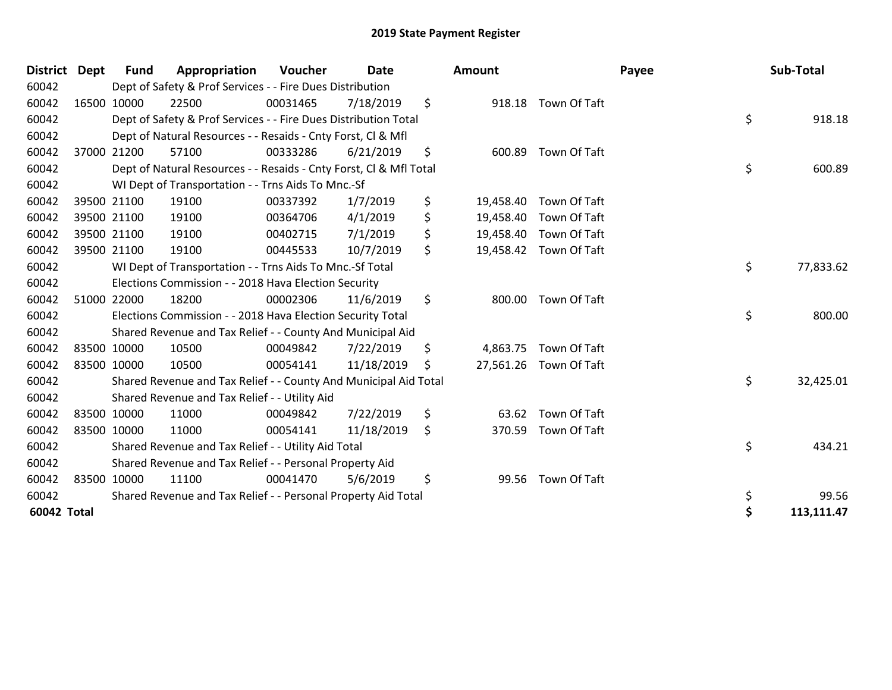| <b>District Dept</b> | <b>Fund</b> | Appropriation                                                      | <b>Voucher</b> | <b>Date</b> |    | <b>Amount</b> |                        | Payee | Sub-Total  |  |
|----------------------|-------------|--------------------------------------------------------------------|----------------|-------------|----|---------------|------------------------|-------|------------|--|
| 60042                |             | Dept of Safety & Prof Services - - Fire Dues Distribution          |                |             |    |               |                        |       |            |  |
| 60042                | 16500 10000 | 22500                                                              | 00031465       | 7/18/2019   | \$ |               | 918.18 Town Of Taft    |       |            |  |
| 60042                |             | Dept of Safety & Prof Services - - Fire Dues Distribution Total    |                |             |    |               |                        | \$    | 918.18     |  |
| 60042                |             | Dept of Natural Resources - - Resaids - Cnty Forst, CI & Mfl       |                |             |    |               |                        |       |            |  |
| 60042                | 37000 21200 | 57100                                                              | 00333286       | 6/21/2019   | \$ | 600.89        | Town Of Taft           |       |            |  |
| 60042                |             | Dept of Natural Resources - - Resaids - Cnty Forst, CI & Mfl Total |                |             |    |               |                        | \$    | 600.89     |  |
| 60042                |             | WI Dept of Transportation - - Trns Aids To Mnc.-Sf                 |                |             |    |               |                        |       |            |  |
| 60042                | 39500 21100 | 19100                                                              | 00337392       | 1/7/2019    | \$ | 19,458.40     | Town Of Taft           |       |            |  |
| 60042                | 39500 21100 | 19100                                                              | 00364706       | 4/1/2019    | \$ | 19,458.40     | Town Of Taft           |       |            |  |
| 60042                | 39500 21100 | 19100                                                              | 00402715       | 7/1/2019    | \$ | 19,458.40     | Town Of Taft           |       |            |  |
| 60042                | 39500 21100 | 19100                                                              | 00445533       | 10/7/2019   | \$ |               | 19,458.42 Town Of Taft |       |            |  |
| 60042                |             | WI Dept of Transportation - - Trns Aids To Mnc.-Sf Total           |                |             |    |               |                        | \$    | 77,833.62  |  |
| 60042                |             | Elections Commission - - 2018 Hava Election Security               |                |             |    |               |                        |       |            |  |
| 60042                | 51000 22000 | 18200                                                              | 00002306       | 11/6/2019   | \$ | 800.00        | Town Of Taft           |       |            |  |
| 60042                |             | Elections Commission - - 2018 Hava Election Security Total         |                |             |    |               |                        | \$    | 800.00     |  |
| 60042                |             | Shared Revenue and Tax Relief - - County And Municipal Aid         |                |             |    |               |                        |       |            |  |
| 60042                | 83500 10000 | 10500                                                              | 00049842       | 7/22/2019   | \$ | 4,863.75      | Town Of Taft           |       |            |  |
| 60042                | 83500 10000 | 10500                                                              | 00054141       | 11/18/2019  | S  |               | 27,561.26 Town Of Taft |       |            |  |
| 60042                |             | Shared Revenue and Tax Relief - - County And Municipal Aid Total   |                |             |    |               |                        | \$    | 32,425.01  |  |
| 60042                |             | Shared Revenue and Tax Relief - - Utility Aid                      |                |             |    |               |                        |       |            |  |
| 60042                | 83500 10000 | 11000                                                              | 00049842       | 7/22/2019   | \$ | 63.62         | <b>Town Of Taft</b>    |       |            |  |
| 60042                | 83500 10000 | 11000                                                              | 00054141       | 11/18/2019  | \$ | 370.59        | Town Of Taft           |       |            |  |
| 60042                |             | Shared Revenue and Tax Relief - - Utility Aid Total                |                |             |    |               |                        | \$    | 434.21     |  |
| 60042                |             | Shared Revenue and Tax Relief - - Personal Property Aid            |                |             |    |               |                        |       |            |  |
| 60042                | 83500 10000 | 11100                                                              | 00041470       | 5/6/2019    | \$ | 99.56         | Town Of Taft           |       |            |  |
| 60042                |             | Shared Revenue and Tax Relief - - Personal Property Aid Total      |                |             |    |               |                        | \$    | 99.56      |  |
| 60042 Total          |             |                                                                    |                |             |    |               |                        | \$    | 113,111.47 |  |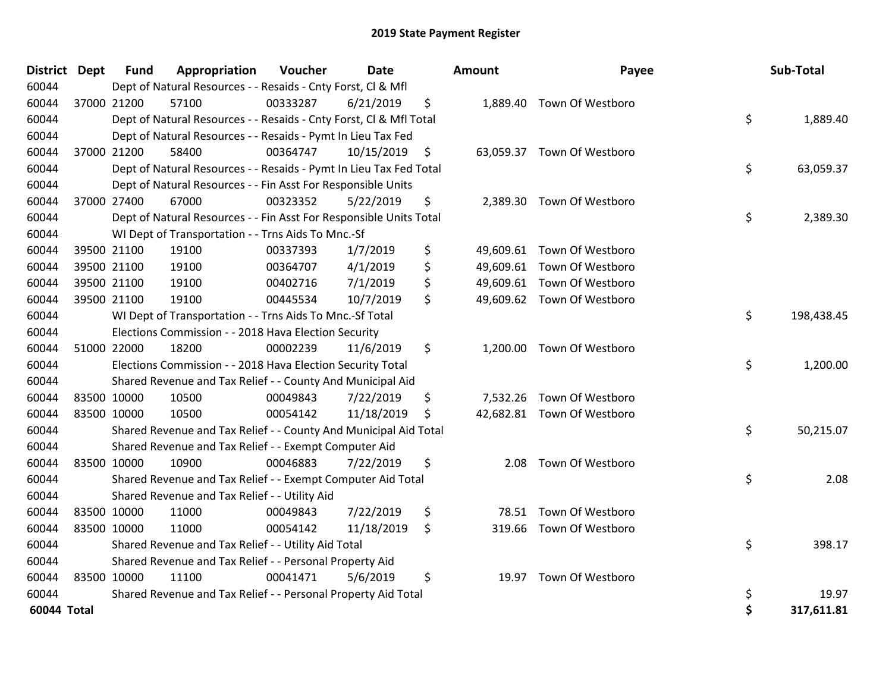| District    | <b>Dept</b> | <b>Fund</b> | Appropriation                                                      | Voucher  | <b>Date</b> | <b>Amount</b> | Payee                      | Sub-Total        |
|-------------|-------------|-------------|--------------------------------------------------------------------|----------|-------------|---------------|----------------------------|------------------|
| 60044       |             |             | Dept of Natural Resources - - Resaids - Cnty Forst, Cl & Mfl       |          |             |               |                            |                  |
| 60044       |             | 37000 21200 | 57100                                                              | 00333287 | 6/21/2019   | \$            | 1,889.40 Town Of Westboro  |                  |
| 60044       |             |             | Dept of Natural Resources - - Resaids - Cnty Forst, CI & Mfl Total |          |             |               |                            | \$<br>1,889.40   |
| 60044       |             |             | Dept of Natural Resources - - Resaids - Pymt In Lieu Tax Fed       |          |             |               |                            |                  |
| 60044       |             | 37000 21200 | 58400                                                              | 00364747 | 10/15/2019  | \$            | 63,059.37 Town Of Westboro |                  |
| 60044       |             |             | Dept of Natural Resources - - Resaids - Pymt In Lieu Tax Fed Total |          |             |               |                            | \$<br>63,059.37  |
| 60044       |             |             | Dept of Natural Resources - - Fin Asst For Responsible Units       |          |             |               |                            |                  |
| 60044       |             | 37000 27400 | 67000                                                              | 00323352 | 5/22/2019   | \$            | 2,389.30 Town Of Westboro  |                  |
| 60044       |             |             | Dept of Natural Resources - - Fin Asst For Responsible Units Total |          |             |               |                            | \$<br>2,389.30   |
| 60044       |             |             | WI Dept of Transportation - - Trns Aids To Mnc.-Sf                 |          |             |               |                            |                  |
| 60044       |             | 39500 21100 | 19100                                                              | 00337393 | 1/7/2019    | \$            | 49,609.61 Town Of Westboro |                  |
| 60044       |             | 39500 21100 | 19100                                                              | 00364707 | 4/1/2019    | \$            | 49,609.61 Town Of Westboro |                  |
| 60044       |             | 39500 21100 | 19100                                                              | 00402716 | 7/1/2019    | \$            | 49,609.61 Town Of Westboro |                  |
| 60044       |             | 39500 21100 | 19100                                                              | 00445534 | 10/7/2019   | \$            | 49,609.62 Town Of Westboro |                  |
| 60044       |             |             | WI Dept of Transportation - - Trns Aids To Mnc.-Sf Total           |          |             |               |                            | \$<br>198,438.45 |
| 60044       |             |             | Elections Commission - - 2018 Hava Election Security               |          |             |               |                            |                  |
| 60044       | 51000 22000 |             | 18200                                                              | 00002239 | 11/6/2019   | \$            | 1,200.00 Town Of Westboro  |                  |
| 60044       |             |             | Elections Commission - - 2018 Hava Election Security Total         |          |             |               |                            | \$<br>1,200.00   |
| 60044       |             |             | Shared Revenue and Tax Relief - - County And Municipal Aid         |          |             |               |                            |                  |
| 60044       |             | 83500 10000 | 10500                                                              | 00049843 | 7/22/2019   | \$            | 7,532.26 Town Of Westboro  |                  |
| 60044       | 83500 10000 |             | 10500                                                              | 00054142 | 11/18/2019  | \$            | 42,682.81 Town Of Westboro |                  |
| 60044       |             |             | Shared Revenue and Tax Relief - - County And Municipal Aid Total   |          |             |               |                            | \$<br>50,215.07  |
| 60044       |             |             | Shared Revenue and Tax Relief - - Exempt Computer Aid              |          |             |               |                            |                  |
| 60044       |             | 83500 10000 | 10900                                                              | 00046883 | 7/22/2019   | \$<br>2.08    | Town Of Westboro           |                  |
| 60044       |             |             | Shared Revenue and Tax Relief - - Exempt Computer Aid Total        |          |             |               |                            | \$<br>2.08       |
| 60044       |             |             | Shared Revenue and Tax Relief - - Utility Aid                      |          |             |               |                            |                  |
| 60044       |             | 83500 10000 | 11000                                                              | 00049843 | 7/22/2019   | \$<br>78.51   | Town Of Westboro           |                  |
| 60044       | 83500 10000 |             | 11000                                                              | 00054142 | 11/18/2019  | \$            | 319.66 Town Of Westboro    |                  |
| 60044       |             |             | Shared Revenue and Tax Relief - - Utility Aid Total                |          |             |               |                            | \$<br>398.17     |
| 60044       |             |             | Shared Revenue and Tax Relief - - Personal Property Aid            |          |             |               |                            |                  |
| 60044       | 83500 10000 |             | 11100                                                              | 00041471 | 5/6/2019    | \$<br>19.97   | Town Of Westboro           |                  |
| 60044       |             |             | Shared Revenue and Tax Relief - - Personal Property Aid Total      |          |             |               |                            | \$<br>19.97      |
| 60044 Total |             |             |                                                                    |          |             |               |                            | \$<br>317,611.81 |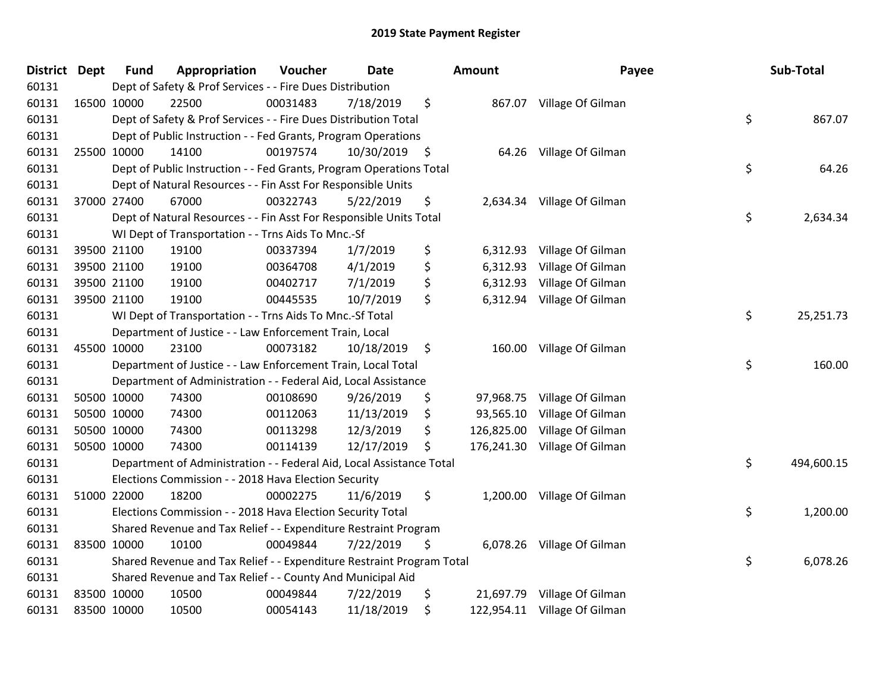| District Dept | <b>Fund</b> | Appropriation                                                         | Voucher  | <b>Date</b>   | Amount           | Payee                        | Sub-Total        |
|---------------|-------------|-----------------------------------------------------------------------|----------|---------------|------------------|------------------------------|------------------|
| 60131         |             | Dept of Safety & Prof Services - - Fire Dues Distribution             |          |               |                  |                              |                  |
| 60131         | 16500 10000 | 22500                                                                 | 00031483 | 7/18/2019     | \$               | 867.07 Village Of Gilman     |                  |
| 60131         |             | Dept of Safety & Prof Services - - Fire Dues Distribution Total       |          |               |                  |                              | \$<br>867.07     |
| 60131         |             | Dept of Public Instruction - - Fed Grants, Program Operations         |          |               |                  |                              |                  |
| 60131         | 25500 10000 | 14100                                                                 | 00197574 | 10/30/2019 \$ | 64.26            | Village Of Gilman            |                  |
| 60131         |             | Dept of Public Instruction - - Fed Grants, Program Operations Total   |          |               |                  |                              | \$<br>64.26      |
| 60131         |             | Dept of Natural Resources - - Fin Asst For Responsible Units          |          |               |                  |                              |                  |
| 60131         | 37000 27400 | 67000                                                                 | 00322743 | 5/22/2019     | \$               | 2,634.34 Village Of Gilman   |                  |
| 60131         |             | Dept of Natural Resources - - Fin Asst For Responsible Units Total    |          |               |                  |                              | \$<br>2,634.34   |
| 60131         |             | WI Dept of Transportation - - Trns Aids To Mnc.-Sf                    |          |               |                  |                              |                  |
| 60131         | 39500 21100 | 19100                                                                 | 00337394 | 1/7/2019      | \$<br>6,312.93   | Village Of Gilman            |                  |
| 60131         | 39500 21100 | 19100                                                                 | 00364708 | 4/1/2019      | \$<br>6,312.93   | Village Of Gilman            |                  |
| 60131         | 39500 21100 | 19100                                                                 | 00402717 | 7/1/2019      | \$<br>6,312.93   | Village Of Gilman            |                  |
| 60131         | 39500 21100 | 19100                                                                 | 00445535 | 10/7/2019     | \$               | 6,312.94 Village Of Gilman   |                  |
| 60131         |             | WI Dept of Transportation - - Trns Aids To Mnc.-Sf Total              |          |               |                  |                              | \$<br>25,251.73  |
| 60131         |             | Department of Justice - - Law Enforcement Train, Local                |          |               |                  |                              |                  |
| 60131         | 45500 10000 | 23100                                                                 | 00073182 | 10/18/2019    | \$<br>160.00     | Village Of Gilman            |                  |
| 60131         |             | Department of Justice - - Law Enforcement Train, Local Total          |          |               |                  |                              | \$<br>160.00     |
| 60131         |             | Department of Administration - - Federal Aid, Local Assistance        |          |               |                  |                              |                  |
| 60131         | 50500 10000 | 74300                                                                 | 00108690 | 9/26/2019     | \$<br>97,968.75  | Village Of Gilman            |                  |
| 60131         | 50500 10000 | 74300                                                                 | 00112063 | 11/13/2019    | \$<br>93,565.10  | Village Of Gilman            |                  |
| 60131         | 50500 10000 | 74300                                                                 | 00113298 | 12/3/2019     | \$<br>126,825.00 | Village Of Gilman            |                  |
| 60131         | 50500 10000 | 74300                                                                 | 00114139 | 12/17/2019    | \$<br>176,241.30 | Village Of Gilman            |                  |
| 60131         |             | Department of Administration - - Federal Aid, Local Assistance Total  |          |               |                  |                              | \$<br>494,600.15 |
| 60131         |             | Elections Commission - - 2018 Hava Election Security                  |          |               |                  |                              |                  |
| 60131         | 51000 22000 | 18200                                                                 | 00002275 | 11/6/2019     | \$<br>1,200.00   | Village Of Gilman            |                  |
| 60131         |             | Elections Commission - - 2018 Hava Election Security Total            |          |               |                  |                              | \$<br>1,200.00   |
| 60131         |             | Shared Revenue and Tax Relief - - Expenditure Restraint Program       |          |               |                  |                              |                  |
| 60131         | 83500 10000 | 10100                                                                 | 00049844 | 7/22/2019     | \$               | 6,078.26 Village Of Gilman   |                  |
| 60131         |             | Shared Revenue and Tax Relief - - Expenditure Restraint Program Total |          |               |                  |                              | \$<br>6,078.26   |
| 60131         |             | Shared Revenue and Tax Relief - - County And Municipal Aid            |          |               |                  |                              |                  |
| 60131         | 83500 10000 | 10500                                                                 | 00049844 | 7/22/2019     | \$<br>21,697.79  | Village Of Gilman            |                  |
| 60131         | 83500 10000 | 10500                                                                 | 00054143 | 11/18/2019    | \$               | 122,954.11 Village Of Gilman |                  |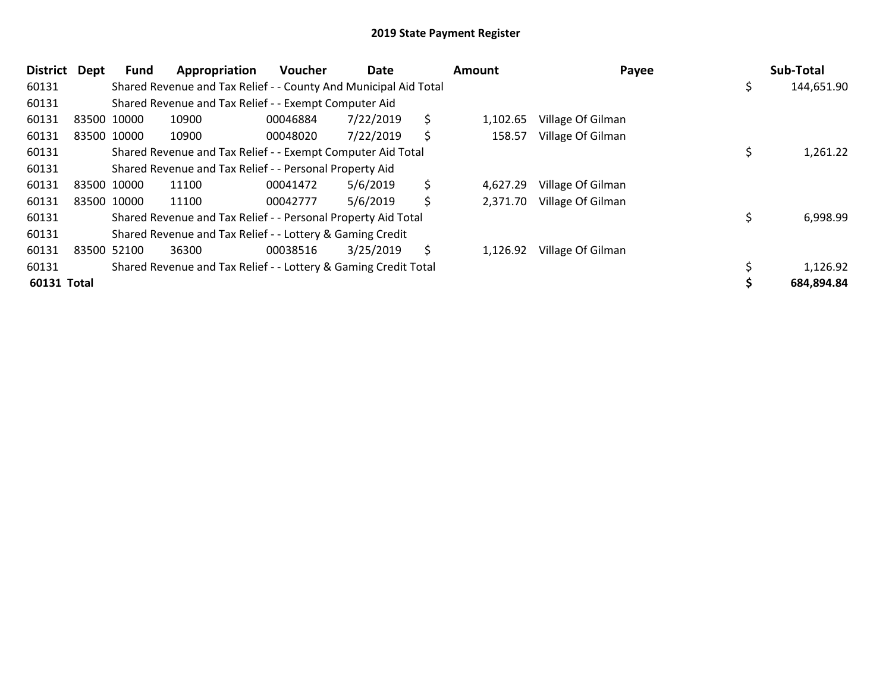| District    | Dept | <b>Fund</b> | Appropriation                                                    | <b>Voucher</b> | Date      | <b>Amount</b>  | Payee             | Sub-Total  |
|-------------|------|-------------|------------------------------------------------------------------|----------------|-----------|----------------|-------------------|------------|
| 60131       |      |             | Shared Revenue and Tax Relief - - County And Municipal Aid Total |                |           |                |                   | 144,651.90 |
| 60131       |      |             | Shared Revenue and Tax Relief - - Exempt Computer Aid            |                |           |                |                   |            |
| 60131       |      | 83500 10000 | 10900                                                            | 00046884       | 7/22/2019 | \$<br>1,102.65 | Village Of Gilman |            |
| 60131       |      | 83500 10000 | 10900                                                            | 00048020       | 7/22/2019 | \$<br>158.57   | Village Of Gilman |            |
| 60131       |      |             | Shared Revenue and Tax Relief - - Exempt Computer Aid Total      |                |           |                |                   | 1,261.22   |
| 60131       |      |             | Shared Revenue and Tax Relief - - Personal Property Aid          |                |           |                |                   |            |
| 60131       |      | 83500 10000 | 11100                                                            | 00041472       | 5/6/2019  | \$<br>4,627.29 | Village Of Gilman |            |
| 60131       |      | 83500 10000 | 11100                                                            | 00042777       | 5/6/2019  | \$<br>2,371.70 | Village Of Gilman |            |
| 60131       |      |             | Shared Revenue and Tax Relief - - Personal Property Aid Total    |                |           |                |                   | 6,998.99   |
| 60131       |      |             | Shared Revenue and Tax Relief - - Lottery & Gaming Credit        |                |           |                |                   |            |
| 60131       |      | 83500 52100 | 36300                                                            | 00038516       | 3/25/2019 | \$<br>1,126.92 | Village Of Gilman |            |
| 60131       |      |             | Shared Revenue and Tax Relief - - Lottery & Gaming Credit Total  |                |           |                |                   | 1,126.92   |
| 60131 Total |      |             |                                                                  |                |           |                |                   | 684,894.84 |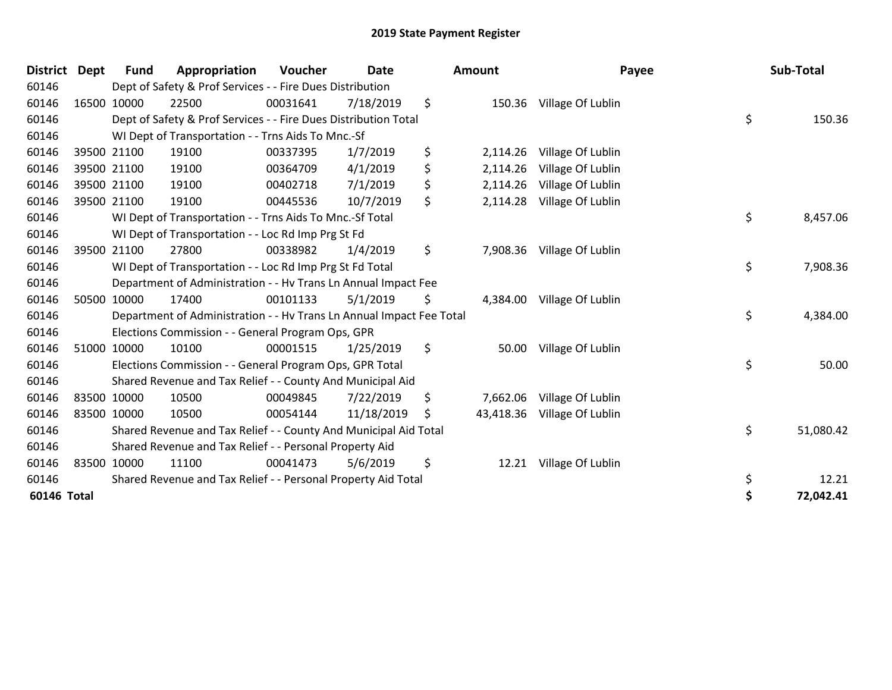| <b>District</b> | <b>Dept</b> | Fund        | Appropriation                                                        | <b>Voucher</b> | Date       |    | <b>Amount</b> | Payee             | Sub-Total       |
|-----------------|-------------|-------------|----------------------------------------------------------------------|----------------|------------|----|---------------|-------------------|-----------------|
| 60146           |             |             | Dept of Safety & Prof Services - - Fire Dues Distribution            |                |            |    |               |                   |                 |
| 60146           | 16500 10000 |             | 22500                                                                | 00031641       | 7/18/2019  | \$ | 150.36        | Village Of Lublin |                 |
| 60146           |             |             | Dept of Safety & Prof Services - - Fire Dues Distribution Total      |                |            |    |               |                   | \$<br>150.36    |
| 60146           |             |             | WI Dept of Transportation - - Trns Aids To Mnc.-Sf                   |                |            |    |               |                   |                 |
| 60146           |             | 39500 21100 | 19100                                                                | 00337395       | 1/7/2019   | \$ | 2,114.26      | Village Of Lublin |                 |
| 60146           |             | 39500 21100 | 19100                                                                | 00364709       | 4/1/2019   | \$ | 2,114.26      | Village Of Lublin |                 |
| 60146           |             | 39500 21100 | 19100                                                                | 00402718       | 7/1/2019   | \$ | 2,114.26      | Village Of Lublin |                 |
| 60146           |             | 39500 21100 | 19100                                                                | 00445536       | 10/7/2019  | \$ | 2,114.28      | Village Of Lublin |                 |
| 60146           |             |             | WI Dept of Transportation - - Trns Aids To Mnc.-Sf Total             |                |            |    |               |                   | \$<br>8,457.06  |
| 60146           |             |             | WI Dept of Transportation - - Loc Rd Imp Prg St Fd                   |                |            |    |               |                   |                 |
| 60146           |             | 39500 21100 | 27800                                                                | 00338982       | 1/4/2019   | \$ | 7,908.36      | Village Of Lublin |                 |
| 60146           |             |             | WI Dept of Transportation - - Loc Rd Imp Prg St Fd Total             |                |            |    |               |                   | \$<br>7,908.36  |
| 60146           |             |             | Department of Administration - - Hv Trans Ln Annual Impact Fee       |                |            |    |               |                   |                 |
| 60146           |             | 50500 10000 | 17400                                                                | 00101133       | 5/1/2019   | \$ | 4,384.00      | Village Of Lublin |                 |
| 60146           |             |             | Department of Administration - - Hv Trans Ln Annual Impact Fee Total |                |            |    |               |                   | \$<br>4,384.00  |
| 60146           |             |             | Elections Commission - - General Program Ops, GPR                    |                |            |    |               |                   |                 |
| 60146           |             | 51000 10000 | 10100                                                                | 00001515       | 1/25/2019  | \$ | 50.00         | Village Of Lublin |                 |
| 60146           |             |             | Elections Commission - - General Program Ops, GPR Total              |                |            |    |               |                   | \$<br>50.00     |
| 60146           |             |             | Shared Revenue and Tax Relief - - County And Municipal Aid           |                |            |    |               |                   |                 |
| 60146           | 83500 10000 |             | 10500                                                                | 00049845       | 7/22/2019  | \$ | 7,662.06      | Village Of Lublin |                 |
| 60146           | 83500 10000 |             | 10500                                                                | 00054144       | 11/18/2019 | S  | 43,418.36     | Village Of Lublin |                 |
| 60146           |             |             | Shared Revenue and Tax Relief - - County And Municipal Aid Total     |                |            |    |               |                   | \$<br>51,080.42 |
| 60146           |             |             | Shared Revenue and Tax Relief - - Personal Property Aid              |                |            |    |               |                   |                 |
| 60146           | 83500 10000 |             | 11100                                                                | 00041473       | 5/6/2019   | \$ | 12.21         | Village Of Lublin |                 |
| 60146           |             |             | Shared Revenue and Tax Relief - - Personal Property Aid Total        |                |            |    |               |                   | \$<br>12.21     |
| 60146 Total     |             |             |                                                                      |                |            |    |               |                   | \$<br>72,042.41 |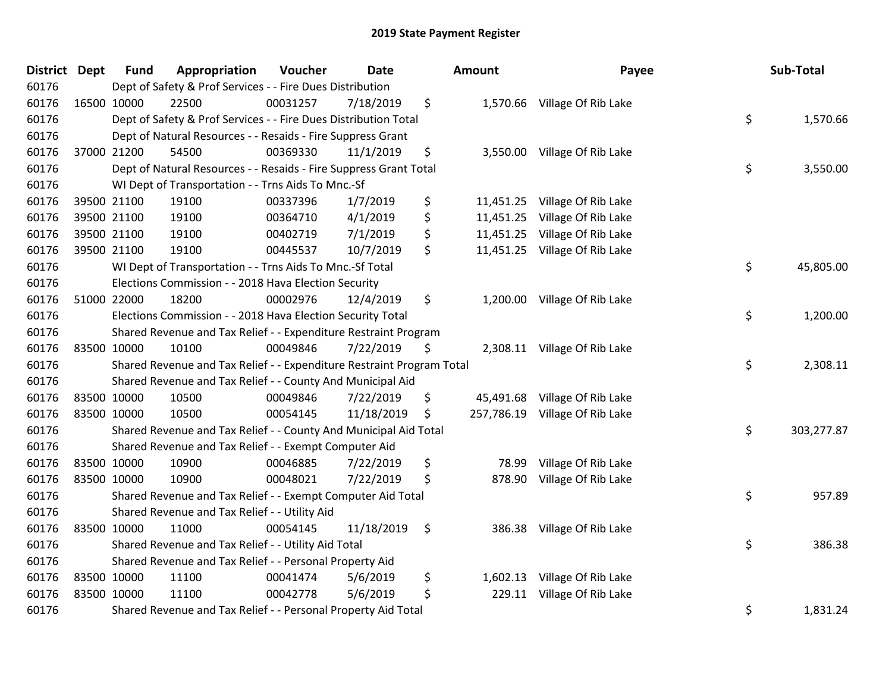| District Dept |             | <b>Fund</b> | Appropriation                                                         | Voucher  | <b>Date</b> |      | Amount    | Payee                          | Sub-Total        |
|---------------|-------------|-------------|-----------------------------------------------------------------------|----------|-------------|------|-----------|--------------------------------|------------------|
| 60176         |             |             | Dept of Safety & Prof Services - - Fire Dues Distribution             |          |             |      |           |                                |                  |
| 60176         | 16500 10000 |             | 22500                                                                 | 00031257 | 7/18/2019   | \$   |           | 1,570.66 Village Of Rib Lake   |                  |
| 60176         |             |             | Dept of Safety & Prof Services - - Fire Dues Distribution Total       |          |             |      |           |                                | \$<br>1,570.66   |
| 60176         |             |             | Dept of Natural Resources - - Resaids - Fire Suppress Grant           |          |             |      |           |                                |                  |
| 60176         |             | 37000 21200 | 54500                                                                 | 00369330 | 11/1/2019   | \$   |           | 3,550.00 Village Of Rib Lake   |                  |
| 60176         |             |             | Dept of Natural Resources - - Resaids - Fire Suppress Grant Total     |          |             |      |           |                                | \$<br>3,550.00   |
| 60176         |             |             | WI Dept of Transportation - - Trns Aids To Mnc.-Sf                    |          |             |      |           |                                |                  |
| 60176         | 39500 21100 |             | 19100                                                                 | 00337396 | 1/7/2019    | \$   |           | 11,451.25 Village Of Rib Lake  |                  |
| 60176         | 39500 21100 |             | 19100                                                                 | 00364710 | 4/1/2019    | \$   | 11,451.25 | Village Of Rib Lake            |                  |
| 60176         |             | 39500 21100 | 19100                                                                 | 00402719 | 7/1/2019    | \$   | 11,451.25 | Village Of Rib Lake            |                  |
| 60176         |             | 39500 21100 | 19100                                                                 | 00445537 | 10/7/2019   | \$   |           | 11,451.25 Village Of Rib Lake  |                  |
| 60176         |             |             | WI Dept of Transportation - - Trns Aids To Mnc.-Sf Total              |          |             |      |           |                                | \$<br>45,805.00  |
| 60176         |             |             | Elections Commission - - 2018 Hava Election Security                  |          |             |      |           |                                |                  |
| 60176         | 51000 22000 |             | 18200                                                                 | 00002976 | 12/4/2019   | \$   |           | 1,200.00 Village Of Rib Lake   |                  |
| 60176         |             |             | Elections Commission - - 2018 Hava Election Security Total            |          |             |      |           |                                | \$<br>1,200.00   |
| 60176         |             |             | Shared Revenue and Tax Relief - - Expenditure Restraint Program       |          |             |      |           |                                |                  |
| 60176         | 83500 10000 |             | 10100                                                                 | 00049846 | 7/22/2019   | \$   |           | 2,308.11 Village Of Rib Lake   |                  |
| 60176         |             |             | Shared Revenue and Tax Relief - - Expenditure Restraint Program Total |          |             |      |           |                                | \$<br>2,308.11   |
| 60176         |             |             | Shared Revenue and Tax Relief - - County And Municipal Aid            |          |             |      |           |                                |                  |
| 60176         | 83500 10000 |             | 10500                                                                 | 00049846 | 7/22/2019   | \$   | 45,491.68 | Village Of Rib Lake            |                  |
| 60176         | 83500 10000 |             | 10500                                                                 | 00054145 | 11/18/2019  | \$   |           | 257,786.19 Village Of Rib Lake |                  |
| 60176         |             |             | Shared Revenue and Tax Relief - - County And Municipal Aid Total      |          |             |      |           |                                | \$<br>303,277.87 |
| 60176         |             |             | Shared Revenue and Tax Relief - - Exempt Computer Aid                 |          |             |      |           |                                |                  |
| 60176         | 83500 10000 |             | 10900                                                                 | 00046885 | 7/22/2019   | \$   | 78.99     | Village Of Rib Lake            |                  |
| 60176         | 83500 10000 |             | 10900                                                                 | 00048021 | 7/22/2019   | \$   | 878.90    | Village Of Rib Lake            |                  |
| 60176         |             |             | Shared Revenue and Tax Relief - - Exempt Computer Aid Total           |          |             |      |           |                                | \$<br>957.89     |
| 60176         |             |             | Shared Revenue and Tax Relief - - Utility Aid                         |          |             |      |           |                                |                  |
| 60176         | 83500 10000 |             | 11000                                                                 | 00054145 | 11/18/2019  | - \$ |           | 386.38 Village Of Rib Lake     |                  |
| 60176         |             |             | Shared Revenue and Tax Relief - - Utility Aid Total                   |          |             |      |           |                                | \$<br>386.38     |
| 60176         |             |             | Shared Revenue and Tax Relief - - Personal Property Aid               |          |             |      |           |                                |                  |
| 60176         | 83500 10000 |             | 11100                                                                 | 00041474 | 5/6/2019    | \$   | 1,602.13  | Village Of Rib Lake            |                  |
| 60176         | 83500 10000 |             | 11100                                                                 | 00042778 | 5/6/2019    | \$   | 229.11    | Village Of Rib Lake            |                  |
| 60176         |             |             | Shared Revenue and Tax Relief - - Personal Property Aid Total         |          |             |      |           |                                | \$<br>1,831.24   |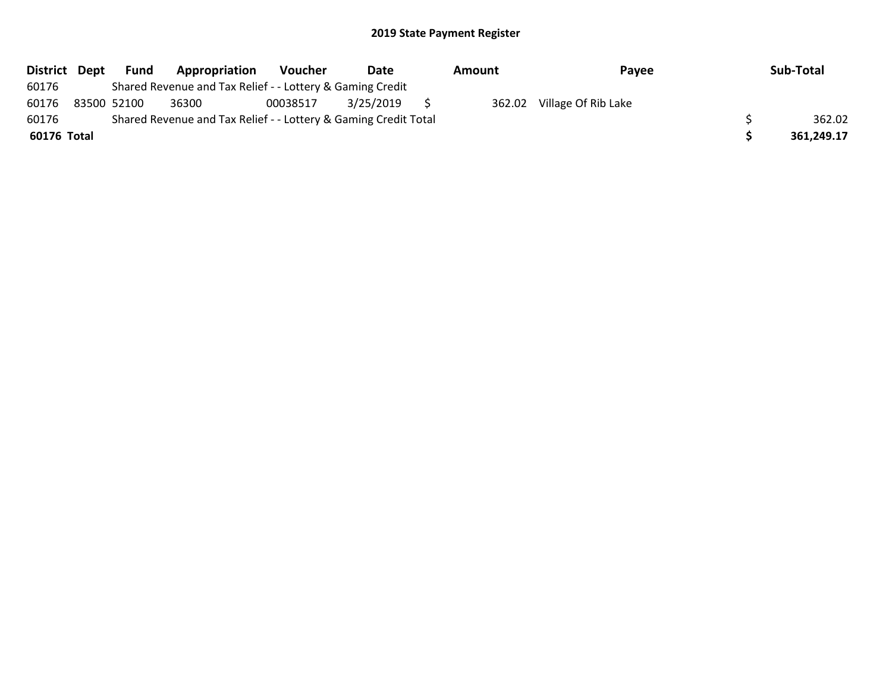| District Dept | Fund        | Appropriation                                                   | <b>Voucher</b> | Date      | Amount | Payee               | Sub-Total  |
|---------------|-------------|-----------------------------------------------------------------|----------------|-----------|--------|---------------------|------------|
| 60176         |             | Shared Revenue and Tax Relief - - Lottery & Gaming Credit       |                |           |        |                     |            |
| 60176         | 83500 52100 | 36300                                                           | 00038517       | 3/25/2019 | 362.02 | Village Of Rib Lake |            |
| 60176         |             | Shared Revenue and Tax Relief - - Lottery & Gaming Credit Total |                |           |        |                     | 362.02     |
| 60176 Total   |             |                                                                 |                |           |        |                     | 361,249.17 |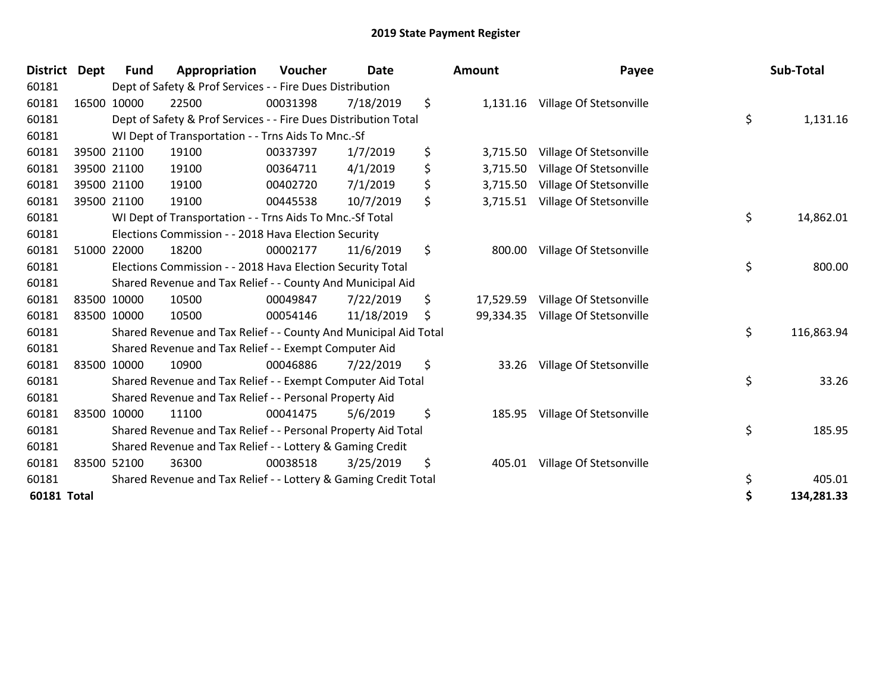| District Dept | <b>Fund</b> | Appropriation                                                    | <b>Voucher</b> | <b>Date</b> | <b>Amount</b>   | Payee                            | Sub-Total        |
|---------------|-------------|------------------------------------------------------------------|----------------|-------------|-----------------|----------------------------------|------------------|
| 60181         |             | Dept of Safety & Prof Services - - Fire Dues Distribution        |                |             |                 |                                  |                  |
| 60181         | 16500 10000 | 22500                                                            | 00031398       | 7/18/2019   | \$              | 1,131.16 Village Of Stetsonville |                  |
| 60181         |             | Dept of Safety & Prof Services - - Fire Dues Distribution Total  |                |             |                 |                                  | \$<br>1,131.16   |
| 60181         |             | WI Dept of Transportation - - Trns Aids To Mnc.-Sf               |                |             |                 |                                  |                  |
| 60181         | 39500 21100 | 19100                                                            | 00337397       | 1/7/2019    | \$<br>3,715.50  | Village Of Stetsonville          |                  |
| 60181         | 39500 21100 | 19100                                                            | 00364711       | 4/1/2019    | \$<br>3,715.50  | Village Of Stetsonville          |                  |
| 60181         | 39500 21100 | 19100                                                            | 00402720       | 7/1/2019    | \$<br>3,715.50  | Village Of Stetsonville          |                  |
| 60181         | 39500 21100 | 19100                                                            | 00445538       | 10/7/2019   | \$<br>3,715.51  | Village Of Stetsonville          |                  |
| 60181         |             | WI Dept of Transportation - - Trns Aids To Mnc.-Sf Total         |                |             |                 |                                  | \$<br>14,862.01  |
| 60181         |             | Elections Commission - - 2018 Hava Election Security             |                |             |                 |                                  |                  |
| 60181         | 51000 22000 | 18200                                                            | 00002177       | 11/6/2019   | \$<br>800.00    | Village Of Stetsonville          |                  |
| 60181         |             | Elections Commission - - 2018 Hava Election Security Total       |                |             |                 |                                  | \$<br>800.00     |
| 60181         |             | Shared Revenue and Tax Relief - - County And Municipal Aid       |                |             |                 |                                  |                  |
| 60181         | 83500 10000 | 10500                                                            | 00049847       | 7/22/2019   | \$<br>17,529.59 | Village Of Stetsonville          |                  |
| 60181         | 83500 10000 | 10500                                                            | 00054146       | 11/18/2019  | \$<br>99,334.35 | Village Of Stetsonville          |                  |
| 60181         |             | Shared Revenue and Tax Relief - - County And Municipal Aid Total |                |             |                 |                                  | \$<br>116,863.94 |
| 60181         |             | Shared Revenue and Tax Relief - - Exempt Computer Aid            |                |             |                 |                                  |                  |
| 60181         | 83500 10000 | 10900                                                            | 00046886       | 7/22/2019   | \$<br>33.26     | Village Of Stetsonville          |                  |
| 60181         |             | Shared Revenue and Tax Relief - - Exempt Computer Aid Total      |                |             |                 |                                  | \$<br>33.26      |
| 60181         |             | Shared Revenue and Tax Relief - - Personal Property Aid          |                |             |                 |                                  |                  |
| 60181         | 83500 10000 | 11100                                                            | 00041475       | 5/6/2019    | \$<br>185.95    | Village Of Stetsonville          |                  |
| 60181         |             | Shared Revenue and Tax Relief - - Personal Property Aid Total    |                |             |                 |                                  | \$<br>185.95     |
| 60181         |             | Shared Revenue and Tax Relief - - Lottery & Gaming Credit        |                |             |                 |                                  |                  |
| 60181         | 83500 52100 | 36300                                                            | 00038518       | 3/25/2019   | \$<br>405.01    | Village Of Stetsonville          |                  |
| 60181         |             | Shared Revenue and Tax Relief - - Lottery & Gaming Credit Total  |                |             |                 |                                  | \$<br>405.01     |
| 60181 Total   |             |                                                                  |                |             |                 |                                  | \$<br>134,281.33 |

| nount     | Payee                             | Sub-Total        |
|-----------|-----------------------------------|------------------|
| 1,131.16  | Village Of Stetsonville           | \$<br>1,131.16   |
| 3,715.50  | Village Of Stetsonville           |                  |
|           | 3,715.50 Village Of Stetsonville  |                  |
|           | 3,715.50 Village Of Stetsonville  |                  |
| 3,715.51  | Village Of Stetsonville           |                  |
|           |                                   | \$<br>14,862.01  |
| 800.00    | Village Of Stetsonville           | \$<br>800.00     |
|           | 17,529.59 Village Of Stetsonville |                  |
| 99,334.35 | Village Of Stetsonville           |                  |
|           |                                   | \$<br>116,863.94 |
| 33.26     | Village Of Stetsonville           |                  |
|           |                                   | \$<br>33.26      |
| 185.95    | Village Of Stetsonville           |                  |
|           |                                   | \$<br>185.95     |
| 405.01    | Village Of Stetsonville           |                  |
|           |                                   | \$<br>405.01     |
|           |                                   | \$<br>134,281.33 |
|           |                                   |                  |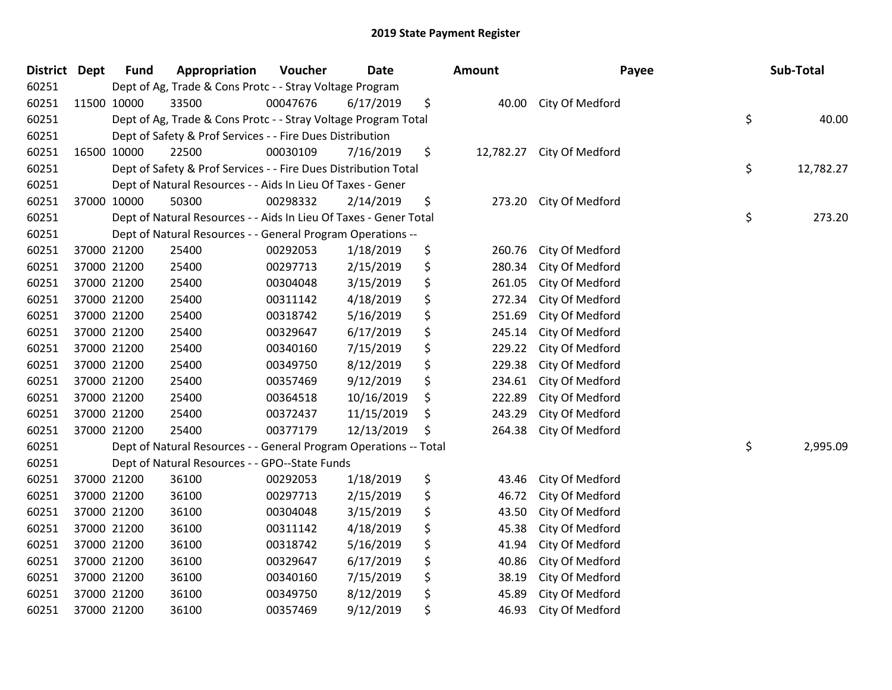| District Dept | <b>Fund</b> | Appropriation                                                     | Voucher  | Date       | <b>Amount</b>   | Payee           | Sub-Total       |
|---------------|-------------|-------------------------------------------------------------------|----------|------------|-----------------|-----------------|-----------------|
| 60251         |             | Dept of Ag, Trade & Cons Protc - - Stray Voltage Program          |          |            |                 |                 |                 |
| 60251         | 11500 10000 | 33500                                                             | 00047676 | 6/17/2019  | \$<br>40.00     | City Of Medford |                 |
| 60251         |             | Dept of Ag, Trade & Cons Protc - - Stray Voltage Program Total    |          |            |                 |                 | \$<br>40.00     |
| 60251         |             | Dept of Safety & Prof Services - - Fire Dues Distribution         |          |            |                 |                 |                 |
| 60251         | 16500 10000 | 22500                                                             | 00030109 | 7/16/2019  | \$<br>12,782.27 | City Of Medford |                 |
| 60251         |             | Dept of Safety & Prof Services - - Fire Dues Distribution Total   |          |            |                 |                 | \$<br>12,782.27 |
| 60251         |             | Dept of Natural Resources - - Aids In Lieu Of Taxes - Gener       |          |            |                 |                 |                 |
| 60251         | 37000 10000 | 50300                                                             | 00298332 | 2/14/2019  | \$<br>273.20    | City Of Medford |                 |
| 60251         |             | Dept of Natural Resources - - Aids In Lieu Of Taxes - Gener Total |          |            |                 |                 | \$<br>273.20    |
| 60251         |             | Dept of Natural Resources - - General Program Operations --       |          |            |                 |                 |                 |
| 60251         | 37000 21200 | 25400                                                             | 00292053 | 1/18/2019  | \$<br>260.76    | City Of Medford |                 |
| 60251         | 37000 21200 | 25400                                                             | 00297713 | 2/15/2019  | \$<br>280.34    | City Of Medford |                 |
| 60251         | 37000 21200 | 25400                                                             | 00304048 | 3/15/2019  | \$<br>261.05    | City Of Medford |                 |
| 60251         | 37000 21200 | 25400                                                             | 00311142 | 4/18/2019  | \$<br>272.34    | City Of Medford |                 |
| 60251         | 37000 21200 | 25400                                                             | 00318742 | 5/16/2019  | \$<br>251.69    | City Of Medford |                 |
| 60251         | 37000 21200 | 25400                                                             | 00329647 | 6/17/2019  | \$<br>245.14    | City Of Medford |                 |
| 60251         | 37000 21200 | 25400                                                             | 00340160 | 7/15/2019  | \$<br>229.22    | City Of Medford |                 |
| 60251         | 37000 21200 | 25400                                                             | 00349750 | 8/12/2019  | \$<br>229.38    | City Of Medford |                 |
| 60251         | 37000 21200 | 25400                                                             | 00357469 | 9/12/2019  | \$<br>234.61    | City Of Medford |                 |
| 60251         | 37000 21200 | 25400                                                             | 00364518 | 10/16/2019 | \$<br>222.89    | City Of Medford |                 |
| 60251         | 37000 21200 | 25400                                                             | 00372437 | 11/15/2019 | \$<br>243.29    | City Of Medford |                 |
| 60251         | 37000 21200 | 25400                                                             | 00377179 | 12/13/2019 | \$<br>264.38    | City Of Medford |                 |
| 60251         |             | Dept of Natural Resources - - General Program Operations -- Total |          |            |                 |                 | \$<br>2,995.09  |
| 60251         |             | Dept of Natural Resources - - GPO--State Funds                    |          |            |                 |                 |                 |
| 60251         | 37000 21200 | 36100                                                             | 00292053 | 1/18/2019  | \$<br>43.46     | City Of Medford |                 |
| 60251         | 37000 21200 | 36100                                                             | 00297713 | 2/15/2019  | \$<br>46.72     | City Of Medford |                 |
| 60251         | 37000 21200 | 36100                                                             | 00304048 | 3/15/2019  | \$<br>43.50     | City Of Medford |                 |
| 60251         | 37000 21200 | 36100                                                             | 00311142 | 4/18/2019  | \$<br>45.38     | City Of Medford |                 |
| 60251         | 37000 21200 | 36100                                                             | 00318742 | 5/16/2019  | \$<br>41.94     | City Of Medford |                 |
| 60251         | 37000 21200 | 36100                                                             | 00329647 | 6/17/2019  | \$<br>40.86     | City Of Medford |                 |
| 60251         | 37000 21200 | 36100                                                             | 00340160 | 7/15/2019  | \$<br>38.19     | City Of Medford |                 |
| 60251         | 37000 21200 | 36100                                                             | 00349750 | 8/12/2019  | \$<br>45.89     | City Of Medford |                 |
| 60251         | 37000 21200 | 36100                                                             | 00357469 | 9/12/2019  | \$<br>46.93     | City Of Medford |                 |
|               |             |                                                                   |          |            |                 |                 |                 |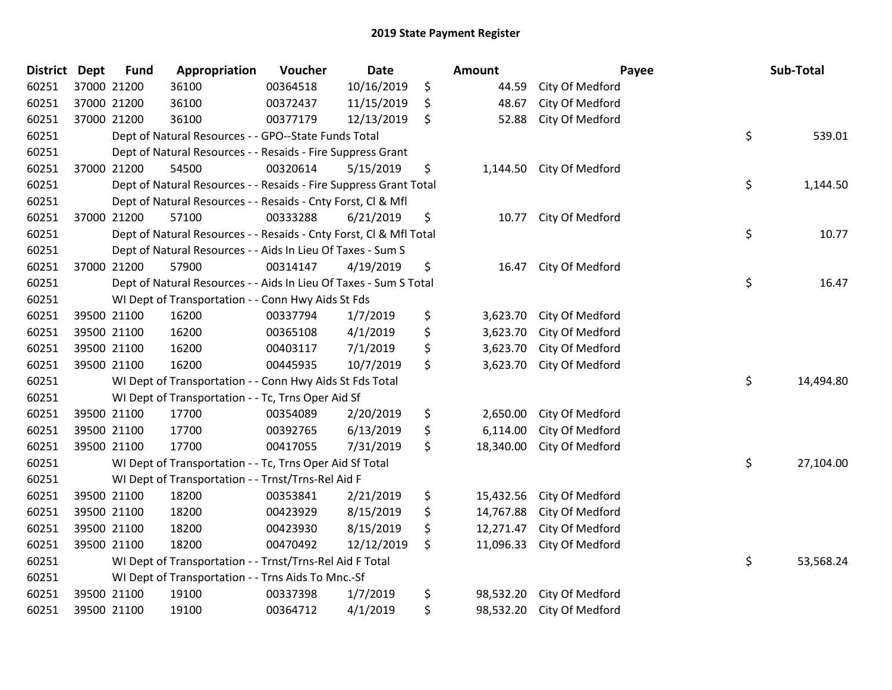| District Dept | <b>Fund</b> | Appropriation                                                      | Voucher  | <b>Date</b> |    | Amount    |                           | Payee | Sub-Total |  |
|---------------|-------------|--------------------------------------------------------------------|----------|-------------|----|-----------|---------------------------|-------|-----------|--|
| 60251         | 37000 21200 | 36100                                                              | 00364518 | 10/16/2019  | \$ | 44.59     | City Of Medford           |       |           |  |
| 60251         | 37000 21200 | 36100                                                              | 00372437 | 11/15/2019  | \$ | 48.67     | City Of Medford           |       |           |  |
| 60251         | 37000 21200 | 36100                                                              | 00377179 | 12/13/2019  | \$ | 52.88     | City Of Medford           |       |           |  |
| 60251         |             | Dept of Natural Resources - - GPO--State Funds Total               |          |             |    |           |                           | \$    | 539.01    |  |
| 60251         |             | Dept of Natural Resources - - Resaids - Fire Suppress Grant        |          |             |    |           |                           |       |           |  |
| 60251         | 37000 21200 | 54500                                                              | 00320614 | 5/15/2019   | \$ | 1,144.50  | City Of Medford           |       |           |  |
| 60251         |             | Dept of Natural Resources - - Resaids - Fire Suppress Grant Total  |          |             |    |           |                           | \$    | 1,144.50  |  |
| 60251         |             | Dept of Natural Resources - - Resaids - Cnty Forst, CI & Mfl       |          |             |    |           |                           |       |           |  |
| 60251         | 37000 21200 | 57100                                                              | 00333288 | 6/21/2019   | \$ | 10.77     | City Of Medford           |       |           |  |
| 60251         |             | Dept of Natural Resources - - Resaids - Cnty Forst, CI & Mfl Total |          |             |    |           |                           | \$    | 10.77     |  |
| 60251         |             | Dept of Natural Resources - - Aids In Lieu Of Taxes - Sum S        |          |             |    |           |                           |       |           |  |
| 60251         | 37000 21200 | 57900                                                              | 00314147 | 4/19/2019   | \$ | 16.47     | City Of Medford           |       |           |  |
| 60251         |             | Dept of Natural Resources - - Aids In Lieu Of Taxes - Sum S Total  |          |             |    |           |                           | \$    | 16.47     |  |
| 60251         |             | WI Dept of Transportation - - Conn Hwy Aids St Fds                 |          |             |    |           |                           |       |           |  |
| 60251         | 39500 21100 | 16200                                                              | 00337794 | 1/7/2019    | \$ | 3,623.70  | City Of Medford           |       |           |  |
| 60251         | 39500 21100 | 16200                                                              | 00365108 | 4/1/2019    | \$ | 3,623.70  | City Of Medford           |       |           |  |
| 60251         | 39500 21100 | 16200                                                              | 00403117 | 7/1/2019    | \$ | 3,623.70  | City Of Medford           |       |           |  |
| 60251         | 39500 21100 | 16200                                                              | 00445935 | 10/7/2019   | \$ | 3,623.70  | City Of Medford           |       |           |  |
| 60251         |             | WI Dept of Transportation - - Conn Hwy Aids St Fds Total           |          |             |    |           |                           | \$    | 14,494.80 |  |
| 60251         |             | WI Dept of Transportation - - Tc, Trns Oper Aid Sf                 |          |             |    |           |                           |       |           |  |
| 60251         | 39500 21100 | 17700                                                              | 00354089 | 2/20/2019   | \$ | 2,650.00  | City Of Medford           |       |           |  |
| 60251         | 39500 21100 | 17700                                                              | 00392765 | 6/13/2019   | \$ | 6,114.00  | City Of Medford           |       |           |  |
| 60251         | 39500 21100 | 17700                                                              | 00417055 | 7/31/2019   | \$ | 18,340.00 | City Of Medford           |       |           |  |
| 60251         |             | WI Dept of Transportation - - Tc, Trns Oper Aid Sf Total           |          |             |    |           |                           | \$    | 27,104.00 |  |
| 60251         |             | WI Dept of Transportation - - Trnst/Trns-Rel Aid F                 |          |             |    |           |                           |       |           |  |
| 60251         | 39500 21100 | 18200                                                              | 00353841 | 2/21/2019   | \$ | 15,432.56 | City Of Medford           |       |           |  |
| 60251         | 39500 21100 | 18200                                                              | 00423929 | 8/15/2019   | \$ | 14,767.88 | City Of Medford           |       |           |  |
| 60251         | 39500 21100 | 18200                                                              | 00423930 | 8/15/2019   | \$ | 12,271.47 | City Of Medford           |       |           |  |
| 60251         | 39500 21100 | 18200                                                              | 00470492 | 12/12/2019  | \$ | 11,096.33 | City Of Medford           |       |           |  |
| 60251         |             | WI Dept of Transportation - - Trnst/Trns-Rel Aid F Total           |          |             |    |           |                           | \$    | 53,568.24 |  |
| 60251         |             | WI Dept of Transportation - - Trns Aids To Mnc.-Sf                 |          |             |    |           |                           |       |           |  |
| 60251         | 39500 21100 | 19100                                                              | 00337398 | 1/7/2019    | \$ | 98,532.20 | City Of Medford           |       |           |  |
| 60251         | 39500 21100 | 19100                                                              | 00364712 | 4/1/2019    | \$ |           | 98,532.20 City Of Medford |       |           |  |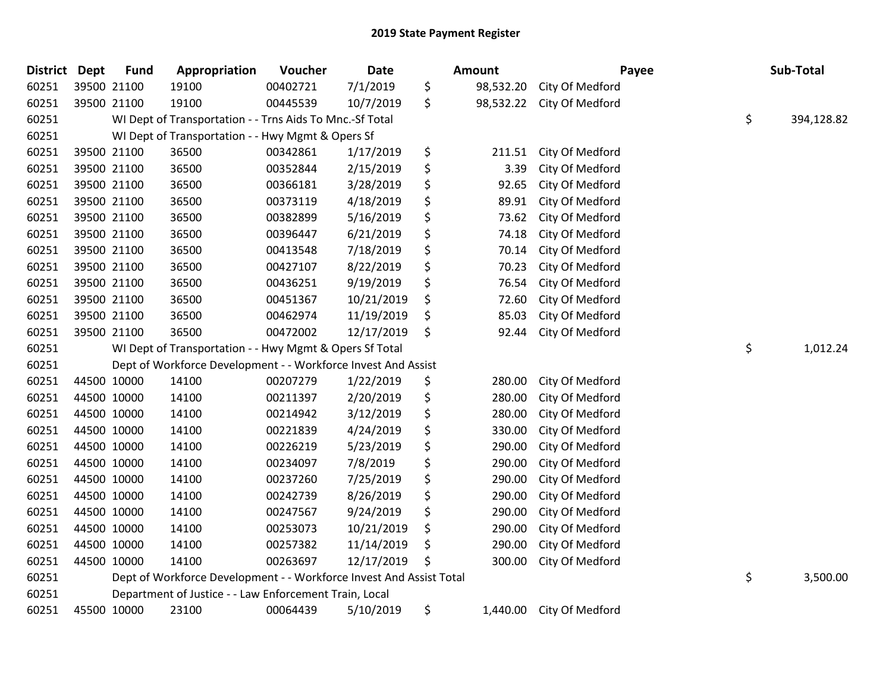| <b>District</b> | <b>Dept</b> | <b>Fund</b> | Appropriation                                                       | Voucher  | Date       | <b>Amount</b>   | Payee           | Sub-Total |            |
|-----------------|-------------|-------------|---------------------------------------------------------------------|----------|------------|-----------------|-----------------|-----------|------------|
| 60251           |             | 39500 21100 | 19100                                                               | 00402721 | 7/1/2019   | \$<br>98,532.20 | City Of Medford |           |            |
| 60251           |             | 39500 21100 | 19100                                                               | 00445539 | 10/7/2019  | \$<br>98,532.22 | City Of Medford |           |            |
| 60251           |             |             | WI Dept of Transportation - - Trns Aids To Mnc.-Sf Total            |          |            |                 |                 | \$        | 394,128.82 |
| 60251           |             |             | WI Dept of Transportation - - Hwy Mgmt & Opers Sf                   |          |            |                 |                 |           |            |
| 60251           |             | 39500 21100 | 36500                                                               | 00342861 | 1/17/2019  | \$<br>211.51    | City Of Medford |           |            |
| 60251           |             | 39500 21100 | 36500                                                               | 00352844 | 2/15/2019  | \$<br>3.39      | City Of Medford |           |            |
| 60251           |             | 39500 21100 | 36500                                                               | 00366181 | 3/28/2019  | \$<br>92.65     | City Of Medford |           |            |
| 60251           |             | 39500 21100 | 36500                                                               | 00373119 | 4/18/2019  | \$<br>89.91     | City Of Medford |           |            |
| 60251           |             | 39500 21100 | 36500                                                               | 00382899 | 5/16/2019  | \$<br>73.62     | City Of Medford |           |            |
| 60251           |             | 39500 21100 | 36500                                                               | 00396447 | 6/21/2019  | \$<br>74.18     | City Of Medford |           |            |
| 60251           |             | 39500 21100 | 36500                                                               | 00413548 | 7/18/2019  | \$<br>70.14     | City Of Medford |           |            |
| 60251           |             | 39500 21100 | 36500                                                               | 00427107 | 8/22/2019  | \$<br>70.23     | City Of Medford |           |            |
| 60251           |             | 39500 21100 | 36500                                                               | 00436251 | 9/19/2019  | \$<br>76.54     | City Of Medford |           |            |
| 60251           |             | 39500 21100 | 36500                                                               | 00451367 | 10/21/2019 | \$<br>72.60     | City Of Medford |           |            |
| 60251           |             | 39500 21100 | 36500                                                               | 00462974 | 11/19/2019 | \$<br>85.03     | City Of Medford |           |            |
| 60251           |             | 39500 21100 | 36500                                                               | 00472002 | 12/17/2019 | \$<br>92.44     | City Of Medford |           |            |
| 60251           |             |             | WI Dept of Transportation - - Hwy Mgmt & Opers Sf Total             |          |            |                 |                 | \$        | 1,012.24   |
| 60251           |             |             | Dept of Workforce Development - - Workforce Invest And Assist       |          |            |                 |                 |           |            |
| 60251           |             | 44500 10000 | 14100                                                               | 00207279 | 1/22/2019  | \$<br>280.00    | City Of Medford |           |            |
| 60251           |             | 44500 10000 | 14100                                                               | 00211397 | 2/20/2019  | \$<br>280.00    | City Of Medford |           |            |
| 60251           |             | 44500 10000 | 14100                                                               | 00214942 | 3/12/2019  | \$<br>280.00    | City Of Medford |           |            |
| 60251           |             | 44500 10000 | 14100                                                               | 00221839 | 4/24/2019  | \$<br>330.00    | City Of Medford |           |            |
| 60251           |             | 44500 10000 | 14100                                                               | 00226219 | 5/23/2019  | \$<br>290.00    | City Of Medford |           |            |
| 60251           |             | 44500 10000 | 14100                                                               | 00234097 | 7/8/2019   | \$<br>290.00    | City Of Medford |           |            |
| 60251           |             | 44500 10000 | 14100                                                               | 00237260 | 7/25/2019  | \$<br>290.00    | City Of Medford |           |            |
| 60251           |             | 44500 10000 | 14100                                                               | 00242739 | 8/26/2019  | \$<br>290.00    | City Of Medford |           |            |
| 60251           |             | 44500 10000 | 14100                                                               | 00247567 | 9/24/2019  | \$<br>290.00    | City Of Medford |           |            |
| 60251           |             | 44500 10000 | 14100                                                               | 00253073 | 10/21/2019 | \$<br>290.00    | City Of Medford |           |            |
| 60251           |             | 44500 10000 | 14100                                                               | 00257382 | 11/14/2019 | \$<br>290.00    | City Of Medford |           |            |
| 60251           |             | 44500 10000 | 14100                                                               | 00263697 | 12/17/2019 | 300.00          | City Of Medford |           |            |
| 60251           |             |             | Dept of Workforce Development - - Workforce Invest And Assist Total |          |            |                 |                 | \$        | 3,500.00   |
| 60251           |             |             | Department of Justice - - Law Enforcement Train, Local              |          |            |                 |                 |           |            |
| 60251           |             | 45500 10000 | 23100                                                               | 00064439 | 5/10/2019  | \$<br>1,440.00  | City Of Medford |           |            |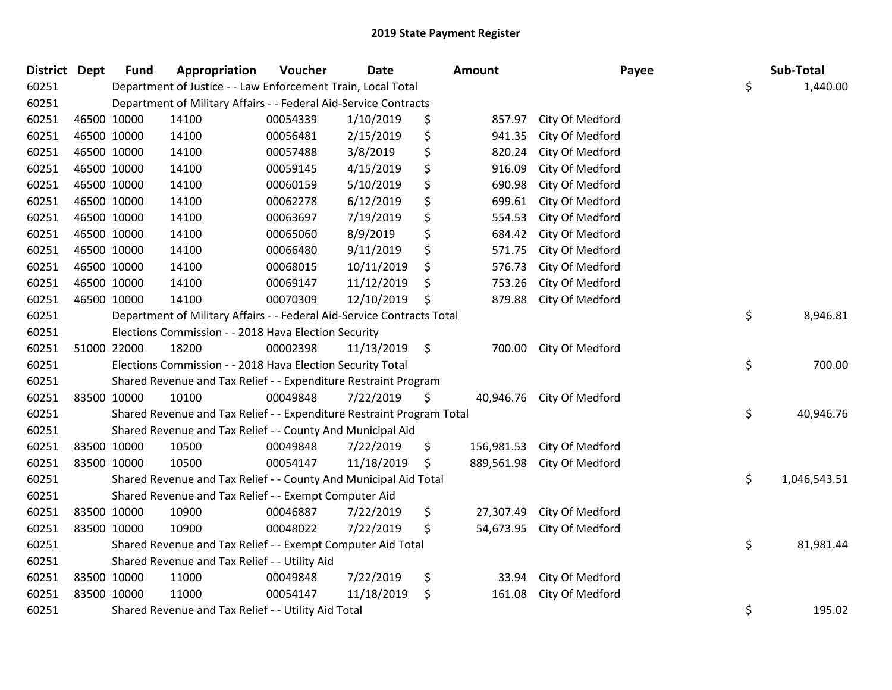| District Dept |             | <b>Fund</b>                                                      | Appropriation                                                          | Voucher  | <b>Date</b> |    | Amount     | Payee                     |    | Sub-Total    |  |
|---------------|-------------|------------------------------------------------------------------|------------------------------------------------------------------------|----------|-------------|----|------------|---------------------------|----|--------------|--|
| 60251         |             |                                                                  | Department of Justice - - Law Enforcement Train, Local Total           |          |             |    |            |                           | \$ | 1,440.00     |  |
| 60251         |             | Department of Military Affairs - - Federal Aid-Service Contracts |                                                                        |          |             |    |            |                           |    |              |  |
| 60251         |             | 46500 10000                                                      | 14100                                                                  | 00054339 | 1/10/2019   | \$ | 857.97     | City Of Medford           |    |              |  |
| 60251         | 46500 10000 |                                                                  | 14100                                                                  | 00056481 | 2/15/2019   | \$ | 941.35     | City Of Medford           |    |              |  |
| 60251         | 46500 10000 |                                                                  | 14100                                                                  | 00057488 | 3/8/2019    | \$ | 820.24     | City Of Medford           |    |              |  |
| 60251         | 46500 10000 |                                                                  | 14100                                                                  | 00059145 | 4/15/2019   | \$ | 916.09     | City Of Medford           |    |              |  |
| 60251         | 46500 10000 |                                                                  | 14100                                                                  | 00060159 | 5/10/2019   | \$ | 690.98     | City Of Medford           |    |              |  |
| 60251         | 46500 10000 |                                                                  | 14100                                                                  | 00062278 | 6/12/2019   | \$ | 699.61     | City Of Medford           |    |              |  |
| 60251         | 46500 10000 |                                                                  | 14100                                                                  | 00063697 | 7/19/2019   | \$ | 554.53     | City Of Medford           |    |              |  |
| 60251         | 46500 10000 |                                                                  | 14100                                                                  | 00065060 | 8/9/2019    | \$ | 684.42     | City Of Medford           |    |              |  |
| 60251         | 46500 10000 |                                                                  | 14100                                                                  | 00066480 | 9/11/2019   | \$ | 571.75     | City Of Medford           |    |              |  |
| 60251         | 46500 10000 |                                                                  | 14100                                                                  | 00068015 | 10/11/2019  | \$ | 576.73     | City Of Medford           |    |              |  |
| 60251         | 46500 10000 |                                                                  | 14100                                                                  | 00069147 | 11/12/2019  | \$ | 753.26     | City Of Medford           |    |              |  |
| 60251         | 46500 10000 |                                                                  | 14100                                                                  | 00070309 | 12/10/2019  | \$ | 879.88     | City Of Medford           |    |              |  |
| 60251         |             |                                                                  | Department of Military Affairs - - Federal Aid-Service Contracts Total |          |             |    |            |                           | \$ | 8,946.81     |  |
| 60251         |             |                                                                  | Elections Commission - - 2018 Hava Election Security                   |          |             |    |            |                           |    |              |  |
| 60251         | 51000 22000 |                                                                  | 18200                                                                  | 00002398 | 11/13/2019  | \$ | 700.00     | City Of Medford           |    |              |  |
| 60251         |             |                                                                  | Elections Commission - - 2018 Hava Election Security Total             |          |             |    |            |                           | \$ | 700.00       |  |
| 60251         |             |                                                                  | Shared Revenue and Tax Relief - - Expenditure Restraint Program        |          |             |    |            |                           |    |              |  |
| 60251         | 83500 10000 |                                                                  | 10100                                                                  | 00049848 | 7/22/2019   | \$ |            | 40,946.76 City Of Medford |    |              |  |
| 60251         |             |                                                                  | Shared Revenue and Tax Relief - - Expenditure Restraint Program Total  |          |             |    |            |                           | \$ | 40,946.76    |  |
| 60251         |             |                                                                  | Shared Revenue and Tax Relief - - County And Municipal Aid             |          |             |    |            |                           |    |              |  |
| 60251         | 83500 10000 |                                                                  | 10500                                                                  | 00049848 | 7/22/2019   | \$ | 156,981.53 | City Of Medford           |    |              |  |
| 60251         | 83500 10000 |                                                                  | 10500                                                                  | 00054147 | 11/18/2019  | \$ | 889,561.98 | City Of Medford           |    |              |  |
| 60251         |             |                                                                  | Shared Revenue and Tax Relief - - County And Municipal Aid Total       |          |             |    |            |                           | \$ | 1,046,543.51 |  |
| 60251         |             | Shared Revenue and Tax Relief - - Exempt Computer Aid            |                                                                        |          |             |    |            |                           |    |              |  |
| 60251         |             | 83500 10000                                                      | 10900                                                                  | 00046887 | 7/22/2019   | \$ | 27,307.49  | City Of Medford           |    |              |  |
| 60251         | 83500 10000 |                                                                  | 10900                                                                  | 00048022 | 7/22/2019   | \$ | 54,673.95  | City Of Medford           |    |              |  |
| 60251         |             | Shared Revenue and Tax Relief - - Exempt Computer Aid Total      |                                                                        |          |             |    |            |                           | \$ | 81,981.44    |  |
| 60251         |             | Shared Revenue and Tax Relief - - Utility Aid                    |                                                                        |          |             |    |            |                           |    |              |  |
| 60251         | 83500 10000 |                                                                  | 11000                                                                  | 00049848 | 7/22/2019   | \$ | 33.94      | City Of Medford           |    |              |  |
| 60251         | 83500 10000 |                                                                  | 11000                                                                  | 00054147 | 11/18/2019  | \$ | 161.08     | City Of Medford           |    |              |  |
| 60251         |             | Shared Revenue and Tax Relief - - Utility Aid Total              |                                                                        |          |             |    |            |                           | \$ | 195.02       |  |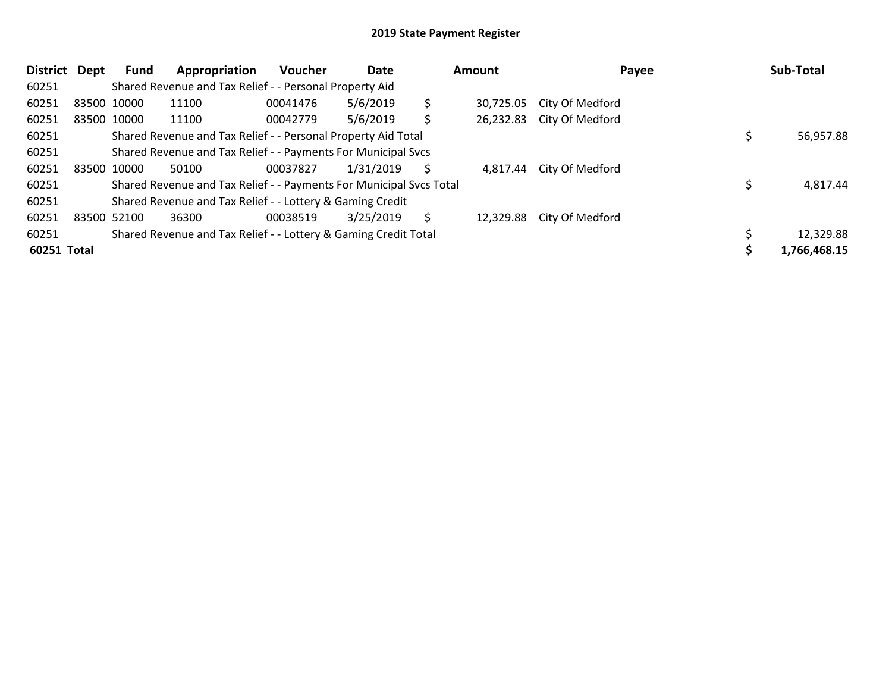| <b>District</b> | Dept | Fund                                                                | Appropriation                                                   | <b>Voucher</b> | Date      | <b>Amount</b> |           | Payee                     |  | Sub-Total    |
|-----------------|------|---------------------------------------------------------------------|-----------------------------------------------------------------|----------------|-----------|---------------|-----------|---------------------------|--|--------------|
| 60251           |      |                                                                     | Shared Revenue and Tax Relief - - Personal Property Aid         |                |           |               |           |                           |  |              |
| 60251           |      | 83500 10000                                                         | 11100                                                           | 00041476       | 5/6/2019  | \$            | 30,725.05 | City Of Medford           |  |              |
| 60251           |      | 83500 10000                                                         | 11100                                                           | 00042779       | 5/6/2019  | \$            |           | 26,232.83 City Of Medford |  |              |
| 60251           |      |                                                                     | Shared Revenue and Tax Relief - - Personal Property Aid Total   |                |           |               |           |                           |  | 56,957.88    |
| 60251           |      |                                                                     | Shared Revenue and Tax Relief - - Payments For Municipal Svcs   |                |           |               |           |                           |  |              |
| 60251           |      | 83500 10000                                                         | 50100                                                           | 00037827       | 1/31/2019 | S             | 4,817.44  | City Of Medford           |  |              |
| 60251           |      | Shared Revenue and Tax Relief - - Payments For Municipal Svcs Total |                                                                 |                |           |               |           |                           |  | 4,817.44     |
| 60251           |      | Shared Revenue and Tax Relief - - Lottery & Gaming Credit           |                                                                 |                |           |               |           |                           |  |              |
| 60251           |      | 83500 52100                                                         | 36300                                                           | 00038519       | 3/25/2019 | S             | 12,329.88 | City Of Medford           |  |              |
| 60251           |      |                                                                     | Shared Revenue and Tax Relief - - Lottery & Gaming Credit Total |                |           |               |           |                           |  | 12,329.88    |
| 60251 Total     |      |                                                                     |                                                                 |                |           |               |           |                           |  | 1,766,468.15 |